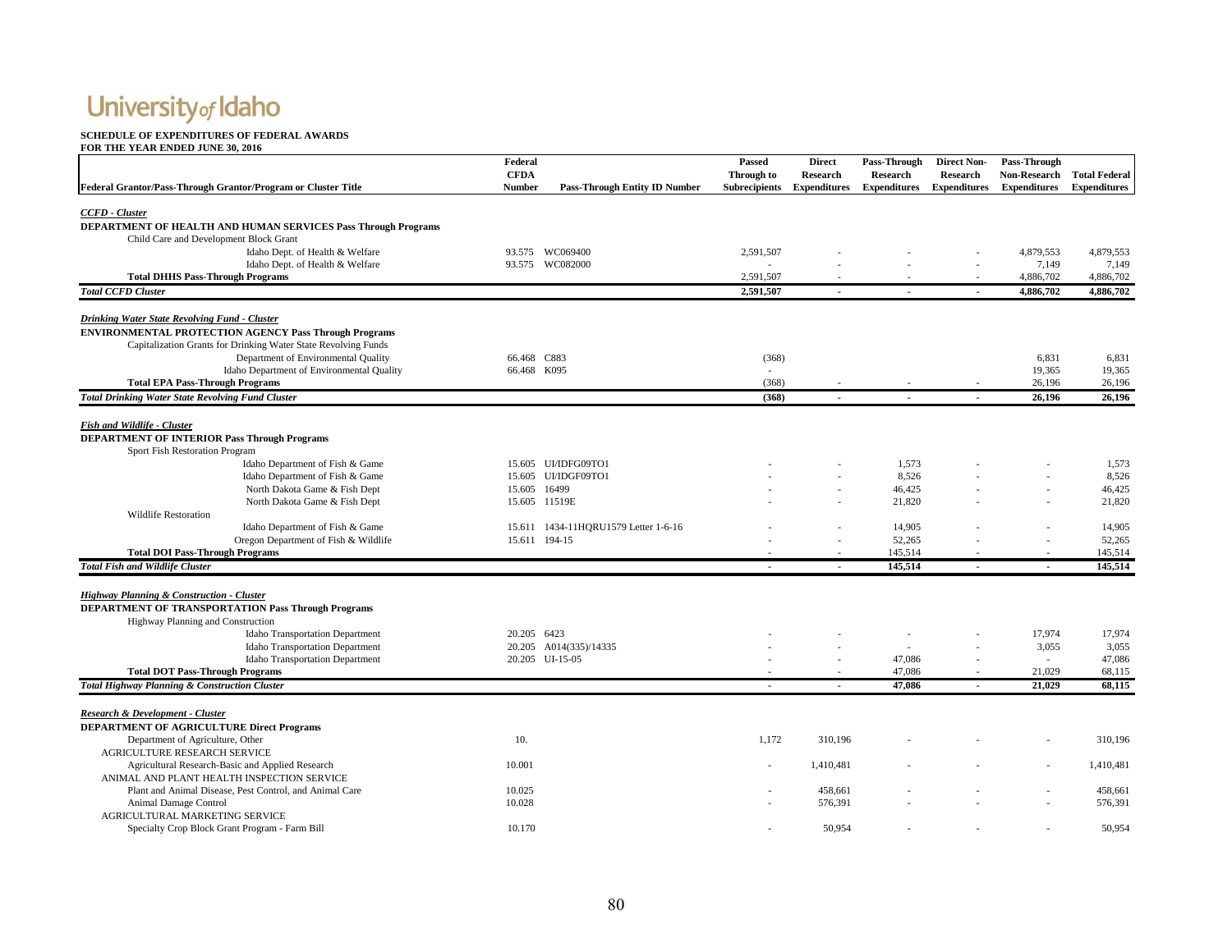#### **SCHEDULE OF EXPENDITURES OF FEDERAL AWARDS**

|                                                                                                       | Federal       |                                      | Passed               | <b>Direct</b>       | Pass-Through        | <b>Direct Non-</b>  | Pass-Through        |                      |
|-------------------------------------------------------------------------------------------------------|---------------|--------------------------------------|----------------------|---------------------|---------------------|---------------------|---------------------|----------------------|
|                                                                                                       | <b>CFDA</b>   |                                      | Through to           | <b>Research</b>     | <b>Research</b>     | <b>Research</b>     | <b>Non-Research</b> | <b>Total Federal</b> |
| Federal Grantor/Pass-Through Grantor/Program or Cluster Title                                         | <b>Number</b> | <b>Pass-Through Entity ID Number</b> | <b>Subrecipients</b> | <b>Expenditures</b> | <b>Expenditures</b> | <b>Expenditures</b> | <b>Expenditures</b> | <b>Expenditures</b>  |
|                                                                                                       |               |                                      |                      |                     |                     |                     |                     |                      |
| CCFD - Cluster                                                                                        |               |                                      |                      |                     |                     |                     |                     |                      |
| <b>DEPARTMENT OF HEALTH AND HUMAN SERVICES Pass Through Programs</b>                                  |               |                                      |                      |                     |                     |                     |                     |                      |
| Child Care and Development Block Grant                                                                |               |                                      |                      |                     |                     |                     |                     |                      |
| Idaho Dept. of Health & Welfare                                                                       |               | 93.575 WC069400                      | 2,591,507            |                     |                     |                     | 4,879,553           | 4,879,553            |
| Idaho Dept. of Health & Welfare<br><b>Total DHHS Pass-Through Programs</b>                            |               | 93.575 WC082000                      | 2,591,507            |                     |                     |                     | 7,149<br>4,886,702  | 7,149<br>4,886,702   |
| <b>Total CCFD Cluster</b>                                                                             |               |                                      | 2.591.507            |                     |                     |                     | 4,886,702           | 4,886,702            |
|                                                                                                       |               |                                      |                      |                     |                     |                     |                     |                      |
| Drinking Water State Revolving Fund - Cluster                                                         |               |                                      |                      |                     |                     |                     |                     |                      |
| <b>ENVIRONMENTAL PROTECTION AGENCY Pass Through Programs</b>                                          |               |                                      |                      |                     |                     |                     |                     |                      |
| Capitalization Grants for Drinking Water State Revolving Funds                                        |               |                                      |                      |                     |                     |                     |                     |                      |
| Department of Environmental Quality                                                                   | 66.468 C883   |                                      | (368)                |                     |                     |                     | 6,831               | 6,831                |
| Idaho Department of Environmental Quality                                                             | 66.468 K095   |                                      |                      |                     |                     |                     | 19,365              | 19,365               |
| <b>Total EPA Pass-Through Programs</b>                                                                |               |                                      | (368)                |                     |                     |                     | 26,196              | 26,196               |
| <b>Total Drinking Water State Revolving Fund Cluster</b>                                              |               |                                      | (368)                |                     |                     |                     | 26,196              | 26.196               |
|                                                                                                       |               |                                      |                      |                     |                     |                     |                     |                      |
| <b>Fish and Wildlife - Cluster</b>                                                                    |               |                                      |                      |                     |                     |                     |                     |                      |
| <b>DEPARTMENT OF INTERIOR Pass Through Programs</b>                                                   |               |                                      |                      |                     |                     |                     |                     |                      |
| Sport Fish Restoration Program                                                                        |               |                                      |                      |                     |                     |                     |                     |                      |
| Idaho Department of Fish & Game                                                                       |               | 15.605 UI/IDFG09TO1                  |                      |                     | 1,573               |                     |                     | 1,573                |
| Idaho Department of Fish & Game                                                                       |               | 15.605 UI/IDGF09TO1                  |                      |                     | 8,526               |                     |                     | 8,526                |
| North Dakota Game & Fish Dept                                                                         | 15.605 16499  |                                      |                      |                     | 46,425              |                     |                     | 46,425               |
| North Dakota Game & Fish Dept                                                                         |               | 15.605 11519E                        |                      |                     | 21,820              |                     |                     | 21,820               |
| <b>Wildlife Restoration</b>                                                                           |               |                                      |                      |                     |                     |                     |                     |                      |
| Idaho Department of Fish & Game                                                                       |               | 15.611 1434-11HQRU1579 Letter 1-6-16 |                      |                     | 14,905              |                     |                     | 14,905               |
| Oregon Department of Fish & Wildlife                                                                  |               | 15.611 194-15                        |                      |                     | 52,265              |                     |                     | 52,265               |
| <b>Total DOI Pass-Through Programs</b>                                                                |               |                                      |                      |                     | 145,514             |                     |                     | 145,514              |
| <b>Total Fish and Wildlife Cluster</b>                                                                |               |                                      | $\blacksquare$       | $\sim$              | 145,514             | $\overline{a}$      | $\sim$              | 145,514              |
|                                                                                                       |               |                                      |                      |                     |                     |                     |                     |                      |
| Highway Planning & Construction - Cluster                                                             |               |                                      |                      |                     |                     |                     |                     |                      |
| <b>DEPARTMENT OF TRANSPORTATION Pass Through Programs</b>                                             |               |                                      |                      |                     |                     |                     |                     |                      |
| Highway Planning and Construction                                                                     |               |                                      |                      |                     |                     |                     |                     |                      |
| <b>Idaho Transportation Department</b>                                                                | 20.205 6423   |                                      |                      |                     |                     |                     | 17,974              | 17,974               |
| <b>Idaho Transportation Department</b>                                                                |               | 20.205 A014(335)/14335               |                      |                     |                     |                     | 3,055               | 3,055                |
| <b>Idaho Transportation Department</b>                                                                |               | 20.205 UI-15-05                      |                      |                     | 47,086              |                     |                     | 47,086               |
| <b>Total DOT Pass-Through Programs</b>                                                                |               |                                      |                      |                     | 47,086              |                     | 21,029              | 68,115               |
| <b>Total Highway Planning &amp; Construction Cluster</b>                                              |               |                                      |                      |                     | 47.086              |                     | 21.029              | 68.115               |
|                                                                                                       |               |                                      |                      |                     |                     |                     |                     |                      |
| Research & Development - Cluster                                                                      |               |                                      |                      |                     |                     |                     |                     |                      |
| <b>DEPARTMENT OF AGRICULTURE Direct Programs</b>                                                      |               |                                      |                      |                     |                     |                     |                     |                      |
| Department of Agriculture, Other                                                                      | 10.           |                                      | 1,172                | 310,196             |                     |                     |                     | 310,196              |
| AGRICULTURE RESEARCH SERVICE                                                                          |               |                                      |                      |                     |                     |                     |                     |                      |
| Agricultural Research-Basic and Applied Research                                                      | 10.001        |                                      |                      | 1,410,481           |                     |                     |                     | 1,410,481            |
| ANIMAL AND PLANT HEALTH INSPECTION SERVICE<br>Plant and Animal Disease, Pest Control, and Animal Care | 10.025        |                                      |                      | 458.661             |                     |                     |                     | 458,661              |
| Animal Damage Control                                                                                 | 10.028        |                                      |                      | 576,391             |                     |                     |                     | 576,391              |
| AGRICULTURAL MARKETING SERVICE                                                                        |               |                                      |                      |                     |                     |                     |                     |                      |
| Specialty Crop Block Grant Program - Farm Bill                                                        | 10.170        |                                      |                      | 50,954              |                     |                     |                     | 50.954               |
|                                                                                                       |               |                                      |                      |                     |                     |                     |                     |                      |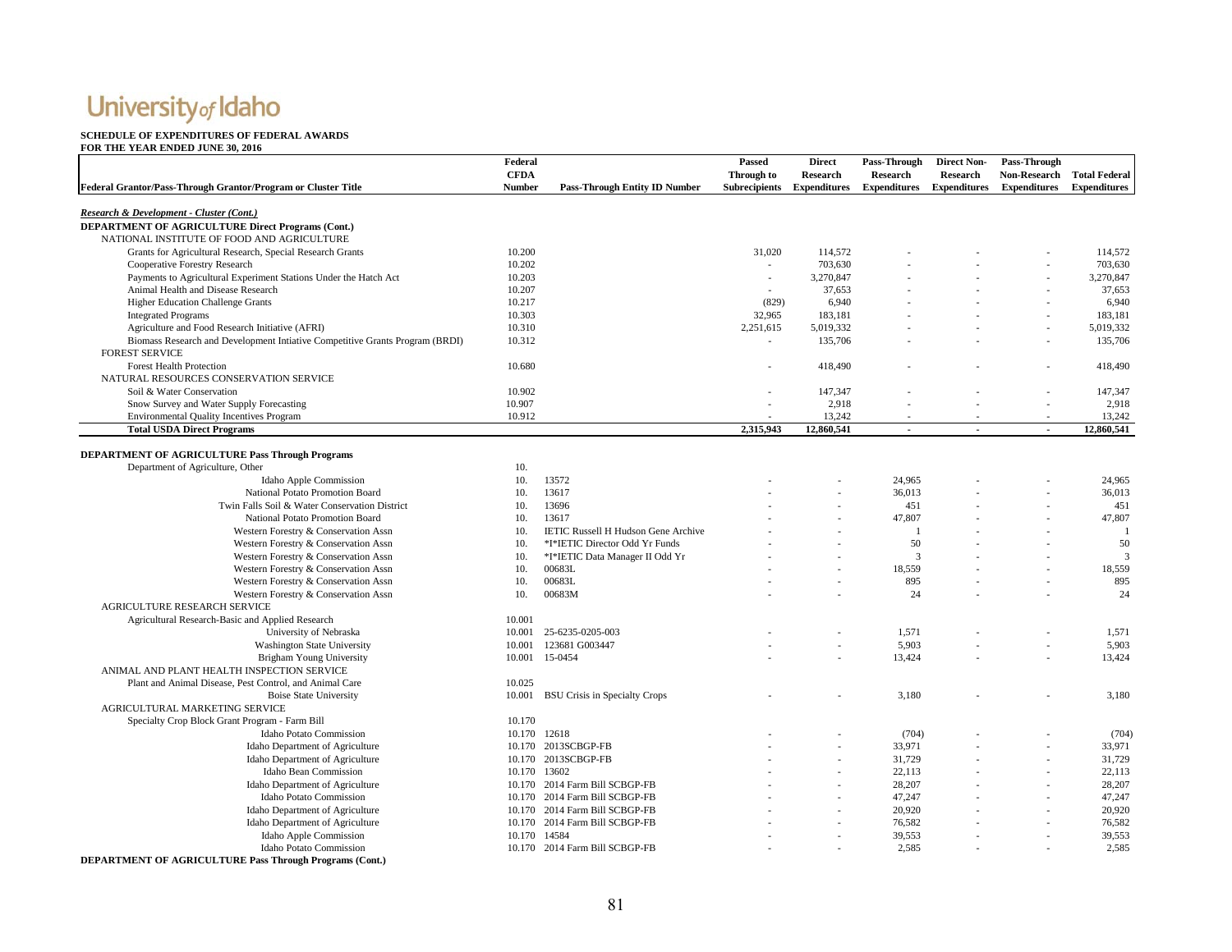#### **SCHEDULE OF EXPENDITURES OF FEDERAL AWARDS**

#### **FOR THE YEAR ENDED JUNE 30, 2016**

|                                                                                                        | Federal       |                                            | Passed               | <b>Direct</b>       | Pass-Through        | <b>Direct Non-</b>  | Pass-Through             |                      |
|--------------------------------------------------------------------------------------------------------|---------------|--------------------------------------------|----------------------|---------------------|---------------------|---------------------|--------------------------|----------------------|
|                                                                                                        | <b>CFDA</b>   |                                            | Through to           | Research            | Research            | Research            | <b>Non-Research</b>      | <b>Total Federal</b> |
| Federal Grantor/Pass-Through Grantor/Program or Cluster Title                                          | <b>Number</b> | <b>Pass-Through Entity ID Number</b>       | <b>Subrecipients</b> | <b>Expenditures</b> | <b>Expenditures</b> | <b>Expenditures</b> | <b>Expenditures</b>      | <b>Expenditures</b>  |
|                                                                                                        |               |                                            |                      |                     |                     |                     |                          |                      |
| Research & Development - Cluster (Cont.)                                                               |               |                                            |                      |                     |                     |                     |                          |                      |
| <b>DEPARTMENT OF AGRICULTURE Direct Programs (Cont.)</b><br>NATIONAL INSTITUTE OF FOOD AND AGRICULTURE |               |                                            |                      |                     |                     |                     |                          |                      |
| Grants for Agricultural Research, Special Research Grants                                              | 10.200        |                                            | 31,020               | 114,572             |                     |                     |                          | 114,572              |
| Cooperative Forestry Research                                                                          | 10.202        |                                            |                      | 703,630             |                     |                     |                          | 703,630              |
| Payments to Agricultural Experiment Stations Under the Hatch Act                                       | 10.203        |                                            | $\sim$               | 3,270,847           |                     |                     | ÷,                       | 3,270,847            |
| Animal Health and Disease Research                                                                     | 10.207        |                                            | $\sim$               | 37,653              |                     |                     |                          | 37,653               |
| <b>Higher Education Challenge Grants</b>                                                               | 10.217        |                                            | (829)                | 6,940               |                     |                     |                          | 6,940                |
| <b>Integrated Programs</b>                                                                             | 10.303        |                                            | 32,965               | 183,181             |                     |                     | ÷.                       | 183,181              |
| Agriculture and Food Research Initiative (AFRI)                                                        | 10.310        |                                            | 2,251,615            | 5,019,332           |                     |                     |                          | 5,019,332            |
| Biomass Research and Development Intiative Competitive Grants Program (BRDI)                           | 10.312        |                                            |                      | 135,706             |                     |                     |                          | 135,706              |
| <b>FOREST SERVICE</b>                                                                                  |               |                                            |                      |                     |                     |                     |                          |                      |
| <b>Forest Health Protection</b>                                                                        | 10.680        |                                            |                      | 418,490             |                     |                     |                          | 418,490              |
| NATURAL RESOURCES CONSERVATION SERVICE                                                                 |               |                                            |                      |                     |                     |                     |                          |                      |
| Soil & Water Conservation                                                                              | 10.902        |                                            |                      | 147,347             |                     |                     |                          | 147,347              |
| Snow Survey and Water Supply Forecasting                                                               | 10.907        |                                            |                      | 2,918               |                     |                     | ÷.                       | 2,918                |
| <b>Environmental Quality Incentives Program</b>                                                        | 10.912        |                                            |                      | 13,242              |                     |                     |                          | 13,242               |
| <b>Total USDA Direct Programs</b>                                                                      |               |                                            | 2,315,943            | 12,860,541          | $\sim$              | ÷,                  | $\sim$                   | 12,860,541           |
| DEPARTMENT OF AGRICULTURE Pass Through Programs                                                        |               |                                            |                      |                     |                     |                     |                          |                      |
|                                                                                                        | 10.           |                                            |                      |                     |                     |                     |                          |                      |
| Department of Agriculture, Other                                                                       | 10.           | 13572                                      |                      |                     | 24,965              |                     |                          | 24,965               |
| Idaho Apple Commission<br>National Potato Promotion Board                                              | 10.           | 13617                                      |                      |                     | 36,013              |                     |                          | 36,013               |
| Twin Falls Soil & Water Conservation District                                                          | 10.           | 13696                                      |                      |                     | 451                 |                     |                          | 451                  |
| National Potato Promotion Board                                                                        | 10.           | 13617                                      |                      |                     | 47,807              |                     |                          | 47,807               |
| Western Forestry & Conservation Assn                                                                   | 10.           | <b>IETIC Russell H Hudson Gene Archive</b> |                      |                     | $\blacksquare$      |                     |                          | $\overline{1}$       |
| Western Forestry & Conservation Assn                                                                   | 10.           | *I*IETIC Director Odd Yr Funds             |                      |                     | 50                  |                     |                          | 50                   |
| Western Forestry & Conservation Assn                                                                   | 10.           | *I*IETIC Data Manager II Odd Yr            |                      |                     | 3                   |                     |                          | 3                    |
| Western Forestry & Conservation Assn                                                                   | 10.           | 00683L                                     |                      |                     | 18,559              |                     | $\overline{\phantom{a}}$ | 18,559               |
| Western Forestry & Conservation Assn                                                                   | 10.           | 00683L                                     |                      |                     | 895                 |                     |                          | 895                  |
| Western Forestry & Conservation Assn                                                                   | 10.           | 00683M                                     |                      |                     | 24                  |                     |                          | 24                   |
| <b>AGRICULTURE RESEARCH SERVICE</b>                                                                    |               |                                            |                      |                     |                     |                     |                          |                      |
| Agricultural Research-Basic and Applied Research                                                       | 10.001        |                                            |                      |                     |                     |                     |                          |                      |
| University of Nebraska                                                                                 | 10.001        | 25-6235-0205-003                           |                      |                     | 1,571               |                     |                          | 1,571                |
| <b>Washington State University</b>                                                                     | 10.001        | 123681 G003447                             |                      | ÷,                  | 5,903               |                     | ÷,                       | 5,903                |
| <b>Brigham Young University</b>                                                                        | 10.001        | 15-0454                                    |                      |                     | 13,424              |                     |                          | 13,424               |
| ANIMAL AND PLANT HEALTH INSPECTION SERVICE                                                             |               |                                            |                      |                     |                     |                     |                          |                      |
| Plant and Animal Disease, Pest Control, and Animal Care                                                | 10.025        |                                            |                      |                     |                     |                     |                          |                      |
| <b>Boise State University</b>                                                                          | 10.001        | <b>BSU Crisis in Specialty Crops</b>       |                      |                     | 3,180               |                     |                          | 3,180                |
| AGRICULTURAL MARKETING SERVICE                                                                         |               |                                            |                      |                     |                     |                     |                          |                      |
| Specialty Crop Block Grant Program - Farm Bill                                                         | 10.170        |                                            |                      |                     |                     |                     |                          |                      |
| <b>Idaho Potato Commission</b>                                                                         |               | 10.170 12618                               |                      |                     | (704)               |                     |                          | (704)                |
| Idaho Department of Agriculture                                                                        |               | 10.170 2013SCBGP-FB                        |                      |                     | 33,971              |                     |                          | 33,971               |
| Idaho Department of Agriculture                                                                        |               | 10.170 2013SCBGP-FB                        |                      |                     | 31,729              |                     |                          | 31,729               |
| Idaho Bean Commission                                                                                  |               | 10.170 13602                               |                      |                     | 22,113              |                     |                          | 22,113               |
| Idaho Department of Agriculture                                                                        |               | 10.170 2014 Farm Bill SCBGP-FB             |                      |                     | 28,207              |                     | ×                        | 28,207               |
| <b>Idaho Potato Commission</b>                                                                         |               | 10.170 2014 Farm Bill SCBGP-FB             |                      |                     | 47,247              |                     |                          | 47,247               |
| Idaho Department of Agriculture                                                                        |               | 10.170 2014 Farm Bill SCBGP-FB             |                      |                     | 20,920              |                     |                          | 20,920               |
| Idaho Department of Agriculture                                                                        |               | 10.170 2014 Farm Bill SCBGP-FB             |                      |                     | 76,582              |                     | ÷,                       | 76,582               |
| Idaho Apple Commission                                                                                 |               | 10.170 14584                               |                      |                     | 39,553              |                     |                          | 39,553               |
| Idaho Potato Commission                                                                                |               | 10.170 2014 Farm Bill SCBGP-FB             |                      |                     | 2.585               |                     |                          | 2.585                |

**DEPARTMENT OF AGRICULTURE Pass Through Programs (Cont.)**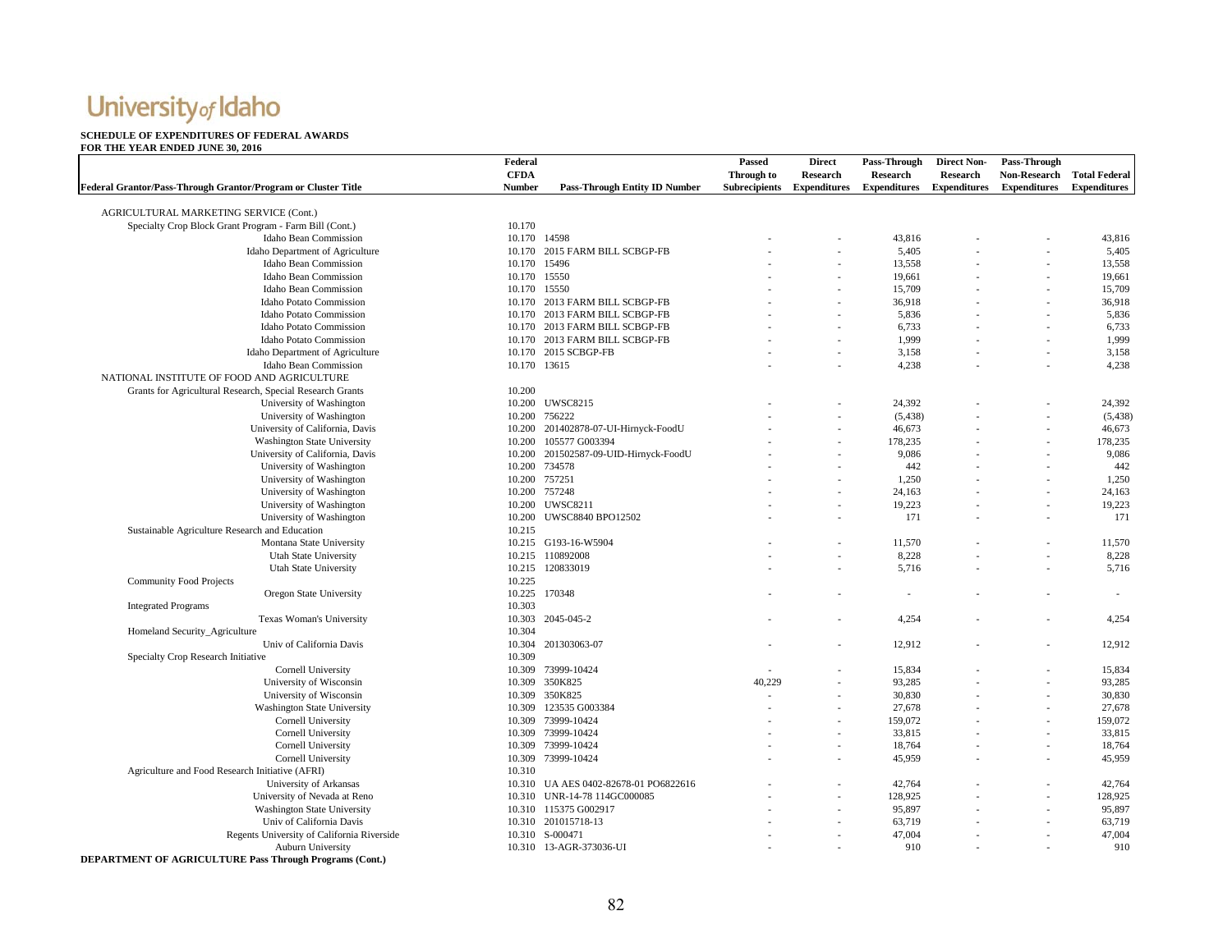### **SCHEDULE OF EXPENDITURES OF FEDERAL AWARDS FOR THE YEAR ENDED JUNE 30, 2016**

|                                                               | Federal       |                                       | Passed               | <b>Direct</b>            | Pass-Through        | <b>Direct Non-</b>  | Pass-Through               |                     |
|---------------------------------------------------------------|---------------|---------------------------------------|----------------------|--------------------------|---------------------|---------------------|----------------------------|---------------------|
|                                                               | <b>CFDA</b>   |                                       | <b>Through to</b>    | <b>Research</b>          | <b>Research</b>     | Research            | Non-Research Total Federal |                     |
| Federal Grantor/Pass-Through Grantor/Program or Cluster Title | Number        | <b>Pass-Through Entity ID Number</b>  | <b>Subrecipients</b> | <b>Expenditures</b>      | <b>Expenditures</b> | <b>Expenditures</b> | <b>Expenditures</b>        | <b>Expenditures</b> |
|                                                               |               |                                       |                      |                          |                     |                     |                            |                     |
| AGRICULTURAL MARKETING SERVICE (Cont.)                        |               |                                       |                      |                          |                     |                     |                            |                     |
| Specialty Crop Block Grant Program - Farm Bill (Cont.)        | 10.170        |                                       |                      |                          |                     |                     |                            |                     |
| Idaho Bean Commission                                         | 10.170 14598  |                                       |                      |                          | 43,816              |                     |                            | 43,816              |
| Idaho Department of Agriculture                               | 10.170        | 2015 FARM BILL SCBGP-FB               |                      |                          | 5,405               |                     |                            | 5,405               |
| Idaho Bean Commission                                         | 10.170 15496  |                                       |                      |                          | 13,558              |                     |                            | 13,558              |
| Idaho Bean Commission                                         | 10.170 15550  |                                       |                      |                          | 19,661              |                     |                            | 19,661              |
| Idaho Bean Commission                                         | 10.170 15550  |                                       |                      |                          | 15,709              |                     |                            | 15,709              |
| Idaho Potato Commission                                       |               | 10.170 2013 FARM BILL SCBGP-FB        |                      |                          | 36,918              |                     |                            | 36,918              |
| <b>Idaho Potato Commission</b>                                |               | 10.170 2013 FARM BILL SCBGP-FB        |                      |                          | 5,836               |                     |                            | 5,836               |
| Idaho Potato Commission                                       |               | 10.170 2013 FARM BILL SCBGP-FB        |                      |                          | 6,733               |                     |                            | 6,733               |
| <b>Idaho Potato Commission</b>                                |               | 10.170 2013 FARM BILL SCBGP-FB        |                      |                          | 1,999               |                     |                            | 1,999               |
| Idaho Department of Agriculture                               |               | 10.170 2015 SCBGP-FB                  |                      | $\overline{\phantom{a}}$ | 3,158               |                     |                            | 3,158               |
| Idaho Bean Commission                                         | 10.170 13615  |                                       |                      |                          | 4,238               |                     |                            | 4,238               |
| NATIONAL INSTITUTE OF FOOD AND AGRICULTURE                    |               |                                       |                      |                          |                     |                     |                            |                     |
| Grants for Agricultural Research, Special Research Grants     | 10.200        |                                       |                      |                          |                     |                     |                            |                     |
| University of Washington                                      |               | 10.200 UWSC8215                       |                      |                          | 24,392              |                     |                            | 24,392              |
| University of Washington                                      |               | 10.200 756222                         |                      |                          | (5, 438)            |                     |                            | (5, 438)            |
| University of California, Davis                               |               | 10.200 201402878-07-UI-Hirnyck-FoodU  |                      |                          | 46,673              |                     |                            | 46,673              |
| Washington State University                                   | 10.200        | 105577 G003394                        |                      |                          | 178,235             |                     |                            | 178,235             |
| University of California, Davis                               | 10.200        | 201502587-09-UID-Hirnyck-FoodU        |                      |                          | 9,086               |                     |                            | 9,086               |
| University of Washington                                      | 10.200        | 734578                                |                      |                          | 442                 |                     |                            | 442                 |
| University of Washington                                      | 10.200 757251 |                                       |                      |                          | 1,250               |                     |                            | 1,250               |
| University of Washington                                      |               | 10.200 757248                         |                      |                          | 24,163              |                     |                            | 24,163              |
| University of Washington                                      |               | 10.200 UWSC8211                       |                      |                          | 19,223              |                     |                            | 19,223              |
| University of Washington                                      |               | 10.200 UWSC8840 BPO12502              |                      |                          | 171                 |                     |                            | 171                 |
| Sustainable Agriculture Research and Education                | 10.215        |                                       |                      |                          |                     |                     |                            |                     |
| Montana State University                                      |               | 10.215 G193-16-W5904                  |                      |                          | 11,570              |                     |                            | 11,570              |
| <b>Utah State University</b>                                  |               | 10.215 110892008                      |                      |                          | 8,228               |                     |                            | 8,228               |
|                                                               |               | 10.215 120833019                      |                      |                          | 5,716               |                     |                            | 5,716               |
| <b>Utah State University</b>                                  |               |                                       |                      |                          |                     |                     |                            |                     |
| <b>Community Food Projects</b>                                | 10.225        |                                       |                      |                          |                     |                     |                            |                     |
| Oregon State University                                       |               | 10.225 170348                         |                      |                          |                     |                     |                            |                     |
| <b>Integrated Programs</b>                                    | 10.303        |                                       |                      |                          |                     |                     |                            |                     |
| Texas Woman's University                                      | 10.303        | 2045-045-2                            |                      |                          | 4,254               |                     |                            | 4,254               |
| Homeland Security_Agriculture                                 | 10.304        |                                       |                      |                          |                     |                     |                            |                     |
| Univ of California Davis                                      |               | 10.304 201303063-07                   |                      |                          | 12,912              |                     |                            | 12,912              |
| Specialty Crop Research Initiative                            | 10.309        |                                       |                      |                          |                     |                     |                            |                     |
| Cornell University                                            |               | 10.309 73999-10424                    |                      |                          | 15,834              |                     |                            | 15,834              |
| University of Wisconsin                                       | 10.309        | 350K825                               | 40.229               |                          | 93,285              |                     |                            | 93,285              |
| University of Wisconsin                                       |               | 10.309 350K825                        |                      |                          | 30,830              |                     |                            | 30,830              |
| Washington State University                                   | 10.309        | 123535 G003384                        |                      |                          | 27,678              |                     |                            | 27,678              |
| Cornell University                                            | 10.309        | 73999-10424                           |                      |                          | 159,072             |                     |                            | 159,072             |
| Cornell University                                            |               | 10.309 73999-10424                    |                      |                          | 33,815              |                     |                            | 33,815              |
| Cornell University                                            |               | 10.309 73999-10424                    |                      |                          | 18,764              |                     |                            | 18,764              |
| Cornell University                                            | 10.309        | 73999-10424                           |                      |                          | 45,959              |                     |                            | 45,959              |
| Agriculture and Food Research Initiative (AFRI)               | 10.310        |                                       |                      |                          |                     |                     |                            |                     |
| University of Arkansas                                        |               | 10.310 UA AES 0402-82678-01 PO6822616 |                      |                          | 42,764              |                     |                            | 42,764              |
| University of Nevada at Reno                                  | 10.310        | UNR-14-78 114GC000085                 |                      |                          | 128,925             |                     |                            | 128,925             |
| Washington State University                                   |               | 10.310 115375 G002917                 |                      |                          | 95,897              |                     |                            | 95,897              |
| Univ of California Davis                                      |               | 10.310 201015718-13                   |                      |                          | 63,719              |                     |                            | 63,719              |
| Regents University of California Riverside                    |               | 10.310 S-000471                       |                      |                          | 47,004              |                     |                            | 47,004              |
| <b>Auburn University</b>                                      |               | 10.310 13-AGR-373036-UI               |                      |                          | 910                 |                     |                            | 910                 |

**DEPARTMENT OF AGRICULTURE Pass Through Programs (Cont.)**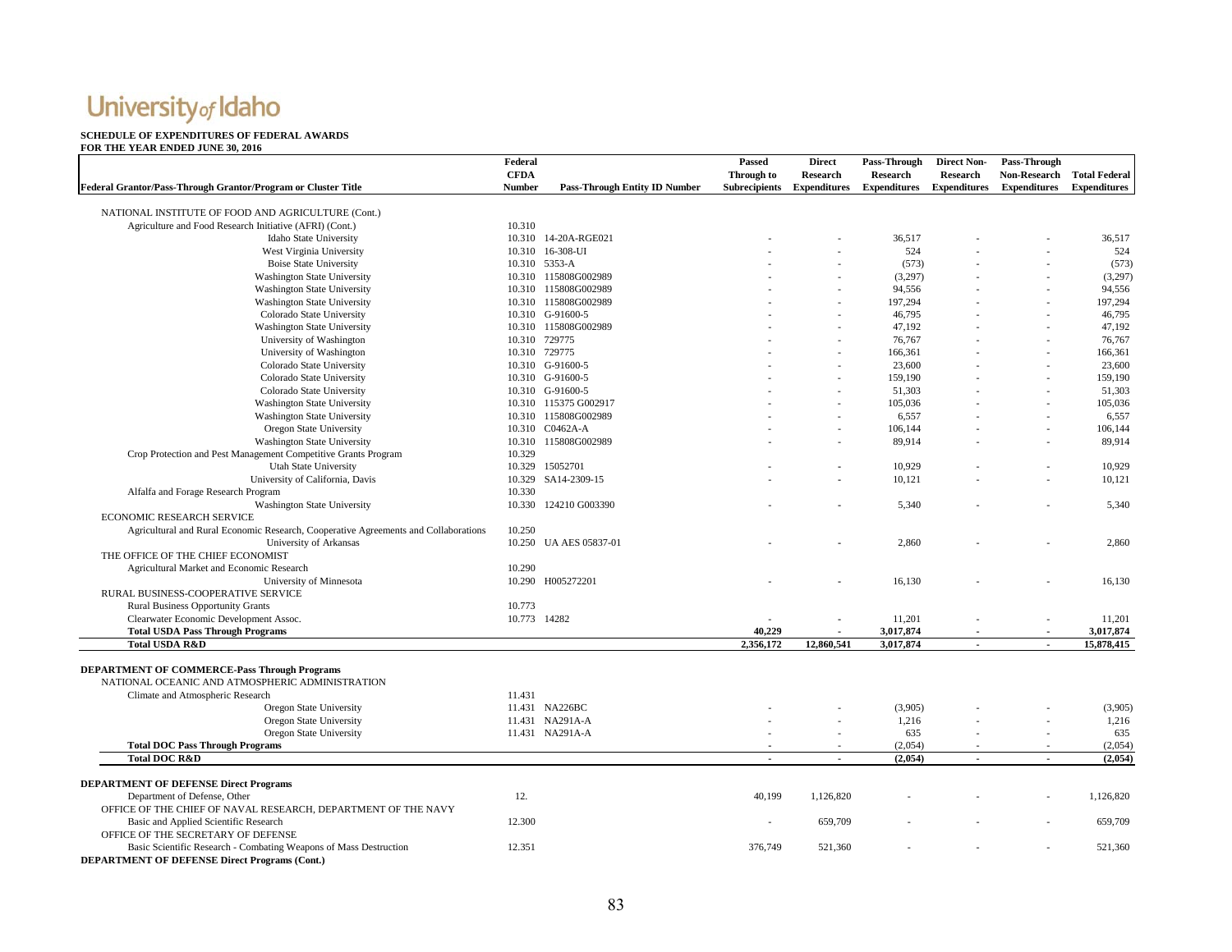#### **SCHEDULE OF EXPENDITURES OF FEDERAL AWARDSFOR THE YEAR ENDED JUNE 30, 2016**

#### **Federal Grantor/Pass-Through Grantor/Program or Cluster Title Federal CFDA Number Pass-Through Entity ID Number Passed Through to Subrecipients Direct Research Expenditures Pass-Through Research Expenditures Direct Non-Research Expenditures Pass-Through Non-Research Total Federal Expenditures Expenditures**  NATIONAL INSTITUTE OF FOOD AND AGRICULTURE (Cont.) Agriculture and Food Research Initiative (AFRI) (Cont.) 10.310 10.310 14-20A-RGE021 - - 36,517 - 36,517 - 36,517 - 36,517 - 36,517 - 36,517 - 36,517 - 36,517 - 36,517 - 36,517 - 36,517 - 36,517 - 36,517 - 36,517 - 36,517 - 36,517 - 36,517 - 36,517 - 36,517 - 36,517 - 36,517 - 36,517 -West Virginia University 10.310 16-308-UI 10.310 16-308-UI - - 524 - 524 - - 524 - - 524 Boise State University 10.310 5353-A (573) - (573) - (573) - (573) - (573) - (573) Washington State University 10.310 115808G002989 10.310 115808G002989 10.310 115808G002989 10.397) - (3,297) Washington State University 10.310 115808G002989 10.310 115808G002989 10.310 115808G002989 10.310 115808G002989 10.310 115808G002989 10.310 115808G002989 10.310 115808G002989 10.310 116808G002989 10.310 116808G002989 10.31 Washington State University 10.310 115808G002989 120310 10.310 115808G002989 120310 197,294 197,294 197,294 197,294 Colorado State University 10.310 G-91600-5 - - 46,795 - 46,795 - 46,795 - 46,795 - 46,795 - 46,795 - 46,795 - 46,795 Washington State University 10.310 115808G002989 - - 47,192 - 47,192 - 47,192 - 47,192 University of Washington 10.310 729775 10.310 729775 10.310 729775 10.310 729775 10.310 729775 10.310 729775 10.310 729775 10.310 729775 10.310 729775 10.310 729775 10.310 729775 10.310 729775 10.310 729775 10.310 729775 1 University of Washington 10.310 729775 10.310 729775 - 166,361 - 166,361 - 166,361 - 166,361 - 166,361 - 166,361 - 166,361 - 166,361 - 166,361 - 166,361 - 166,361 - 166,361 - 166,361 - 166,361 - 166,361 - 23,600 - 23,600 -Colorado State University 10.310 G-91600-5 - - 23,600 - 23,600 - 23,600 - 23,600 - 23,600 Colorado State University 10.310 G-91600-5 - 10.310 G-91600-5 - 159,190 - 159,190 - 159,190 Colorado State University 10.310 G-91600-5 10.310 G-91600-5 - - 51,303 - 51,303 - 51,303 Washington State University 10.310 115375 G002917 - 105,036 - - 105,036 - Washington State University 10.310 115808G002989 - - 6,557 - - 6,557 Oregon State University 10.310 CO462A-A 100.310 CO462A-A 100 100.144 100.144 - 106,144 100.144 Washington State University 10.310 115808G002989 - - - 89,914 - 89,914 - 89,914 - 89,914 - 89,914 - 89,914 - 89,914 - 89,914 - 89,914 - 89,914 - 89,914 - 89,914 - 89,914 - 89,914 - 89,914 - 89,914 - 89,914 - 89,914 - 89,91 Crop Protection and Pest Management Competitive Grants Program 10.329 Utah State University 10.329 15052701 - **-** 10,929 - - 10,929 University of California, Davis 10.329 SA14-2309-15 - **-** 10,121 - - 10,121 Alfalfa and Forage Research Program 10.330 Washington State University 10.330 124210 G003390 5,340 5,340 5,340 5,340 5,340 5,340 5,340 5,540 5,540 5,540 5,540 ECONOMIC RESEARCH SERVICEAgricultural and Rural Economic Research, Cooperative Agreements and Collaborations 10.250 University of Arkansas 10.250 UA AES 05837-01 - **-** 2,860 - - 2,860 THE OFFICE OF THE CHIEF ECONOMISTAgricultural Market and Economic Research 10.290 University of Minnesota 10.290 H005272201 10.290 H005272201 **- 10.290** - 16,130 - 16,130 - 16,130 RURAL BUSINESS-COOPERATIVE SERVICERural Business Opportunity Grants 10.773 Clearwater Economic Development Assoc. 10.773 14282 - **-** 11,201 - - 11,201 **Total USDA Pass Through Programs 5,017,874 10,229 10,229 10,229 10,229 10,229 11,874 11,874 11,874 11,874 11,874 11,874 11,874 11,874 11,874 11,874 11,874 11,874 11,874 11,874 11, Total USDA R&D 2,356,172 12,860,541 3,017,874 - 15,878,415 - DEPARTMENT OF COMMERCE-Pass Through Programs** NATIONAL OCEANIC AND ATMOSPHERIC ADMINISTRATIONClimate and Atmospheric Research 11.431 Oregon State University 11.431 11.431 NA226BC Oregon State University 19 (3,905) - 11.431 NA226BC - - - - - (3,905) - - - (3,905) - - - (3,905) Oregon State University 11.431 NA291A-A 1.216 - 1,216 - 1,216 - 1,216 Oregon State University 11.431 NA291A-A 11.431 NA291A-A 635 - 635 - 635 - 635 - 635 - 635 **Total DOC Pass Through Programs** (2,054) - (2,054) - (2,054) - (2,054) - (2,054) - (2,054) - (2,054) - (2,054) - (2,054) - (2,054) - (2,054) - (2,054) - (2,054) - (2,054) - (2,054) - (2,054) - (2,054) - (2,054) - (2,054) **Total DOC R&D - - (2,054) - - (2,054) DEPARTMENT OF DEFENSE Direct Programs** Department of Defense, Other 1.126,820 - 1,126,820 - 1,126,820 - 1,126,820 - 1,126,820 - 1,126,820 - 1,126,820 OFFICE OF THE CHIEF OF NAVAL RESEARCH, DEPARTMENT OF THE NAVY Basic and Applied Scientific Research **12.300** 12.300 **12.300** 12.300 **12.300** 1 12.300 **12.300** 1 12.300 12.300 12.300 12.300 12.300 12.300 12.300 12.300 12.300 12.300 12.300 12.300 12.300 12.300 12.300 12.300 12.300 12.3 OFFICE OF THE SECRETARY OF DEFENSEBasic Scientific Research - Combating Weapons of Mass Destruction 12.351 12.351 376,749 376,749 521,360 - - 521,360 **DEPARTMENT OF DEFENSE Direct Programs (Cont.)**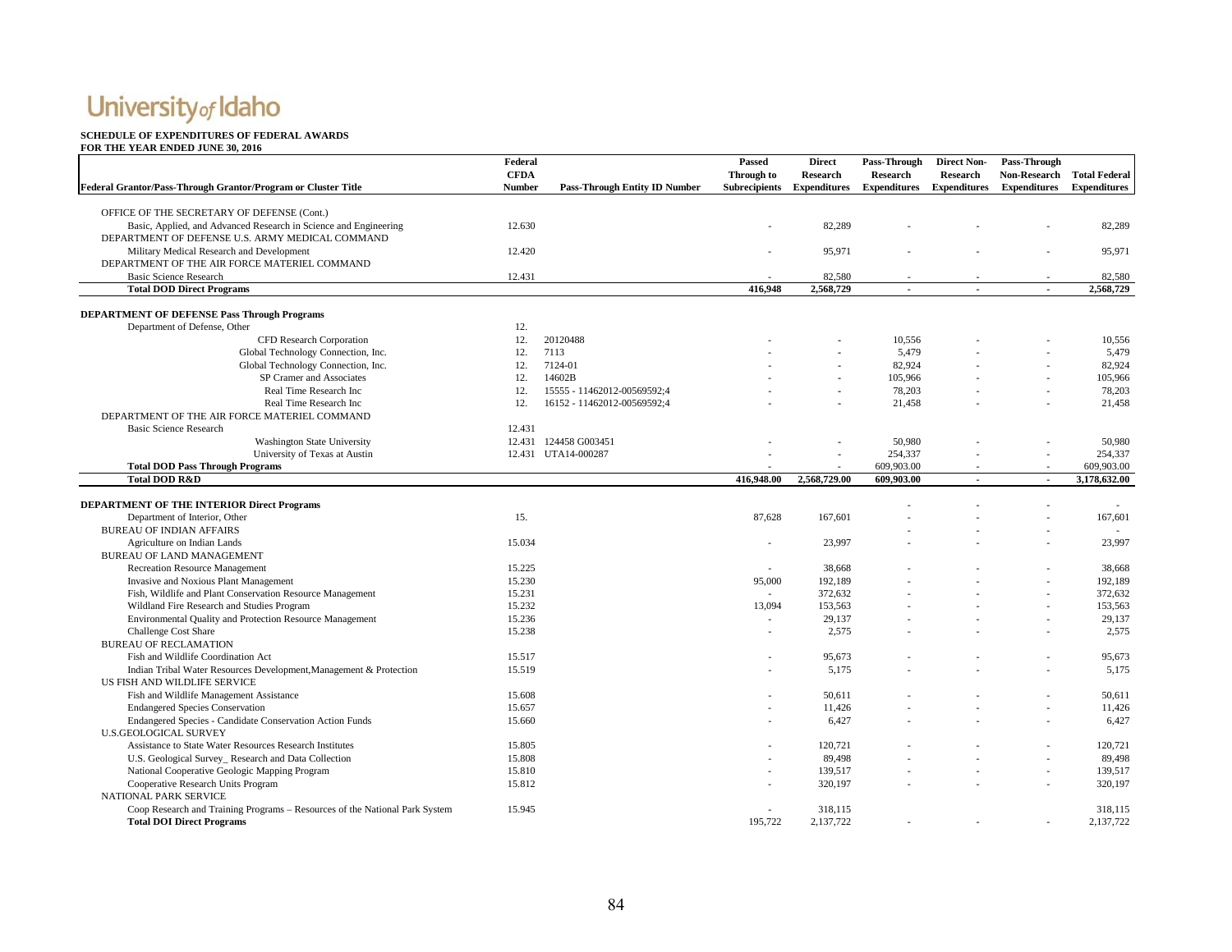#### **SCHEDULE OF EXPENDITURES OF FEDERAL AWARDS**

|                                                                             | Federal       |                                      | <b>Passed</b>        | <b>Direct</b>       | Pass-Through        | <b>Direct Non-</b>  | Pass-Through               |                     |
|-----------------------------------------------------------------------------|---------------|--------------------------------------|----------------------|---------------------|---------------------|---------------------|----------------------------|---------------------|
|                                                                             | <b>CFDA</b>   |                                      | Through to           | <b>Research</b>     | <b>Research</b>     | <b>Research</b>     | Non-Research Total Federal |                     |
| Federal Grantor/Pass-Through Grantor/Program or Cluster Title               | <b>Number</b> | <b>Pass-Through Entity ID Number</b> | <b>Subrecipients</b> | <b>Expenditures</b> | <b>Expenditures</b> | <b>Expenditures</b> | <b>Expenditures</b>        | <b>Expenditures</b> |
|                                                                             |               |                                      |                      |                     |                     |                     |                            |                     |
| OFFICE OF THE SECRETARY OF DEFENSE (Cont.)                                  |               |                                      |                      |                     |                     |                     |                            |                     |
| Basic, Applied, and Advanced Research in Science and Engineering            | 12.630        |                                      |                      | 82,289              |                     |                     |                            | 82,289              |
| DEPARTMENT OF DEFENSE U.S. ARMY MEDICAL COMMAND                             |               |                                      |                      |                     |                     |                     |                            |                     |
| Military Medical Research and Development                                   | 12.420        |                                      |                      | 95,971              |                     |                     |                            | 95,971              |
| DEPARTMENT OF THE AIR FORCE MATERIEL COMMAND                                |               |                                      |                      |                     |                     |                     |                            |                     |
| <b>Basic Science Research</b>                                               | 12.431        |                                      |                      | 82,580              |                     |                     |                            | 82,580              |
| <b>Total DOD Direct Programs</b>                                            |               |                                      | 416,948              | 2,568,729           |                     |                     |                            | 2,568,729           |
|                                                                             |               |                                      |                      |                     |                     |                     |                            |                     |
| <b>DEPARTMENT OF DEFENSE Pass Through Programs</b>                          |               |                                      |                      |                     |                     |                     |                            |                     |
| Department of Defense, Other                                                | 12.           |                                      |                      |                     |                     |                     |                            |                     |
| CFD Research Corporation                                                    | 12.           | 20120488                             |                      |                     | 10,556              |                     |                            | 10,556              |
| Global Technology Connection, Inc.                                          | 12.           | 7113                                 |                      |                     | 5,479               |                     |                            | 5,479               |
| Global Technology Connection, Inc.                                          | 12.           | 7124-01                              |                      |                     | 82,924              |                     |                            | 82,924              |
| SP Cramer and Associates                                                    | 12.           | 14602B                               |                      |                     | 105,966             |                     |                            | 105,966             |
| Real Time Research Inc.                                                     | 12.           | 15555 - 11462012-00569592;4          |                      |                     | 78,203              |                     |                            | 78,203              |
| Real Time Research Inc.                                                     | 12.           | 16152 - 11462012-00569592;4          |                      |                     | 21.458              |                     |                            | 21.458              |
| DEPARTMENT OF THE AIR FORCE MATERIEL COMMAND                                |               |                                      |                      |                     |                     |                     |                            |                     |
| <b>Basic Science Research</b>                                               | 12.431        |                                      |                      |                     |                     |                     |                            |                     |
| <b>Washington State University</b>                                          |               | 12.431 124458 G003451                |                      |                     | 50,980              |                     |                            | 50,980              |
| University of Texas at Austin                                               |               | 12.431 UTA14-000287                  |                      |                     | 254,337             |                     |                            | 254,337             |
| <b>Total DOD Pass Through Programs</b>                                      |               |                                      |                      |                     | 609,903.00          |                     |                            | 609,903.00          |
| <b>Total DOD R&amp;D</b>                                                    |               |                                      | 416,948.00           | 2,568,729.00        | 609,903.00          | $\blacksquare$      | $\blacksquare$             | 3,178,632.00        |
| DEPARTMENT OF THE INTERIOR Direct Programs                                  |               |                                      |                      |                     |                     |                     |                            |                     |
|                                                                             | 15.           |                                      | 87,628               | 167,601             |                     |                     |                            | 167,601             |
| Department of Interior, Other                                               |               |                                      |                      |                     |                     |                     |                            |                     |
| <b>BUREAU OF INDIAN AFFAIRS</b>                                             | 15.034        |                                      |                      | 23.997              |                     |                     |                            | 23,997              |
| Agriculture on Indian Lands                                                 |               |                                      |                      |                     |                     |                     |                            |                     |
| <b>BUREAU OF LAND MANAGEMENT</b>                                            |               |                                      |                      |                     |                     |                     |                            |                     |
| <b>Recreation Resource Management</b>                                       | 15.225        |                                      |                      | 38,668              |                     |                     |                            | 38,668              |
| Invasive and Noxious Plant Management                                       | 15.230        |                                      | 95,000               | 192,189             |                     |                     |                            | 192,189             |
| Fish, Wildlife and Plant Conservation Resource Management                   | 15.231        |                                      |                      | 372,632             |                     |                     |                            | 372,632             |
| Wildland Fire Research and Studies Program                                  | 15.232        |                                      | 13.094               | 153,563             |                     |                     |                            | 153,563             |
| Environmental Quality and Protection Resource Management                    | 15.236        |                                      |                      | 29,137              |                     |                     |                            | 29,137              |
| <b>Challenge Cost Share</b>                                                 | 15.238        |                                      |                      | 2,575               |                     |                     |                            | 2,575               |
| <b>BUREAU OF RECLAMATION</b>                                                |               |                                      |                      |                     |                     |                     |                            |                     |
| Fish and Wildlife Coordination Act                                          | 15.517        |                                      |                      | 95,673              |                     |                     |                            | 95,673              |
| Indian Tribal Water Resources Development, Management & Protection          | 15.519        |                                      |                      | 5,175               |                     |                     |                            | 5,175               |
| US FISH AND WILDLIFE SERVICE                                                |               |                                      |                      |                     |                     |                     |                            |                     |
| Fish and Wildlife Management Assistance                                     | 15.608        |                                      |                      | 50,611              |                     |                     |                            | 50,611              |
| <b>Endangered Species Conservation</b>                                      | 15.657        |                                      |                      | 11,426              |                     |                     | ÷,                         | 11,426              |
| Endangered Species - Candidate Conservation Action Funds                    | 15.660        |                                      |                      | 6,427               |                     |                     |                            | 6,427               |
| <b>U.S.GEOLOGICAL SURVEY</b>                                                |               |                                      |                      |                     |                     |                     |                            |                     |
| Assistance to State Water Resources Research Institutes                     | 15.805        |                                      |                      | 120,721             |                     |                     |                            | 120,721             |
| U.S. Geological Survey_Research and Data Collection                         | 15.808        |                                      |                      | 89,498              |                     |                     |                            | 89,498              |
| National Cooperative Geologic Mapping Program                               | 15.810        |                                      |                      | 139,517             |                     |                     | ÷.                         | 139,517             |
| Cooperative Research Units Program                                          | 15.812        |                                      |                      | 320,197             |                     |                     |                            | 320.197             |
| NATIONAL PARK SERVICE                                                       |               |                                      |                      |                     |                     |                     |                            |                     |
| Coop Research and Training Programs - Resources of the National Park System | 15.945        |                                      |                      | 318,115             |                     |                     |                            | 318,115             |
| <b>Total DOI Direct Programs</b>                                            |               |                                      | 195.722              | 2,137,722           |                     |                     |                            | 2,137,722           |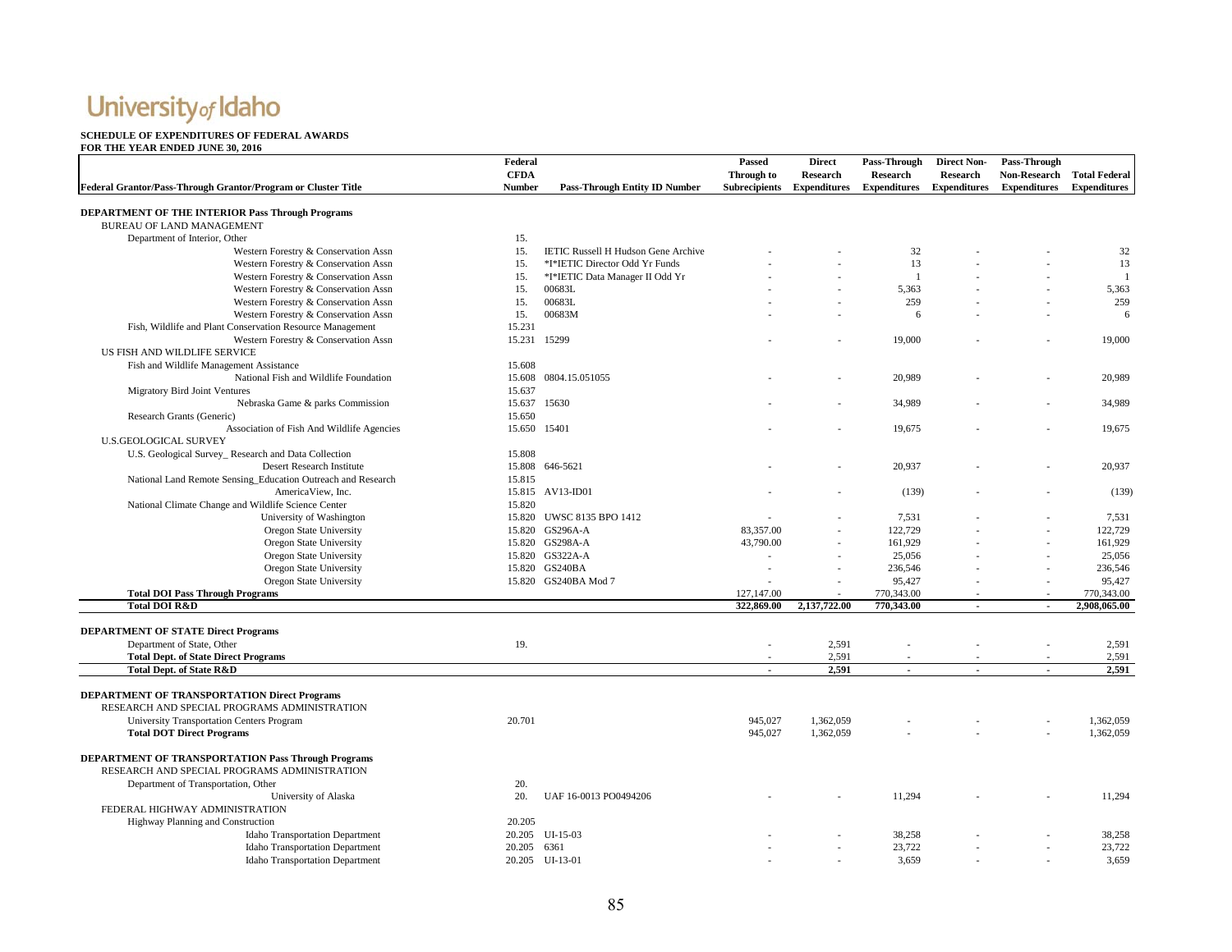### **SCHEDULE OF EXPENDITURES OF FEDERAL AWARDS**

| Federal Grantor/Pass-Through Grantor/Program or Cluster Title               | Federal<br><b>CFDA</b><br><b>Number</b> | <b>Pass-Through Entity ID Number</b>       | Passed<br>Through to<br><b>Subrecipients</b> | <b>Direct</b><br>Research<br><b>Expenditures</b> | Pass-Through<br>Research<br><b>Expenditures</b> | <b>Direct Non-</b><br><b>Research</b><br><b>Expenditures</b> | Pass-Through<br><b>Non-Research</b><br><b>Expenditures</b> | <b>Total Federal</b><br><b>Expenditures</b> |
|-----------------------------------------------------------------------------|-----------------------------------------|--------------------------------------------|----------------------------------------------|--------------------------------------------------|-------------------------------------------------|--------------------------------------------------------------|------------------------------------------------------------|---------------------------------------------|
| <b>DEPARTMENT OF THE INTERIOR Pass Through Programs</b>                     |                                         |                                            |                                              |                                                  |                                                 |                                                              |                                                            |                                             |
| BUREAU OF LAND MANAGEMENT                                                   |                                         |                                            |                                              |                                                  |                                                 |                                                              |                                                            |                                             |
| Department of Interior, Other                                               | 15.                                     |                                            |                                              |                                                  |                                                 |                                                              |                                                            |                                             |
| Western Forestry & Conservation Assn                                        | 15.                                     | <b>IETIC Russell H Hudson Gene Archive</b> |                                              |                                                  | 32                                              |                                                              |                                                            | 32                                          |
| Western Forestry & Conservation Assn                                        | 15.                                     | *I*IETIC Director Odd Yr Funds             |                                              |                                                  | 13                                              |                                                              |                                                            | 13                                          |
| Western Forestry & Conservation Assn                                        | 15.                                     | *I*IETIC Data Manager II Odd Yr            |                                              |                                                  | $\mathbf{1}$                                    |                                                              |                                                            | -1                                          |
| Western Forestry & Conservation Assn                                        | 15.                                     | 00683L                                     |                                              |                                                  | 5,363                                           |                                                              |                                                            | 5,363                                       |
| Western Forestry & Conservation Assn                                        | 15.                                     | 00683L                                     |                                              |                                                  | 259                                             |                                                              |                                                            | 259                                         |
| Western Forestry & Conservation Assn                                        | 15.                                     | 00683M                                     |                                              |                                                  | 6                                               |                                                              |                                                            | 6                                           |
| Fish, Wildlife and Plant Conservation Resource Management                   | 15.231                                  |                                            |                                              |                                                  |                                                 |                                                              |                                                            |                                             |
| Western Forestry & Conservation Assn                                        | 15.231 15299                            |                                            |                                              |                                                  | 19,000                                          |                                                              |                                                            | 19,000                                      |
| US FISH AND WILDLIFE SERVICE                                                |                                         |                                            |                                              |                                                  |                                                 |                                                              |                                                            |                                             |
| Fish and Wildlife Management Assistance                                     | 15.608                                  |                                            |                                              |                                                  |                                                 |                                                              |                                                            |                                             |
| National Fish and Wildlife Foundation                                       |                                         | 15.608 0804.15.051055                      |                                              |                                                  | 20,989                                          |                                                              |                                                            | 20,989                                      |
| Migratory Bird Joint Ventures                                               | 15.637                                  |                                            |                                              |                                                  |                                                 |                                                              |                                                            |                                             |
| Nebraska Game & parks Commission                                            | 15.637 15630                            |                                            |                                              |                                                  | 34,989                                          |                                                              |                                                            | 34,989                                      |
| Research Grants (Generic)                                                   | 15.650                                  |                                            |                                              |                                                  |                                                 |                                                              |                                                            |                                             |
| Association of Fish And Wildlife Agencies                                   | 15.650 15401                            |                                            |                                              |                                                  | 19,675                                          |                                                              |                                                            | 19,675                                      |
| <b>U.S.GEOLOGICAL SURVEY</b>                                                |                                         |                                            |                                              |                                                  |                                                 |                                                              |                                                            |                                             |
| U.S. Geological Survey_Research and Data Collection                         | 15.808                                  |                                            |                                              |                                                  |                                                 |                                                              |                                                            |                                             |
| Desert Research Institute                                                   |                                         | 646-5621                                   |                                              |                                                  | 20,937                                          |                                                              |                                                            | 20,937                                      |
| National Land Remote Sensing_Education Outreach and Research                | 15.808<br>15.815                        |                                            |                                              |                                                  |                                                 |                                                              |                                                            |                                             |
| AmericaView, Inc.                                                           |                                         | 15.815 AV13-ID01                           |                                              |                                                  |                                                 |                                                              |                                                            | (139)                                       |
| National Climate Change and Wildlife Science Center                         | 15.820                                  |                                            |                                              |                                                  | (139)                                           |                                                              |                                                            |                                             |
|                                                                             |                                         |                                            |                                              |                                                  |                                                 |                                                              |                                                            |                                             |
| University of Washington                                                    |                                         | 15.820 UWSC 8135 BPO 1412                  |                                              |                                                  | 7,531                                           |                                                              |                                                            | 7,531                                       |
| Oregon State University                                                     |                                         | 15.820 GS296A-A                            | 83,357.00                                    |                                                  | 122,729                                         |                                                              |                                                            | 122,729                                     |
| Oregon State University                                                     |                                         | 15.820 GS298A-A                            | 43,790.00                                    |                                                  | 161,929                                         |                                                              |                                                            | 161,929                                     |
| Oregon State University                                                     |                                         | 15.820 GS322A-A                            |                                              |                                                  | 25,056                                          |                                                              |                                                            | 25,056                                      |
| Oregon State University                                                     |                                         | 15.820 GS240BA                             | ä,                                           |                                                  | 236,546                                         |                                                              |                                                            | 236,546                                     |
| Oregon State University                                                     |                                         | 15.820 GS240BA Mod 7                       |                                              |                                                  | 95,427                                          |                                                              |                                                            | 95,427                                      |
| <b>Total DOI Pass Through Programs</b>                                      |                                         |                                            | 127,147.00                                   |                                                  | 770,343.00                                      |                                                              |                                                            | 770,343.00                                  |
| <b>Total DOI R&amp;D</b>                                                    |                                         |                                            | 322,869.00                                   | 2,137,722.00                                     | 770,343.00                                      | $\overline{a}$                                               | $\sim$                                                     | 2,908,065.00                                |
| <b>DEPARTMENT OF STATE Direct Programs</b>                                  |                                         |                                            |                                              |                                                  |                                                 |                                                              |                                                            |                                             |
| Department of State, Other                                                  | 19.                                     |                                            |                                              | 2,591                                            |                                                 |                                                              |                                                            | 2,591                                       |
| <b>Total Dept. of State Direct Programs</b>                                 |                                         |                                            |                                              | 2,591                                            |                                                 |                                                              |                                                            | 2,591                                       |
| <b>Total Dept. of State R&amp;D</b>                                         |                                         |                                            |                                              | 2,591                                            | $\overline{a}$                                  | $\overline{a}$                                               |                                                            | 2,591                                       |
|                                                                             |                                         |                                            |                                              |                                                  |                                                 |                                                              |                                                            |                                             |
| <b>DEPARTMENT OF TRANSPORTATION Direct Programs</b>                         |                                         |                                            |                                              |                                                  |                                                 |                                                              |                                                            |                                             |
| RESEARCH AND SPECIAL PROGRAMS ADMINISTRATION                                |                                         |                                            |                                              |                                                  |                                                 |                                                              |                                                            |                                             |
| <b>University Transportation Centers Program</b>                            | 20.701                                  |                                            | 945,027                                      | 1,362,059                                        |                                                 |                                                              |                                                            | 1,362,059                                   |
| <b>Total DOT Direct Programs</b>                                            |                                         |                                            | 945,027                                      | 1,362,059                                        |                                                 |                                                              |                                                            | 1,362,059                                   |
| <b>DEPARTMENT OF TRANSPORTATION Pass Through Programs</b>                   |                                         |                                            |                                              |                                                  |                                                 |                                                              |                                                            |                                             |
| RESEARCH AND SPECIAL PROGRAMS ADMINISTRATION                                |                                         |                                            |                                              |                                                  |                                                 |                                                              |                                                            |                                             |
| Department of Transportation, Other                                         | 20.                                     |                                            |                                              |                                                  |                                                 |                                                              |                                                            |                                             |
| University of Alaska                                                        | 20.                                     | UAF 16-0013 PO0494206                      |                                              |                                                  | 11,294                                          |                                                              |                                                            | 11,294                                      |
| FEDERAL HIGHWAY ADMINISTRATION                                              |                                         |                                            |                                              |                                                  |                                                 |                                                              |                                                            |                                             |
|                                                                             | 20.205                                  |                                            |                                              |                                                  |                                                 |                                                              |                                                            |                                             |
| Highway Planning and Construction<br><b>Idaho Transportation Department</b> |                                         | 20.205 UI-15-03                            |                                              |                                                  | 38,258                                          |                                                              |                                                            | 38,258                                      |
|                                                                             |                                         |                                            |                                              |                                                  | 23,722                                          |                                                              |                                                            | 23,722                                      |
| <b>Idaho Transportation Department</b>                                      | 20.205 6361                             | 20.205 UI-13-01                            |                                              |                                                  | 3,659                                           |                                                              |                                                            | 3,659                                       |
| <b>Idaho Transportation Department</b>                                      |                                         |                                            |                                              |                                                  |                                                 |                                                              |                                                            |                                             |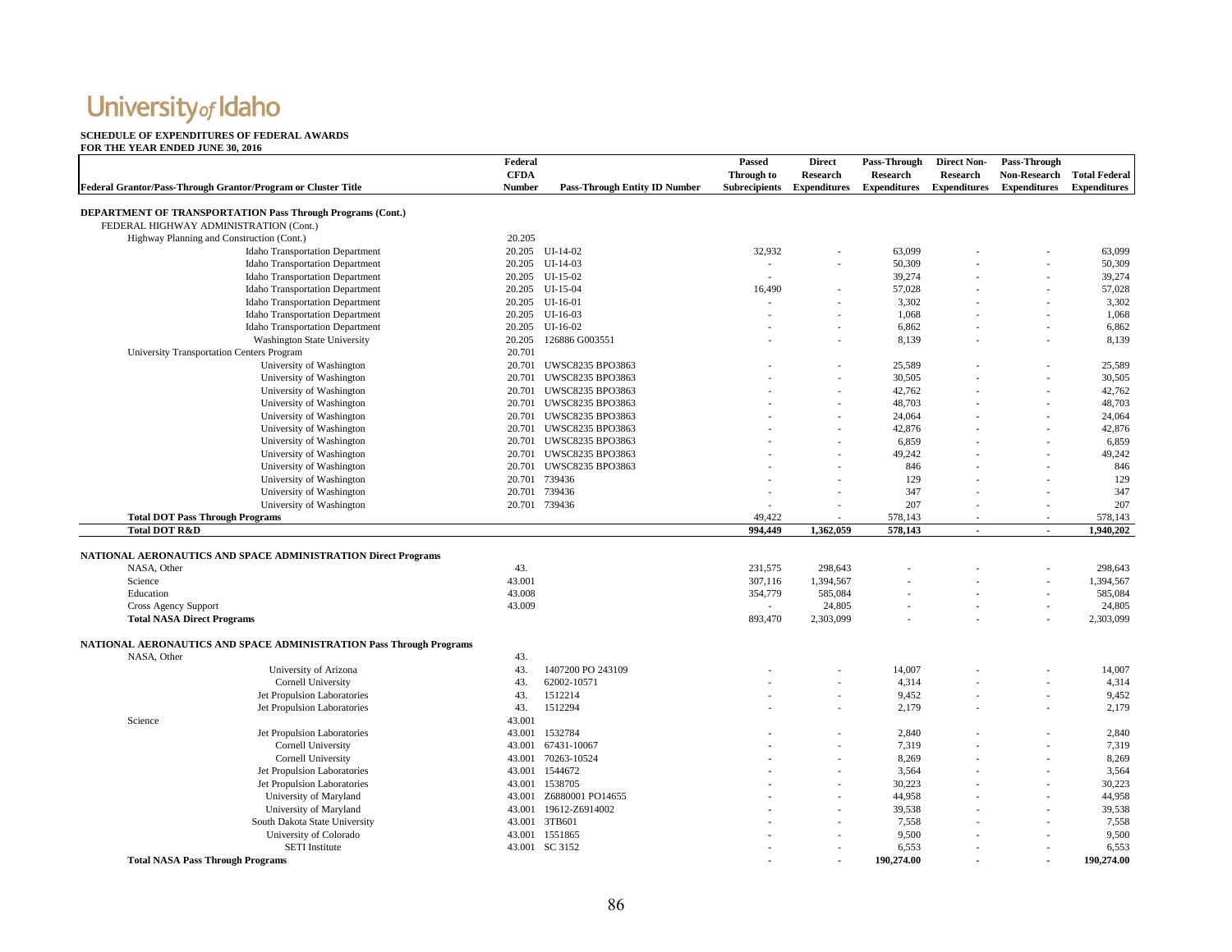#### **SCHEDULE OF EXPENDITURES OF FEDERAL AWARDS**

| <b>CFDA</b><br>Through to<br><b>Research</b><br><b>Research</b><br>Research<br><b>Non-Research</b><br><b>Total Federal</b><br>Federal Grantor/Pass-Through Grantor/Program or Cluster Title<br>Number<br><b>Pass-Through Entity ID Number</b><br>Subrecipients Expenditures<br><b>Expenditures</b><br><b>Expenditures</b><br><b>Expenditures</b><br><b>Expenditures</b><br><b>DEPARTMENT OF TRANSPORTATION Pass Through Programs (Cont.)</b><br>FEDERAL HIGHWAY ADMINISTRATION (Cont.)<br>20.205<br>Highway Planning and Construction (Cont.)<br>Idaho Transportation Department<br>20.205 UI-14-02<br>32,932<br>63,099<br>63,099<br><b>Idaho Transportation Department</b><br>20.205 UI-14-03<br>50,309<br>50,309<br>÷.<br>$UI-15-02$<br>39,274<br>39,274<br><b>Idaho Transportation Department</b><br>20.205<br>57,028<br><b>Idaho Transportation Department</b><br>20.205 UI-15-04<br>16.490<br>57,028<br>Idaho Transportation Department<br>3,302<br>3,302<br>20.205 UI-16-01<br>1,068<br><b>Idaho Transportation Department</b><br>20.205<br>$UI-16-03$<br>1,068<br>6,862<br><b>Idaho Transportation Department</b><br>20.205 UI-16-02<br>6,862<br>8,139<br><b>Washington State University</b><br>20.205 126886 G003551<br>8,139<br>University Transportation Centers Program<br>20.701<br>University of Washington<br><b>UWSC8235 BPO3863</b><br>25,589<br>25,589<br>20.701<br>University of Washington<br>30,505<br>30,505<br>20.701<br>UWSC8235 BPO3863<br>University of Washington<br>20.701<br><b>UWSC8235 BPO3863</b><br>42,762<br>42,762<br>48,703<br>48,703<br>University of Washington<br>20.701 UWSC8235 BPO3863<br>University of Washington<br>20.701 UWSC8235 BPO3863<br>24,064<br>24,064<br>UWSC8235 BPO3863<br>42,876<br>42,876<br>University of Washington<br>20.701<br>6,859<br>University of Washington<br>20.701 UWSC8235 BPO3863<br>6,859<br>49,242<br>University of Washington<br>20.701 UWSC8235 BPO3863<br>49,242<br>846<br>846<br>University of Washington<br>20.701<br><b>UWSC8235 BPO3863</b><br>129<br>University of Washington<br>20.701 739436<br>129<br>347<br>University of Washington<br>20.701 739436<br>347<br>20.701 739436<br>207<br>207<br>University of Washington<br><b>Total DOT Pass Through Programs</b><br>49.422<br>578,143<br>578,143<br><b>Total DOT R&amp;D</b><br>994,449<br>1,362,059<br>578,143<br>1,940,202<br>$\sim$<br>$\sim$<br><b>NATIONAL AERONAUTICS AND SPACE ADMINISTRATION Direct Programs</b><br>43.<br>231.575<br>298,643<br>298,643<br>NASA, Other<br>43.001<br>307,116<br>1,394,567<br>1,394,567<br>Science<br>43.008<br>585,084<br>585,084<br>Education<br>354,779<br>43.009<br>24,805<br><b>Cross Agency Support</b><br>24,805<br>$\sim$<br><b>Total NASA Direct Programs</b><br>893,470<br>2,303,099<br>2,303,099<br>NATIONAL AERONAUTICS AND SPACE ADMINISTRATION Pass Through Programs<br>NASA, Other<br>43.<br>43.<br>1407200 PO 243109<br>14,007<br>14,007<br>University of Arizona<br>Cornell University<br>43.<br>62002-10571<br>4,314<br>4,314<br>$\overline{\phantom{a}}$<br>Jet Propulsion Laboratories<br>43.<br>1512214<br>9,452<br>9,452<br>Jet Propulsion Laboratories<br>43.<br>1512294<br>2,179<br>2,179<br>43.001<br>Science<br>Jet Propulsion Laboratories<br>43.001 1532784<br>2,840<br>2,840<br>7,319<br>Cornell University<br>43.001<br>67431-10067<br>7,319<br>Cornell University<br>43.001<br>70263-10524<br>8,269<br>8,269<br>Jet Propulsion Laboratories<br>43.001 1544672<br>3,564<br>3,564<br>30,223<br>Jet Propulsion Laboratories<br>43.001 1538705<br>30,223<br>44,958<br>44,958<br>University of Maryland<br>43.001<br>Z6880001 PO14655<br>University of Maryland<br>39,538<br>39,538<br>43.001<br>19612-Z6914002<br>South Dakota State University<br>7,558<br>43.001 3TB601<br>7,558<br>9,500<br>University of Colorado<br>43.001 1551865<br>9,500<br>43.001 SC 3152<br>6,553<br><b>SETI</b> Institute<br>6,553<br>190.274.00<br><b>Total NASA Pass Through Programs</b><br>190.274.00 | Federal | Passed | <b>Direct</b> | Pass-Through | <b>Direct Non-</b> | Pass-Through |  |
|----------------------------------------------------------------------------------------------------------------------------------------------------------------------------------------------------------------------------------------------------------------------------------------------------------------------------------------------------------------------------------------------------------------------------------------------------------------------------------------------------------------------------------------------------------------------------------------------------------------------------------------------------------------------------------------------------------------------------------------------------------------------------------------------------------------------------------------------------------------------------------------------------------------------------------------------------------------------------------------------------------------------------------------------------------------------------------------------------------------------------------------------------------------------------------------------------------------------------------------------------------------------------------------------------------------------------------------------------------------------------------------------------------------------------------------------------------------------------------------------------------------------------------------------------------------------------------------------------------------------------------------------------------------------------------------------------------------------------------------------------------------------------------------------------------------------------------------------------------------------------------------------------------------------------------------------------------------------------------------------------------------------------------------------------------------------------------------------------------------------------------------------------------------------------------------------------------------------------------------------------------------------------------------------------------------------------------------------------------------------------------------------------------------------------------------------------------------------------------------------------------------------------------------------------------------------------------------------------------------------------------------------------------------------------------------------------------------------------------------------------------------------------------------------------------------------------------------------------------------------------------------------------------------------------------------------------------------------------------------------------------------------------------------------------------------------------------------------------------------------------------------------------------------------------------------------------------------------------------------------------------------------------------------------------------------------------------------------------------------------------------------------------------------------------------------------------------------------------------------------------------------------------------------------------------------------------------------------------------------------------------------------------------------------------------------------------------------------------------------------------------------------------------------------------------------------------------------------------------------------------------------------------------------------------------------------------------------------------------------------|---------|--------|---------------|--------------|--------------------|--------------|--|
|                                                                                                                                                                                                                                                                                                                                                                                                                                                                                                                                                                                                                                                                                                                                                                                                                                                                                                                                                                                                                                                                                                                                                                                                                                                                                                                                                                                                                                                                                                                                                                                                                                                                                                                                                                                                                                                                                                                                                                                                                                                                                                                                                                                                                                                                                                                                                                                                                                                                                                                                                                                                                                                                                                                                                                                                                                                                                                                                                                                                                                                                                                                                                                                                                                                                                                                                                                                                                                                                                                                                                                                                                                                                                                                                                                                                                                                                                                                                                                                              |         |        |               |              |                    |              |  |
|                                                                                                                                                                                                                                                                                                                                                                                                                                                                                                                                                                                                                                                                                                                                                                                                                                                                                                                                                                                                                                                                                                                                                                                                                                                                                                                                                                                                                                                                                                                                                                                                                                                                                                                                                                                                                                                                                                                                                                                                                                                                                                                                                                                                                                                                                                                                                                                                                                                                                                                                                                                                                                                                                                                                                                                                                                                                                                                                                                                                                                                                                                                                                                                                                                                                                                                                                                                                                                                                                                                                                                                                                                                                                                                                                                                                                                                                                                                                                                                              |         |        |               |              |                    |              |  |
|                                                                                                                                                                                                                                                                                                                                                                                                                                                                                                                                                                                                                                                                                                                                                                                                                                                                                                                                                                                                                                                                                                                                                                                                                                                                                                                                                                                                                                                                                                                                                                                                                                                                                                                                                                                                                                                                                                                                                                                                                                                                                                                                                                                                                                                                                                                                                                                                                                                                                                                                                                                                                                                                                                                                                                                                                                                                                                                                                                                                                                                                                                                                                                                                                                                                                                                                                                                                                                                                                                                                                                                                                                                                                                                                                                                                                                                                                                                                                                                              |         |        |               |              |                    |              |  |
|                                                                                                                                                                                                                                                                                                                                                                                                                                                                                                                                                                                                                                                                                                                                                                                                                                                                                                                                                                                                                                                                                                                                                                                                                                                                                                                                                                                                                                                                                                                                                                                                                                                                                                                                                                                                                                                                                                                                                                                                                                                                                                                                                                                                                                                                                                                                                                                                                                                                                                                                                                                                                                                                                                                                                                                                                                                                                                                                                                                                                                                                                                                                                                                                                                                                                                                                                                                                                                                                                                                                                                                                                                                                                                                                                                                                                                                                                                                                                                                              |         |        |               |              |                    |              |  |
|                                                                                                                                                                                                                                                                                                                                                                                                                                                                                                                                                                                                                                                                                                                                                                                                                                                                                                                                                                                                                                                                                                                                                                                                                                                                                                                                                                                                                                                                                                                                                                                                                                                                                                                                                                                                                                                                                                                                                                                                                                                                                                                                                                                                                                                                                                                                                                                                                                                                                                                                                                                                                                                                                                                                                                                                                                                                                                                                                                                                                                                                                                                                                                                                                                                                                                                                                                                                                                                                                                                                                                                                                                                                                                                                                                                                                                                                                                                                                                                              |         |        |               |              |                    |              |  |
|                                                                                                                                                                                                                                                                                                                                                                                                                                                                                                                                                                                                                                                                                                                                                                                                                                                                                                                                                                                                                                                                                                                                                                                                                                                                                                                                                                                                                                                                                                                                                                                                                                                                                                                                                                                                                                                                                                                                                                                                                                                                                                                                                                                                                                                                                                                                                                                                                                                                                                                                                                                                                                                                                                                                                                                                                                                                                                                                                                                                                                                                                                                                                                                                                                                                                                                                                                                                                                                                                                                                                                                                                                                                                                                                                                                                                                                                                                                                                                                              |         |        |               |              |                    |              |  |
|                                                                                                                                                                                                                                                                                                                                                                                                                                                                                                                                                                                                                                                                                                                                                                                                                                                                                                                                                                                                                                                                                                                                                                                                                                                                                                                                                                                                                                                                                                                                                                                                                                                                                                                                                                                                                                                                                                                                                                                                                                                                                                                                                                                                                                                                                                                                                                                                                                                                                                                                                                                                                                                                                                                                                                                                                                                                                                                                                                                                                                                                                                                                                                                                                                                                                                                                                                                                                                                                                                                                                                                                                                                                                                                                                                                                                                                                                                                                                                                              |         |        |               |              |                    |              |  |
|                                                                                                                                                                                                                                                                                                                                                                                                                                                                                                                                                                                                                                                                                                                                                                                                                                                                                                                                                                                                                                                                                                                                                                                                                                                                                                                                                                                                                                                                                                                                                                                                                                                                                                                                                                                                                                                                                                                                                                                                                                                                                                                                                                                                                                                                                                                                                                                                                                                                                                                                                                                                                                                                                                                                                                                                                                                                                                                                                                                                                                                                                                                                                                                                                                                                                                                                                                                                                                                                                                                                                                                                                                                                                                                                                                                                                                                                                                                                                                                              |         |        |               |              |                    |              |  |
|                                                                                                                                                                                                                                                                                                                                                                                                                                                                                                                                                                                                                                                                                                                                                                                                                                                                                                                                                                                                                                                                                                                                                                                                                                                                                                                                                                                                                                                                                                                                                                                                                                                                                                                                                                                                                                                                                                                                                                                                                                                                                                                                                                                                                                                                                                                                                                                                                                                                                                                                                                                                                                                                                                                                                                                                                                                                                                                                                                                                                                                                                                                                                                                                                                                                                                                                                                                                                                                                                                                                                                                                                                                                                                                                                                                                                                                                                                                                                                                              |         |        |               |              |                    |              |  |
|                                                                                                                                                                                                                                                                                                                                                                                                                                                                                                                                                                                                                                                                                                                                                                                                                                                                                                                                                                                                                                                                                                                                                                                                                                                                                                                                                                                                                                                                                                                                                                                                                                                                                                                                                                                                                                                                                                                                                                                                                                                                                                                                                                                                                                                                                                                                                                                                                                                                                                                                                                                                                                                                                                                                                                                                                                                                                                                                                                                                                                                                                                                                                                                                                                                                                                                                                                                                                                                                                                                                                                                                                                                                                                                                                                                                                                                                                                                                                                                              |         |        |               |              |                    |              |  |
|                                                                                                                                                                                                                                                                                                                                                                                                                                                                                                                                                                                                                                                                                                                                                                                                                                                                                                                                                                                                                                                                                                                                                                                                                                                                                                                                                                                                                                                                                                                                                                                                                                                                                                                                                                                                                                                                                                                                                                                                                                                                                                                                                                                                                                                                                                                                                                                                                                                                                                                                                                                                                                                                                                                                                                                                                                                                                                                                                                                                                                                                                                                                                                                                                                                                                                                                                                                                                                                                                                                                                                                                                                                                                                                                                                                                                                                                                                                                                                                              |         |        |               |              |                    |              |  |
|                                                                                                                                                                                                                                                                                                                                                                                                                                                                                                                                                                                                                                                                                                                                                                                                                                                                                                                                                                                                                                                                                                                                                                                                                                                                                                                                                                                                                                                                                                                                                                                                                                                                                                                                                                                                                                                                                                                                                                                                                                                                                                                                                                                                                                                                                                                                                                                                                                                                                                                                                                                                                                                                                                                                                                                                                                                                                                                                                                                                                                                                                                                                                                                                                                                                                                                                                                                                                                                                                                                                                                                                                                                                                                                                                                                                                                                                                                                                                                                              |         |        |               |              |                    |              |  |
|                                                                                                                                                                                                                                                                                                                                                                                                                                                                                                                                                                                                                                                                                                                                                                                                                                                                                                                                                                                                                                                                                                                                                                                                                                                                                                                                                                                                                                                                                                                                                                                                                                                                                                                                                                                                                                                                                                                                                                                                                                                                                                                                                                                                                                                                                                                                                                                                                                                                                                                                                                                                                                                                                                                                                                                                                                                                                                                                                                                                                                                                                                                                                                                                                                                                                                                                                                                                                                                                                                                                                                                                                                                                                                                                                                                                                                                                                                                                                                                              |         |        |               |              |                    |              |  |
|                                                                                                                                                                                                                                                                                                                                                                                                                                                                                                                                                                                                                                                                                                                                                                                                                                                                                                                                                                                                                                                                                                                                                                                                                                                                                                                                                                                                                                                                                                                                                                                                                                                                                                                                                                                                                                                                                                                                                                                                                                                                                                                                                                                                                                                                                                                                                                                                                                                                                                                                                                                                                                                                                                                                                                                                                                                                                                                                                                                                                                                                                                                                                                                                                                                                                                                                                                                                                                                                                                                                                                                                                                                                                                                                                                                                                                                                                                                                                                                              |         |        |               |              |                    |              |  |
|                                                                                                                                                                                                                                                                                                                                                                                                                                                                                                                                                                                                                                                                                                                                                                                                                                                                                                                                                                                                                                                                                                                                                                                                                                                                                                                                                                                                                                                                                                                                                                                                                                                                                                                                                                                                                                                                                                                                                                                                                                                                                                                                                                                                                                                                                                                                                                                                                                                                                                                                                                                                                                                                                                                                                                                                                                                                                                                                                                                                                                                                                                                                                                                                                                                                                                                                                                                                                                                                                                                                                                                                                                                                                                                                                                                                                                                                                                                                                                                              |         |        |               |              |                    |              |  |
|                                                                                                                                                                                                                                                                                                                                                                                                                                                                                                                                                                                                                                                                                                                                                                                                                                                                                                                                                                                                                                                                                                                                                                                                                                                                                                                                                                                                                                                                                                                                                                                                                                                                                                                                                                                                                                                                                                                                                                                                                                                                                                                                                                                                                                                                                                                                                                                                                                                                                                                                                                                                                                                                                                                                                                                                                                                                                                                                                                                                                                                                                                                                                                                                                                                                                                                                                                                                                                                                                                                                                                                                                                                                                                                                                                                                                                                                                                                                                                                              |         |        |               |              |                    |              |  |
|                                                                                                                                                                                                                                                                                                                                                                                                                                                                                                                                                                                                                                                                                                                                                                                                                                                                                                                                                                                                                                                                                                                                                                                                                                                                                                                                                                                                                                                                                                                                                                                                                                                                                                                                                                                                                                                                                                                                                                                                                                                                                                                                                                                                                                                                                                                                                                                                                                                                                                                                                                                                                                                                                                                                                                                                                                                                                                                                                                                                                                                                                                                                                                                                                                                                                                                                                                                                                                                                                                                                                                                                                                                                                                                                                                                                                                                                                                                                                                                              |         |        |               |              |                    |              |  |
|                                                                                                                                                                                                                                                                                                                                                                                                                                                                                                                                                                                                                                                                                                                                                                                                                                                                                                                                                                                                                                                                                                                                                                                                                                                                                                                                                                                                                                                                                                                                                                                                                                                                                                                                                                                                                                                                                                                                                                                                                                                                                                                                                                                                                                                                                                                                                                                                                                                                                                                                                                                                                                                                                                                                                                                                                                                                                                                                                                                                                                                                                                                                                                                                                                                                                                                                                                                                                                                                                                                                                                                                                                                                                                                                                                                                                                                                                                                                                                                              |         |        |               |              |                    |              |  |
|                                                                                                                                                                                                                                                                                                                                                                                                                                                                                                                                                                                                                                                                                                                                                                                                                                                                                                                                                                                                                                                                                                                                                                                                                                                                                                                                                                                                                                                                                                                                                                                                                                                                                                                                                                                                                                                                                                                                                                                                                                                                                                                                                                                                                                                                                                                                                                                                                                                                                                                                                                                                                                                                                                                                                                                                                                                                                                                                                                                                                                                                                                                                                                                                                                                                                                                                                                                                                                                                                                                                                                                                                                                                                                                                                                                                                                                                                                                                                                                              |         |        |               |              |                    |              |  |
|                                                                                                                                                                                                                                                                                                                                                                                                                                                                                                                                                                                                                                                                                                                                                                                                                                                                                                                                                                                                                                                                                                                                                                                                                                                                                                                                                                                                                                                                                                                                                                                                                                                                                                                                                                                                                                                                                                                                                                                                                                                                                                                                                                                                                                                                                                                                                                                                                                                                                                                                                                                                                                                                                                                                                                                                                                                                                                                                                                                                                                                                                                                                                                                                                                                                                                                                                                                                                                                                                                                                                                                                                                                                                                                                                                                                                                                                                                                                                                                              |         |        |               |              |                    |              |  |
|                                                                                                                                                                                                                                                                                                                                                                                                                                                                                                                                                                                                                                                                                                                                                                                                                                                                                                                                                                                                                                                                                                                                                                                                                                                                                                                                                                                                                                                                                                                                                                                                                                                                                                                                                                                                                                                                                                                                                                                                                                                                                                                                                                                                                                                                                                                                                                                                                                                                                                                                                                                                                                                                                                                                                                                                                                                                                                                                                                                                                                                                                                                                                                                                                                                                                                                                                                                                                                                                                                                                                                                                                                                                                                                                                                                                                                                                                                                                                                                              |         |        |               |              |                    |              |  |
|                                                                                                                                                                                                                                                                                                                                                                                                                                                                                                                                                                                                                                                                                                                                                                                                                                                                                                                                                                                                                                                                                                                                                                                                                                                                                                                                                                                                                                                                                                                                                                                                                                                                                                                                                                                                                                                                                                                                                                                                                                                                                                                                                                                                                                                                                                                                                                                                                                                                                                                                                                                                                                                                                                                                                                                                                                                                                                                                                                                                                                                                                                                                                                                                                                                                                                                                                                                                                                                                                                                                                                                                                                                                                                                                                                                                                                                                                                                                                                                              |         |        |               |              |                    |              |  |
|                                                                                                                                                                                                                                                                                                                                                                                                                                                                                                                                                                                                                                                                                                                                                                                                                                                                                                                                                                                                                                                                                                                                                                                                                                                                                                                                                                                                                                                                                                                                                                                                                                                                                                                                                                                                                                                                                                                                                                                                                                                                                                                                                                                                                                                                                                                                                                                                                                                                                                                                                                                                                                                                                                                                                                                                                                                                                                                                                                                                                                                                                                                                                                                                                                                                                                                                                                                                                                                                                                                                                                                                                                                                                                                                                                                                                                                                                                                                                                                              |         |        |               |              |                    |              |  |
|                                                                                                                                                                                                                                                                                                                                                                                                                                                                                                                                                                                                                                                                                                                                                                                                                                                                                                                                                                                                                                                                                                                                                                                                                                                                                                                                                                                                                                                                                                                                                                                                                                                                                                                                                                                                                                                                                                                                                                                                                                                                                                                                                                                                                                                                                                                                                                                                                                                                                                                                                                                                                                                                                                                                                                                                                                                                                                                                                                                                                                                                                                                                                                                                                                                                                                                                                                                                                                                                                                                                                                                                                                                                                                                                                                                                                                                                                                                                                                                              |         |        |               |              |                    |              |  |
|                                                                                                                                                                                                                                                                                                                                                                                                                                                                                                                                                                                                                                                                                                                                                                                                                                                                                                                                                                                                                                                                                                                                                                                                                                                                                                                                                                                                                                                                                                                                                                                                                                                                                                                                                                                                                                                                                                                                                                                                                                                                                                                                                                                                                                                                                                                                                                                                                                                                                                                                                                                                                                                                                                                                                                                                                                                                                                                                                                                                                                                                                                                                                                                                                                                                                                                                                                                                                                                                                                                                                                                                                                                                                                                                                                                                                                                                                                                                                                                              |         |        |               |              |                    |              |  |
|                                                                                                                                                                                                                                                                                                                                                                                                                                                                                                                                                                                                                                                                                                                                                                                                                                                                                                                                                                                                                                                                                                                                                                                                                                                                                                                                                                                                                                                                                                                                                                                                                                                                                                                                                                                                                                                                                                                                                                                                                                                                                                                                                                                                                                                                                                                                                                                                                                                                                                                                                                                                                                                                                                                                                                                                                                                                                                                                                                                                                                                                                                                                                                                                                                                                                                                                                                                                                                                                                                                                                                                                                                                                                                                                                                                                                                                                                                                                                                                              |         |        |               |              |                    |              |  |
|                                                                                                                                                                                                                                                                                                                                                                                                                                                                                                                                                                                                                                                                                                                                                                                                                                                                                                                                                                                                                                                                                                                                                                                                                                                                                                                                                                                                                                                                                                                                                                                                                                                                                                                                                                                                                                                                                                                                                                                                                                                                                                                                                                                                                                                                                                                                                                                                                                                                                                                                                                                                                                                                                                                                                                                                                                                                                                                                                                                                                                                                                                                                                                                                                                                                                                                                                                                                                                                                                                                                                                                                                                                                                                                                                                                                                                                                                                                                                                                              |         |        |               |              |                    |              |  |
|                                                                                                                                                                                                                                                                                                                                                                                                                                                                                                                                                                                                                                                                                                                                                                                                                                                                                                                                                                                                                                                                                                                                                                                                                                                                                                                                                                                                                                                                                                                                                                                                                                                                                                                                                                                                                                                                                                                                                                                                                                                                                                                                                                                                                                                                                                                                                                                                                                                                                                                                                                                                                                                                                                                                                                                                                                                                                                                                                                                                                                                                                                                                                                                                                                                                                                                                                                                                                                                                                                                                                                                                                                                                                                                                                                                                                                                                                                                                                                                              |         |        |               |              |                    |              |  |
|                                                                                                                                                                                                                                                                                                                                                                                                                                                                                                                                                                                                                                                                                                                                                                                                                                                                                                                                                                                                                                                                                                                                                                                                                                                                                                                                                                                                                                                                                                                                                                                                                                                                                                                                                                                                                                                                                                                                                                                                                                                                                                                                                                                                                                                                                                                                                                                                                                                                                                                                                                                                                                                                                                                                                                                                                                                                                                                                                                                                                                                                                                                                                                                                                                                                                                                                                                                                                                                                                                                                                                                                                                                                                                                                                                                                                                                                                                                                                                                              |         |        |               |              |                    |              |  |
|                                                                                                                                                                                                                                                                                                                                                                                                                                                                                                                                                                                                                                                                                                                                                                                                                                                                                                                                                                                                                                                                                                                                                                                                                                                                                                                                                                                                                                                                                                                                                                                                                                                                                                                                                                                                                                                                                                                                                                                                                                                                                                                                                                                                                                                                                                                                                                                                                                                                                                                                                                                                                                                                                                                                                                                                                                                                                                                                                                                                                                                                                                                                                                                                                                                                                                                                                                                                                                                                                                                                                                                                                                                                                                                                                                                                                                                                                                                                                                                              |         |        |               |              |                    |              |  |
|                                                                                                                                                                                                                                                                                                                                                                                                                                                                                                                                                                                                                                                                                                                                                                                                                                                                                                                                                                                                                                                                                                                                                                                                                                                                                                                                                                                                                                                                                                                                                                                                                                                                                                                                                                                                                                                                                                                                                                                                                                                                                                                                                                                                                                                                                                                                                                                                                                                                                                                                                                                                                                                                                                                                                                                                                                                                                                                                                                                                                                                                                                                                                                                                                                                                                                                                                                                                                                                                                                                                                                                                                                                                                                                                                                                                                                                                                                                                                                                              |         |        |               |              |                    |              |  |
|                                                                                                                                                                                                                                                                                                                                                                                                                                                                                                                                                                                                                                                                                                                                                                                                                                                                                                                                                                                                                                                                                                                                                                                                                                                                                                                                                                                                                                                                                                                                                                                                                                                                                                                                                                                                                                                                                                                                                                                                                                                                                                                                                                                                                                                                                                                                                                                                                                                                                                                                                                                                                                                                                                                                                                                                                                                                                                                                                                                                                                                                                                                                                                                                                                                                                                                                                                                                                                                                                                                                                                                                                                                                                                                                                                                                                                                                                                                                                                                              |         |        |               |              |                    |              |  |
|                                                                                                                                                                                                                                                                                                                                                                                                                                                                                                                                                                                                                                                                                                                                                                                                                                                                                                                                                                                                                                                                                                                                                                                                                                                                                                                                                                                                                                                                                                                                                                                                                                                                                                                                                                                                                                                                                                                                                                                                                                                                                                                                                                                                                                                                                                                                                                                                                                                                                                                                                                                                                                                                                                                                                                                                                                                                                                                                                                                                                                                                                                                                                                                                                                                                                                                                                                                                                                                                                                                                                                                                                                                                                                                                                                                                                                                                                                                                                                                              |         |        |               |              |                    |              |  |
|                                                                                                                                                                                                                                                                                                                                                                                                                                                                                                                                                                                                                                                                                                                                                                                                                                                                                                                                                                                                                                                                                                                                                                                                                                                                                                                                                                                                                                                                                                                                                                                                                                                                                                                                                                                                                                                                                                                                                                                                                                                                                                                                                                                                                                                                                                                                                                                                                                                                                                                                                                                                                                                                                                                                                                                                                                                                                                                                                                                                                                                                                                                                                                                                                                                                                                                                                                                                                                                                                                                                                                                                                                                                                                                                                                                                                                                                                                                                                                                              |         |        |               |              |                    |              |  |
|                                                                                                                                                                                                                                                                                                                                                                                                                                                                                                                                                                                                                                                                                                                                                                                                                                                                                                                                                                                                                                                                                                                                                                                                                                                                                                                                                                                                                                                                                                                                                                                                                                                                                                                                                                                                                                                                                                                                                                                                                                                                                                                                                                                                                                                                                                                                                                                                                                                                                                                                                                                                                                                                                                                                                                                                                                                                                                                                                                                                                                                                                                                                                                                                                                                                                                                                                                                                                                                                                                                                                                                                                                                                                                                                                                                                                                                                                                                                                                                              |         |        |               |              |                    |              |  |
|                                                                                                                                                                                                                                                                                                                                                                                                                                                                                                                                                                                                                                                                                                                                                                                                                                                                                                                                                                                                                                                                                                                                                                                                                                                                                                                                                                                                                                                                                                                                                                                                                                                                                                                                                                                                                                                                                                                                                                                                                                                                                                                                                                                                                                                                                                                                                                                                                                                                                                                                                                                                                                                                                                                                                                                                                                                                                                                                                                                                                                                                                                                                                                                                                                                                                                                                                                                                                                                                                                                                                                                                                                                                                                                                                                                                                                                                                                                                                                                              |         |        |               |              |                    |              |  |
|                                                                                                                                                                                                                                                                                                                                                                                                                                                                                                                                                                                                                                                                                                                                                                                                                                                                                                                                                                                                                                                                                                                                                                                                                                                                                                                                                                                                                                                                                                                                                                                                                                                                                                                                                                                                                                                                                                                                                                                                                                                                                                                                                                                                                                                                                                                                                                                                                                                                                                                                                                                                                                                                                                                                                                                                                                                                                                                                                                                                                                                                                                                                                                                                                                                                                                                                                                                                                                                                                                                                                                                                                                                                                                                                                                                                                                                                                                                                                                                              |         |        |               |              |                    |              |  |
|                                                                                                                                                                                                                                                                                                                                                                                                                                                                                                                                                                                                                                                                                                                                                                                                                                                                                                                                                                                                                                                                                                                                                                                                                                                                                                                                                                                                                                                                                                                                                                                                                                                                                                                                                                                                                                                                                                                                                                                                                                                                                                                                                                                                                                                                                                                                                                                                                                                                                                                                                                                                                                                                                                                                                                                                                                                                                                                                                                                                                                                                                                                                                                                                                                                                                                                                                                                                                                                                                                                                                                                                                                                                                                                                                                                                                                                                                                                                                                                              |         |        |               |              |                    |              |  |
|                                                                                                                                                                                                                                                                                                                                                                                                                                                                                                                                                                                                                                                                                                                                                                                                                                                                                                                                                                                                                                                                                                                                                                                                                                                                                                                                                                                                                                                                                                                                                                                                                                                                                                                                                                                                                                                                                                                                                                                                                                                                                                                                                                                                                                                                                                                                                                                                                                                                                                                                                                                                                                                                                                                                                                                                                                                                                                                                                                                                                                                                                                                                                                                                                                                                                                                                                                                                                                                                                                                                                                                                                                                                                                                                                                                                                                                                                                                                                                                              |         |        |               |              |                    |              |  |
|                                                                                                                                                                                                                                                                                                                                                                                                                                                                                                                                                                                                                                                                                                                                                                                                                                                                                                                                                                                                                                                                                                                                                                                                                                                                                                                                                                                                                                                                                                                                                                                                                                                                                                                                                                                                                                                                                                                                                                                                                                                                                                                                                                                                                                                                                                                                                                                                                                                                                                                                                                                                                                                                                                                                                                                                                                                                                                                                                                                                                                                                                                                                                                                                                                                                                                                                                                                                                                                                                                                                                                                                                                                                                                                                                                                                                                                                                                                                                                                              |         |        |               |              |                    |              |  |
|                                                                                                                                                                                                                                                                                                                                                                                                                                                                                                                                                                                                                                                                                                                                                                                                                                                                                                                                                                                                                                                                                                                                                                                                                                                                                                                                                                                                                                                                                                                                                                                                                                                                                                                                                                                                                                                                                                                                                                                                                                                                                                                                                                                                                                                                                                                                                                                                                                                                                                                                                                                                                                                                                                                                                                                                                                                                                                                                                                                                                                                                                                                                                                                                                                                                                                                                                                                                                                                                                                                                                                                                                                                                                                                                                                                                                                                                                                                                                                                              |         |        |               |              |                    |              |  |
|                                                                                                                                                                                                                                                                                                                                                                                                                                                                                                                                                                                                                                                                                                                                                                                                                                                                                                                                                                                                                                                                                                                                                                                                                                                                                                                                                                                                                                                                                                                                                                                                                                                                                                                                                                                                                                                                                                                                                                                                                                                                                                                                                                                                                                                                                                                                                                                                                                                                                                                                                                                                                                                                                                                                                                                                                                                                                                                                                                                                                                                                                                                                                                                                                                                                                                                                                                                                                                                                                                                                                                                                                                                                                                                                                                                                                                                                                                                                                                                              |         |        |               |              |                    |              |  |
|                                                                                                                                                                                                                                                                                                                                                                                                                                                                                                                                                                                                                                                                                                                                                                                                                                                                                                                                                                                                                                                                                                                                                                                                                                                                                                                                                                                                                                                                                                                                                                                                                                                                                                                                                                                                                                                                                                                                                                                                                                                                                                                                                                                                                                                                                                                                                                                                                                                                                                                                                                                                                                                                                                                                                                                                                                                                                                                                                                                                                                                                                                                                                                                                                                                                                                                                                                                                                                                                                                                                                                                                                                                                                                                                                                                                                                                                                                                                                                                              |         |        |               |              |                    |              |  |
|                                                                                                                                                                                                                                                                                                                                                                                                                                                                                                                                                                                                                                                                                                                                                                                                                                                                                                                                                                                                                                                                                                                                                                                                                                                                                                                                                                                                                                                                                                                                                                                                                                                                                                                                                                                                                                                                                                                                                                                                                                                                                                                                                                                                                                                                                                                                                                                                                                                                                                                                                                                                                                                                                                                                                                                                                                                                                                                                                                                                                                                                                                                                                                                                                                                                                                                                                                                                                                                                                                                                                                                                                                                                                                                                                                                                                                                                                                                                                                                              |         |        |               |              |                    |              |  |
|                                                                                                                                                                                                                                                                                                                                                                                                                                                                                                                                                                                                                                                                                                                                                                                                                                                                                                                                                                                                                                                                                                                                                                                                                                                                                                                                                                                                                                                                                                                                                                                                                                                                                                                                                                                                                                                                                                                                                                                                                                                                                                                                                                                                                                                                                                                                                                                                                                                                                                                                                                                                                                                                                                                                                                                                                                                                                                                                                                                                                                                                                                                                                                                                                                                                                                                                                                                                                                                                                                                                                                                                                                                                                                                                                                                                                                                                                                                                                                                              |         |        |               |              |                    |              |  |
|                                                                                                                                                                                                                                                                                                                                                                                                                                                                                                                                                                                                                                                                                                                                                                                                                                                                                                                                                                                                                                                                                                                                                                                                                                                                                                                                                                                                                                                                                                                                                                                                                                                                                                                                                                                                                                                                                                                                                                                                                                                                                                                                                                                                                                                                                                                                                                                                                                                                                                                                                                                                                                                                                                                                                                                                                                                                                                                                                                                                                                                                                                                                                                                                                                                                                                                                                                                                                                                                                                                                                                                                                                                                                                                                                                                                                                                                                                                                                                                              |         |        |               |              |                    |              |  |
|                                                                                                                                                                                                                                                                                                                                                                                                                                                                                                                                                                                                                                                                                                                                                                                                                                                                                                                                                                                                                                                                                                                                                                                                                                                                                                                                                                                                                                                                                                                                                                                                                                                                                                                                                                                                                                                                                                                                                                                                                                                                                                                                                                                                                                                                                                                                                                                                                                                                                                                                                                                                                                                                                                                                                                                                                                                                                                                                                                                                                                                                                                                                                                                                                                                                                                                                                                                                                                                                                                                                                                                                                                                                                                                                                                                                                                                                                                                                                                                              |         |        |               |              |                    |              |  |
|                                                                                                                                                                                                                                                                                                                                                                                                                                                                                                                                                                                                                                                                                                                                                                                                                                                                                                                                                                                                                                                                                                                                                                                                                                                                                                                                                                                                                                                                                                                                                                                                                                                                                                                                                                                                                                                                                                                                                                                                                                                                                                                                                                                                                                                                                                                                                                                                                                                                                                                                                                                                                                                                                                                                                                                                                                                                                                                                                                                                                                                                                                                                                                                                                                                                                                                                                                                                                                                                                                                                                                                                                                                                                                                                                                                                                                                                                                                                                                                              |         |        |               |              |                    |              |  |
|                                                                                                                                                                                                                                                                                                                                                                                                                                                                                                                                                                                                                                                                                                                                                                                                                                                                                                                                                                                                                                                                                                                                                                                                                                                                                                                                                                                                                                                                                                                                                                                                                                                                                                                                                                                                                                                                                                                                                                                                                                                                                                                                                                                                                                                                                                                                                                                                                                                                                                                                                                                                                                                                                                                                                                                                                                                                                                                                                                                                                                                                                                                                                                                                                                                                                                                                                                                                                                                                                                                                                                                                                                                                                                                                                                                                                                                                                                                                                                                              |         |        |               |              |                    |              |  |
|                                                                                                                                                                                                                                                                                                                                                                                                                                                                                                                                                                                                                                                                                                                                                                                                                                                                                                                                                                                                                                                                                                                                                                                                                                                                                                                                                                                                                                                                                                                                                                                                                                                                                                                                                                                                                                                                                                                                                                                                                                                                                                                                                                                                                                                                                                                                                                                                                                                                                                                                                                                                                                                                                                                                                                                                                                                                                                                                                                                                                                                                                                                                                                                                                                                                                                                                                                                                                                                                                                                                                                                                                                                                                                                                                                                                                                                                                                                                                                                              |         |        |               |              |                    |              |  |
|                                                                                                                                                                                                                                                                                                                                                                                                                                                                                                                                                                                                                                                                                                                                                                                                                                                                                                                                                                                                                                                                                                                                                                                                                                                                                                                                                                                                                                                                                                                                                                                                                                                                                                                                                                                                                                                                                                                                                                                                                                                                                                                                                                                                                                                                                                                                                                                                                                                                                                                                                                                                                                                                                                                                                                                                                                                                                                                                                                                                                                                                                                                                                                                                                                                                                                                                                                                                                                                                                                                                                                                                                                                                                                                                                                                                                                                                                                                                                                                              |         |        |               |              |                    |              |  |
|                                                                                                                                                                                                                                                                                                                                                                                                                                                                                                                                                                                                                                                                                                                                                                                                                                                                                                                                                                                                                                                                                                                                                                                                                                                                                                                                                                                                                                                                                                                                                                                                                                                                                                                                                                                                                                                                                                                                                                                                                                                                                                                                                                                                                                                                                                                                                                                                                                                                                                                                                                                                                                                                                                                                                                                                                                                                                                                                                                                                                                                                                                                                                                                                                                                                                                                                                                                                                                                                                                                                                                                                                                                                                                                                                                                                                                                                                                                                                                                              |         |        |               |              |                    |              |  |
|                                                                                                                                                                                                                                                                                                                                                                                                                                                                                                                                                                                                                                                                                                                                                                                                                                                                                                                                                                                                                                                                                                                                                                                                                                                                                                                                                                                                                                                                                                                                                                                                                                                                                                                                                                                                                                                                                                                                                                                                                                                                                                                                                                                                                                                                                                                                                                                                                                                                                                                                                                                                                                                                                                                                                                                                                                                                                                                                                                                                                                                                                                                                                                                                                                                                                                                                                                                                                                                                                                                                                                                                                                                                                                                                                                                                                                                                                                                                                                                              |         |        |               |              |                    |              |  |
|                                                                                                                                                                                                                                                                                                                                                                                                                                                                                                                                                                                                                                                                                                                                                                                                                                                                                                                                                                                                                                                                                                                                                                                                                                                                                                                                                                                                                                                                                                                                                                                                                                                                                                                                                                                                                                                                                                                                                                                                                                                                                                                                                                                                                                                                                                                                                                                                                                                                                                                                                                                                                                                                                                                                                                                                                                                                                                                                                                                                                                                                                                                                                                                                                                                                                                                                                                                                                                                                                                                                                                                                                                                                                                                                                                                                                                                                                                                                                                                              |         |        |               |              |                    |              |  |
|                                                                                                                                                                                                                                                                                                                                                                                                                                                                                                                                                                                                                                                                                                                                                                                                                                                                                                                                                                                                                                                                                                                                                                                                                                                                                                                                                                                                                                                                                                                                                                                                                                                                                                                                                                                                                                                                                                                                                                                                                                                                                                                                                                                                                                                                                                                                                                                                                                                                                                                                                                                                                                                                                                                                                                                                                                                                                                                                                                                                                                                                                                                                                                                                                                                                                                                                                                                                                                                                                                                                                                                                                                                                                                                                                                                                                                                                                                                                                                                              |         |        |               |              |                    |              |  |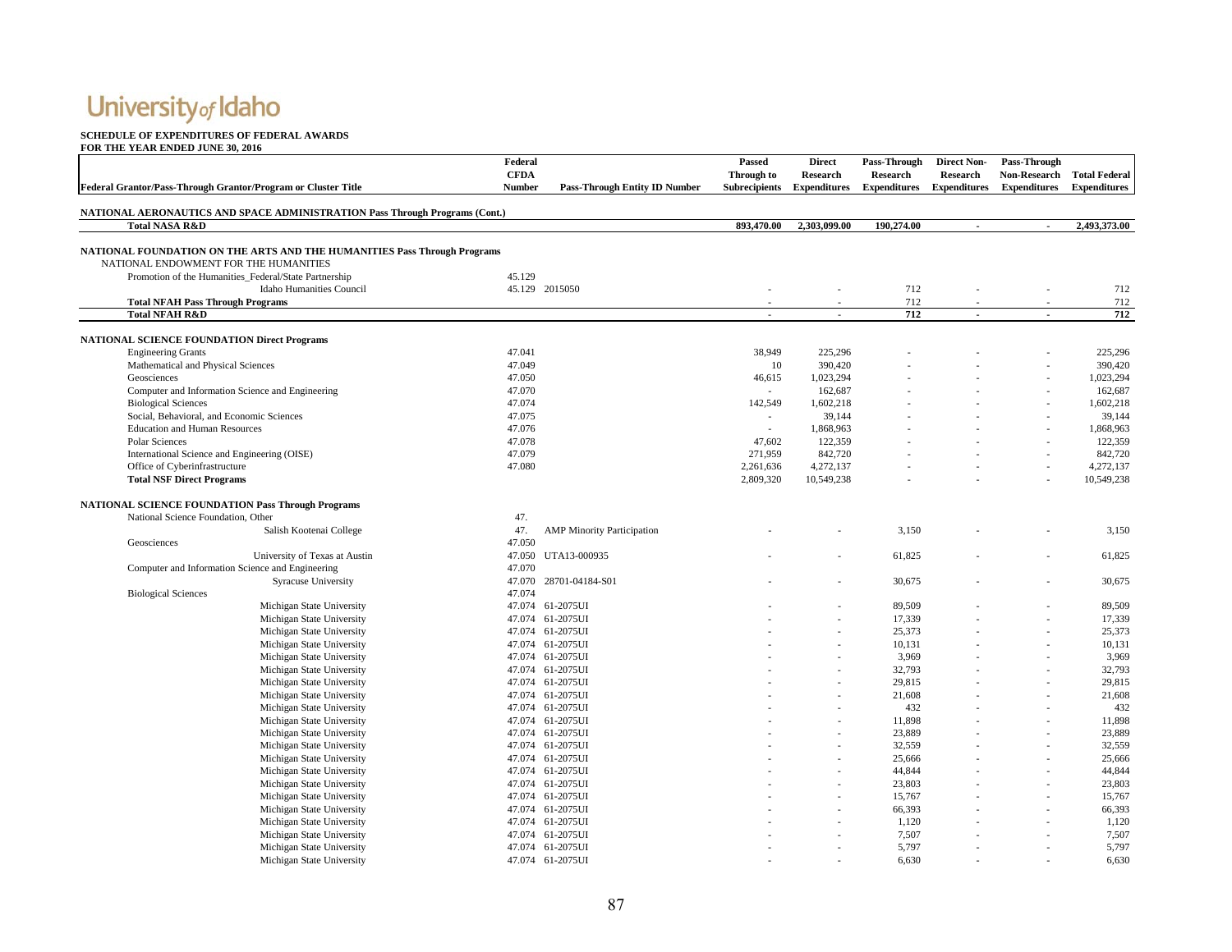#### **SCHEDULE OF EXPENDITURES OF FEDERAL AWARDS**

|                                                                                    | Federal       |                                      | Passed               | <b>Direct</b>       | Pass-Through        | <b>Direct Non-</b>  | Pass-Through        |                      |
|------------------------------------------------------------------------------------|---------------|--------------------------------------|----------------------|---------------------|---------------------|---------------------|---------------------|----------------------|
|                                                                                    | <b>CFDA</b>   |                                      | Through to           | <b>Research</b>     | <b>Research</b>     | <b>Research</b>     | <b>Non-Research</b> | <b>Total Federal</b> |
| Federal Grantor/Pass-Through Grantor/Program or Cluster Title                      | <b>Number</b> | <b>Pass-Through Entity ID Number</b> | <b>Subrecipients</b> | <b>Expenditures</b> | <b>Expenditures</b> | <b>Expenditures</b> | <b>Expenditures</b> | <b>Expenditures</b>  |
|                                                                                    |               |                                      |                      |                     |                     |                     |                     |                      |
| <b>NATIONAL AERONAUTICS AND SPACE ADMINISTRATION Pass Through Programs (Cont.)</b> |               |                                      |                      |                     |                     |                     |                     |                      |
| <b>Total NASA R&amp;D</b>                                                          |               |                                      | 893,470.00           | 2,303,099.00        | 190,274.00          | $\mathbf{r}$        | $\mathbf{r}$        | 2,493,373.00         |
| <b>NATIONAL FOUNDATION ON THE ARTS AND THE HUMANITIES Pass Through Programs</b>    |               |                                      |                      |                     |                     |                     |                     |                      |
| NATIONAL ENDOWMENT FOR THE HUMANITIES                                              |               |                                      |                      |                     |                     |                     |                     |                      |
| Promotion of the Humanities Federal/State Partnership                              | 45.129        |                                      |                      |                     |                     |                     |                     |                      |
| <b>Idaho Humanities Council</b>                                                    |               | 45.129 2015050                       |                      |                     | 712                 |                     |                     | 712                  |
| <b>Total NFAH Pass Through Programs</b>                                            |               |                                      |                      |                     | 712                 |                     |                     | 712                  |
| <b>Total NFAH R&amp;D</b>                                                          |               |                                      |                      |                     | 712                 | $\sim$              |                     | 712                  |
|                                                                                    |               |                                      |                      |                     |                     |                     |                     |                      |
| <b>NATIONAL SCIENCE FOUNDATION Direct Programs</b>                                 |               |                                      |                      |                     |                     |                     |                     |                      |
| <b>Engineering Grants</b>                                                          | 47.041        |                                      | 38,949               | 225,296             |                     |                     |                     | 225,296              |
| Mathematical and Physical Sciences                                                 | 47.049        |                                      | 10                   | 390,420             |                     |                     |                     | 390,420              |
| Geosciences                                                                        | 47.050        |                                      | 46,615               | 1,023,294           |                     |                     |                     | 1,023,294            |
| Computer and Information Science and Engineering                                   | 47.070        |                                      |                      | 162,687             |                     |                     |                     | 162,687              |
| <b>Biological Sciences</b>                                                         | 47.074        |                                      | 142,549              | 1,602,218           |                     |                     |                     | 1,602,218            |
| Social, Behavioral, and Economic Sciences                                          | 47.075        |                                      |                      | 39,144              |                     |                     |                     | 39,144               |
| <b>Education and Human Resources</b>                                               | 47.076        |                                      | $\sim$               | 1,868,963           |                     |                     |                     | 1,868,963            |
| Polar Sciences                                                                     | 47.078        |                                      | 47,602               | 122,359             |                     |                     |                     | 122,359              |
| International Science and Engineering (OISE)                                       | 47.079        |                                      | 271,959              | 842,720             |                     |                     |                     | 842,720              |
| Office of Cyberinfrastructure                                                      | 47.080        |                                      | 2,261,636            | 4,272,137           |                     |                     |                     | 4,272,137            |
| <b>Total NSF Direct Programs</b>                                                   |               |                                      | 2,809,320            | 10,549,238          |                     |                     |                     | 10,549,238           |
|                                                                                    |               |                                      |                      |                     |                     |                     |                     |                      |
| <b>NATIONAL SCIENCE FOUNDATION Pass Through Programs</b>                           |               |                                      |                      |                     |                     |                     |                     |                      |
| National Science Foundation, Other                                                 | 47.           |                                      |                      |                     |                     |                     |                     |                      |
| Salish Kootenai College                                                            | 47.           | <b>AMP Minority Participation</b>    |                      |                     | 3,150               |                     |                     | 3,150                |
| Geosciences                                                                        | 47.050        |                                      |                      |                     |                     |                     |                     |                      |
| University of Texas at Austin                                                      |               | 47.050 UTA13-000935                  |                      |                     | 61,825              |                     |                     | 61,825               |
| Computer and Information Science and Engineering                                   | 47.070        |                                      |                      |                     |                     |                     |                     |                      |
| <b>Syracuse University</b>                                                         |               | 47.070 28701-04184-S01               |                      |                     | 30,675              |                     |                     | 30,675               |
| <b>Biological Sciences</b>                                                         | 47.074        |                                      |                      |                     |                     |                     |                     |                      |
| Michigan State University                                                          |               | 47.074 61-2075UI                     |                      |                     | 89,509              |                     |                     | 89,509               |
| Michigan State University                                                          |               | 47.074 61-2075UI                     |                      |                     | 17,339              |                     |                     | 17,339               |
| Michigan State University                                                          |               | 47.074 61-2075UI                     |                      |                     | 25,373              |                     |                     | 25,373               |
| Michigan State University                                                          |               | 47.074 61-2075UI                     |                      |                     | 10,131              |                     |                     | 10,131               |
| Michigan State University                                                          |               | 47.074 61-2075UI                     |                      |                     | 3,969               |                     |                     | 3,969                |
| Michigan State University                                                          |               | 47.074 61-2075UI                     |                      |                     | 32,793              |                     |                     | 32,793               |
| Michigan State University                                                          |               | 47.074 61-2075UI                     |                      |                     | 29,815              |                     |                     | 29,815               |
| Michigan State University                                                          |               | 47.074 61-2075UI                     |                      |                     | 21,608              |                     |                     | 21,608               |
| Michigan State University                                                          |               | 47.074 61-2075UI                     |                      |                     | 432                 |                     |                     | 432                  |
| Michigan State University                                                          |               | 47.074 61-2075UI                     |                      |                     | 11,898              |                     |                     | 11,898               |
| Michigan State University                                                          |               | 47.074 61-2075UI                     |                      |                     | 23,889              |                     |                     | 23,889               |
| Michigan State University                                                          |               | 47.074 61-2075UI                     |                      |                     | 32,559              |                     |                     | 32,559               |
| Michigan State University                                                          |               | 47.074 61-2075UI                     |                      |                     | 25,666              |                     |                     | 25,666               |
| Michigan State University                                                          |               | 47.074 61-2075UI                     |                      |                     | 44,844              |                     |                     | 44,844               |
| Michigan State University                                                          |               | 47.074 61-2075UI                     |                      |                     | 23,803              |                     |                     | 23,803               |
| Michigan State University                                                          |               | 47.074 61-2075UI                     |                      |                     | 15,767              |                     |                     | 15,767               |
| Michigan State University                                                          |               | 47.074 61-2075UI                     |                      |                     | 66,393              |                     |                     | 66,393               |
| Michigan State University                                                          |               | 47.074 61-2075UI                     |                      |                     | 1,120               |                     |                     | 1,120                |
| Michigan State University                                                          |               | 47.074 61-2075UI                     |                      |                     | 7,507               |                     |                     | 7,507                |
| Michigan State University                                                          |               | 47.074 61-2075UI                     |                      |                     | 5,797               |                     |                     | 5,797                |
| Michigan State University                                                          |               | 47.074 61-2075UI                     |                      |                     | 6,630               |                     |                     | 6,630                |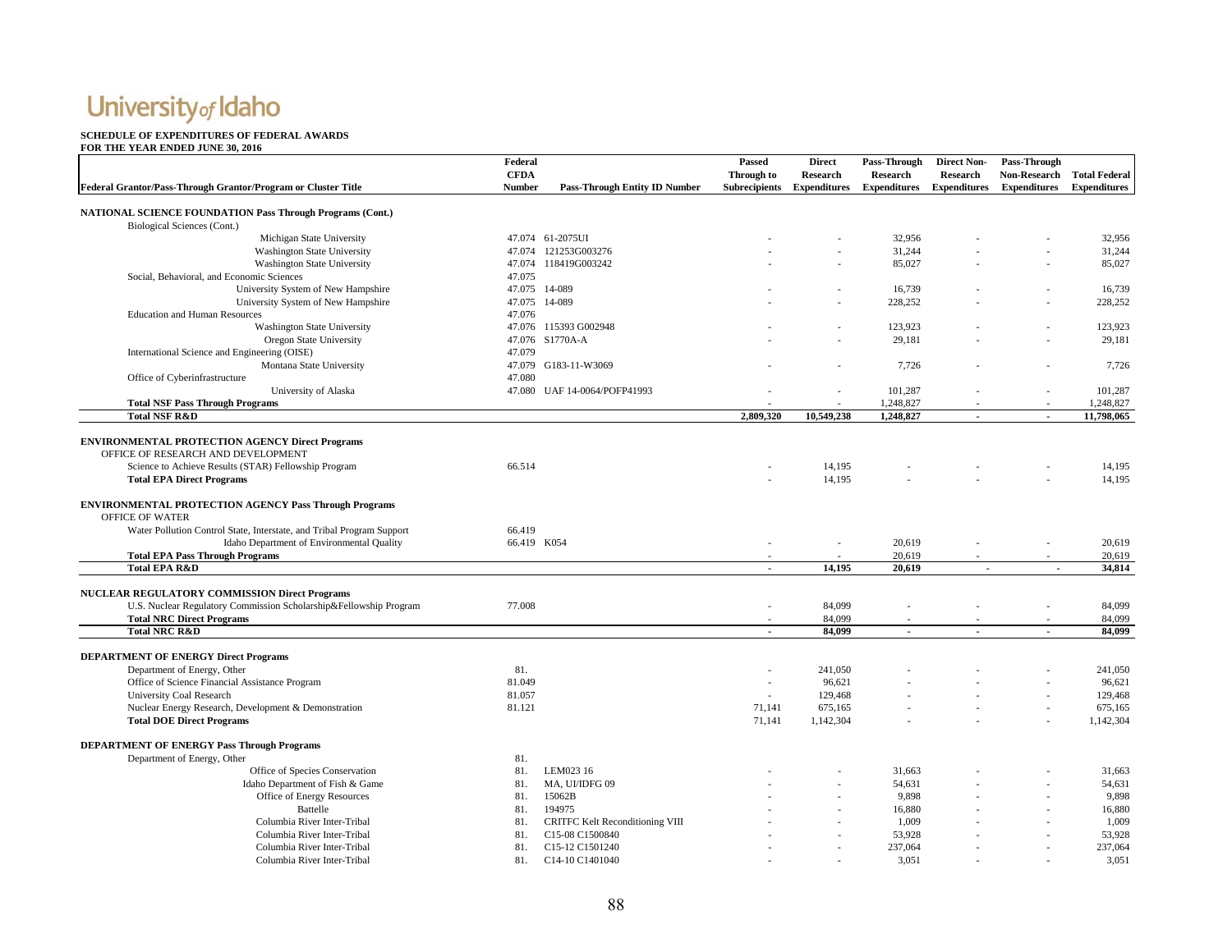#### **SCHEDULE OF EXPENDITURES OF FEDERAL AWARDS**

| Federal Grantor/Pass-Through Grantor/Program or Cluster Title         | Federal<br><b>CFDA</b><br>Number | <b>Pass-Through Entity ID Number</b> | Passed<br>Through to<br><b>Subrecipients</b> | <b>Direct</b><br>Research<br><b>Expenditures</b> | Pass-Through<br>Research<br><b>Expenditures</b> | <b>Direct Non-</b><br>Research<br><b>Expenditures</b> | Pass-Through<br><b>Expenditures</b> | Non-Research Total Federal<br><b>Expenditures</b> |
|-----------------------------------------------------------------------|----------------------------------|--------------------------------------|----------------------------------------------|--------------------------------------------------|-------------------------------------------------|-------------------------------------------------------|-------------------------------------|---------------------------------------------------|
|                                                                       |                                  |                                      |                                              |                                                  |                                                 |                                                       |                                     |                                                   |
| <b>NATIONAL SCIENCE FOUNDATION Pass Through Programs (Cont.)</b>      |                                  |                                      |                                              |                                                  |                                                 |                                                       |                                     |                                                   |
| Biological Sciences (Cont.)<br>Michigan State University              |                                  | 47.074 61-2075UI                     |                                              |                                                  | 32,956                                          |                                                       |                                     | 32,956                                            |
| <b>Washington State University</b>                                    |                                  | 47.074 121253G003276                 |                                              |                                                  | 31,244                                          |                                                       |                                     | 31,244                                            |
| <b>Washington State University</b>                                    |                                  | 47.074 118419G003242                 |                                              |                                                  | 85,027                                          |                                                       |                                     | 85,027                                            |
| Social, Behavioral, and Economic Sciences                             | 47.075                           |                                      |                                              |                                                  |                                                 |                                                       |                                     |                                                   |
| University System of New Hampshire                                    |                                  | 47.075 14-089                        |                                              |                                                  | 16,739                                          |                                                       |                                     | 16,739                                            |
| University System of New Hampshire                                    |                                  | 47.075 14-089                        |                                              |                                                  | 228,252                                         |                                                       |                                     | 228,252                                           |
| <b>Education and Human Resources</b>                                  | 47.076                           |                                      |                                              |                                                  |                                                 |                                                       |                                     |                                                   |
| <b>Washington State University</b>                                    |                                  | 47.076 115393 G002948                |                                              |                                                  | 123,923                                         |                                                       |                                     | 123,923                                           |
| Oregon State University                                               |                                  | 47.076 S1770A-A                      |                                              |                                                  | 29,181                                          |                                                       |                                     | 29,181                                            |
| International Science and Engineering (OISE)                          | 47.079                           |                                      |                                              |                                                  |                                                 |                                                       |                                     |                                                   |
| Montana State University                                              |                                  | 47.079 G183-11-W3069                 |                                              |                                                  | 7,726                                           |                                                       |                                     | 7,726                                             |
| Office of Cyberinfrastructure                                         | 47.080                           |                                      |                                              |                                                  |                                                 |                                                       |                                     |                                                   |
| University of Alaska                                                  |                                  | 47.080 UAF 14-0064/POFP41993         |                                              |                                                  | 101,287                                         |                                                       |                                     | 101,287                                           |
| <b>Total NSF Pass Through Programs</b>                                |                                  |                                      |                                              |                                                  | 1,248,827                                       |                                                       |                                     | 1,248,827                                         |
| <b>Total NSF R&amp;D</b>                                              |                                  |                                      | 2,809,320                                    | 10,549,238                                       | 1,248,827                                       | $\sim$                                                | $\mathbf{r}$                        | 11,798,065                                        |
|                                                                       |                                  |                                      |                                              |                                                  |                                                 |                                                       |                                     |                                                   |
| <b>ENVIRONMENTAL PROTECTION AGENCY Direct Programs</b>                |                                  |                                      |                                              |                                                  |                                                 |                                                       |                                     |                                                   |
| OFFICE OF RESEARCH AND DEVELOPMENT                                    |                                  |                                      |                                              |                                                  |                                                 |                                                       |                                     |                                                   |
| Science to Achieve Results (STAR) Fellowship Program                  | 66.514                           |                                      |                                              | 14.195                                           |                                                 |                                                       |                                     | 14,195                                            |
| <b>Total EPA Direct Programs</b>                                      |                                  |                                      |                                              | 14,195                                           |                                                 |                                                       |                                     | 14,195                                            |
|                                                                       |                                  |                                      |                                              |                                                  |                                                 |                                                       |                                     |                                                   |
| <b>ENVIRONMENTAL PROTECTION AGENCY Pass Through Programs</b>          |                                  |                                      |                                              |                                                  |                                                 |                                                       |                                     |                                                   |
| OFFICE OF WATER                                                       |                                  |                                      |                                              |                                                  |                                                 |                                                       |                                     |                                                   |
| Water Pollution Control State, Interstate, and Tribal Program Support | 66.419                           |                                      |                                              |                                                  |                                                 |                                                       |                                     |                                                   |
| Idaho Department of Environmental Quality                             | 66.419 K054                      |                                      | ÷,                                           |                                                  | 20,619                                          |                                                       |                                     | 20,619                                            |
| <b>Total EPA Pass Through Programs</b>                                |                                  |                                      |                                              |                                                  | 20,619                                          |                                                       |                                     | 20,619                                            |
| <b>Total EPA R&amp;D</b>                                              |                                  |                                      | $\omega$ .                                   | 14,195                                           | 20,619                                          | $\sim$                                                | $\sim$                              | 34,814                                            |
|                                                                       |                                  |                                      |                                              |                                                  |                                                 |                                                       |                                     |                                                   |
| NUCLEAR REGULATORY COMMISSION Direct Programs                         |                                  |                                      |                                              |                                                  |                                                 |                                                       |                                     |                                                   |
| U.S. Nuclear Regulatory Commission Scholarship&Fellowship Program     | 77.008                           |                                      |                                              | 84,099                                           |                                                 |                                                       |                                     | 84,099                                            |
| <b>Total NRC Direct Programs</b>                                      |                                  |                                      |                                              | 84,099                                           |                                                 |                                                       |                                     | 84.099                                            |
| <b>Total NRC R&amp;D</b>                                              |                                  |                                      | $\mathbf{r}$                                 | 84,099                                           | $\mathbf{r}$                                    | $\sim$                                                | $\mathbf{r}$                        | 84,099                                            |
| <b>DEPARTMENT OF ENERGY Direct Programs</b>                           |                                  |                                      |                                              |                                                  |                                                 |                                                       |                                     |                                                   |
| Department of Energy, Other                                           | 81.                              |                                      |                                              | 241,050                                          |                                                 |                                                       |                                     | 241,050                                           |
| Office of Science Financial Assistance Program                        | 81.049                           |                                      | ×,                                           | 96,621                                           |                                                 |                                                       |                                     | 96,621                                            |
| <b>University Coal Research</b>                                       | 81.057                           |                                      |                                              | 129,468                                          |                                                 |                                                       |                                     | 129,468                                           |
| Nuclear Energy Research, Development & Demonstration                  | 81.121                           |                                      | 71,141                                       | 675,165                                          |                                                 |                                                       | $\sim$                              | 675,165                                           |
| <b>Total DOE Direct Programs</b>                                      |                                  |                                      | 71,141                                       | 1,142,304                                        |                                                 |                                                       |                                     | 1,142,304                                         |
|                                                                       |                                  |                                      |                                              |                                                  |                                                 |                                                       |                                     |                                                   |
| <b>DEPARTMENT OF ENERGY Pass Through Programs</b>                     |                                  |                                      |                                              |                                                  |                                                 |                                                       |                                     |                                                   |
| Department of Energy, Other                                           | 81.                              |                                      |                                              |                                                  |                                                 |                                                       |                                     |                                                   |
| Office of Species Conservation                                        | 81.                              | LEM023 16                            |                                              |                                                  | 31,663                                          |                                                       |                                     | 31,663                                            |
| Idaho Department of Fish & Game                                       | 81.                              | MA, UI/IDFG 09                       |                                              |                                                  | 54,631                                          |                                                       |                                     | 54,631                                            |
| Office of Energy Resources                                            | 81.                              | 15062B                               |                                              |                                                  | 9,898                                           |                                                       |                                     | 9,898                                             |
| Battelle                                                              | 81.                              | 194975                               |                                              |                                                  | 16,880                                          |                                                       |                                     | 16,880                                            |
| Columbia River Inter-Tribal                                           | 81.                              | CRITFC Kelt Reconditioning VIII      |                                              |                                                  | 1,009                                           |                                                       |                                     | 1,009                                             |
| Columbia River Inter-Tribal                                           | 81.                              | C15-08 C1500840                      |                                              |                                                  | 53,928                                          |                                                       |                                     | 53,928                                            |
| Columbia River Inter-Tribal                                           | 81.                              | C15-12 C1501240                      |                                              |                                                  | 237,064                                         |                                                       |                                     | 237,064                                           |
| Columbia River Inter-Tribal                                           | 81.                              | C14-10 C1401040                      |                                              |                                                  | 3,051                                           |                                                       |                                     | 3,051                                             |
|                                                                       |                                  |                                      |                                              |                                                  |                                                 |                                                       |                                     |                                                   |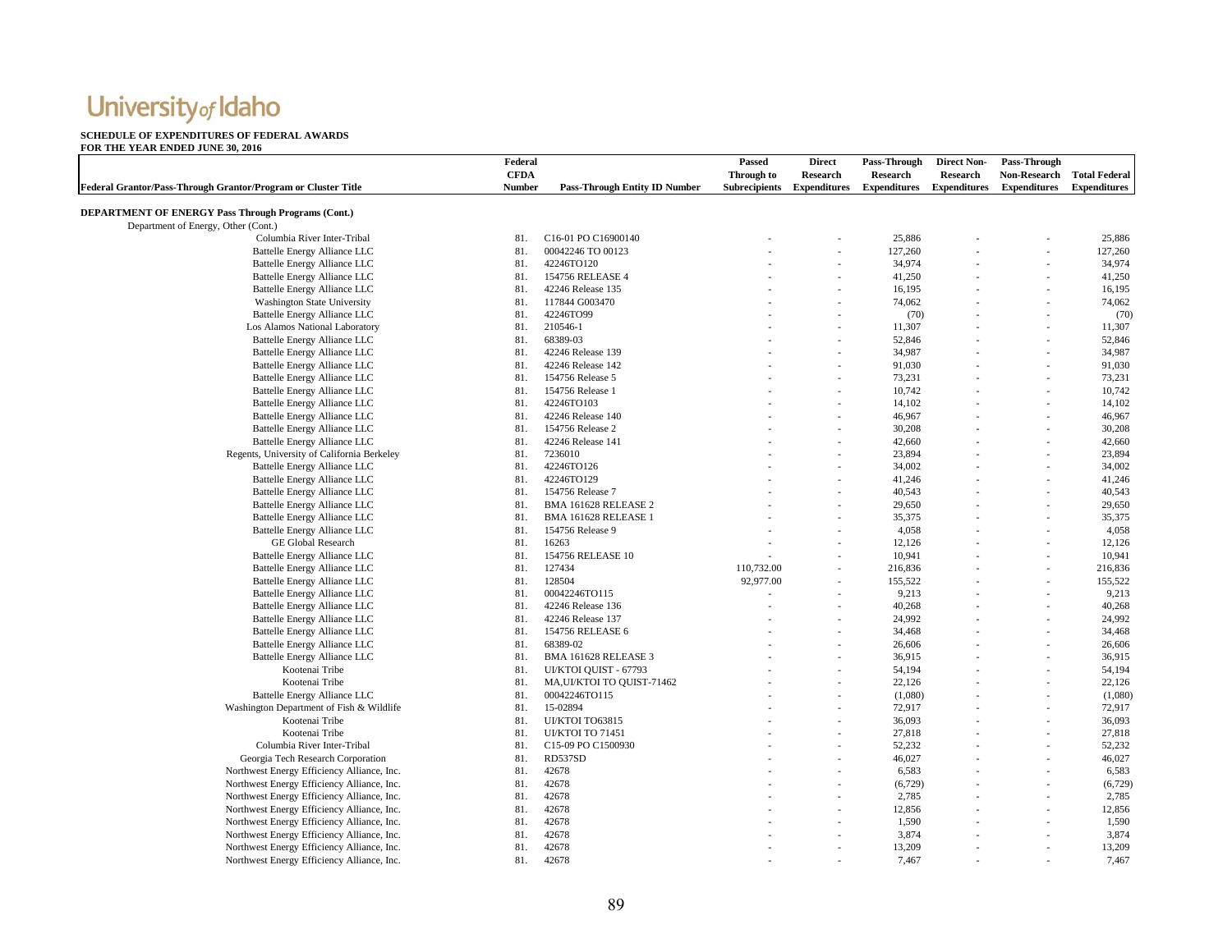### **SCHEDULE OF EXPENDITURES OF FEDERAL AWARDS**

|                                                               | Federal     |                                       | Passed               | <b>Direct</b>       | Pass-Through        | <b>Direct Non-</b>  | Pass-Through        |                      |
|---------------------------------------------------------------|-------------|---------------------------------------|----------------------|---------------------|---------------------|---------------------|---------------------|----------------------|
|                                                               | <b>CFDA</b> |                                       | Through to           | <b>Research</b>     | Research            | <b>Research</b>     | <b>Non-Research</b> | <b>Total Federal</b> |
| Federal Grantor/Pass-Through Grantor/Program or Cluster Title | Number      | <b>Pass-Through Entity ID Number</b>  | <b>Subrecipients</b> | <b>Expenditures</b> | <b>Expenditures</b> | <b>Expenditures</b> | <b>Expenditures</b> | <b>Expenditures</b>  |
| <b>DEPARTMENT OF ENERGY Pass Through Programs (Cont.)</b>     |             |                                       |                      |                     |                     |                     |                     |                      |
| Department of Energy, Other (Cont.)                           |             |                                       |                      |                     |                     |                     |                     |                      |
| Columbia River Inter-Tribal                                   | 81.         | C16-01 PO C16900140                   |                      |                     | 25,886              |                     |                     | 25,886               |
| Battelle Energy Alliance LLC                                  | 81.         | 00042246 TO 00123                     |                      |                     | 127,260             |                     |                     | 127,260              |
| Battelle Energy Alliance LLC                                  | 81.         | 42246TO120                            |                      |                     | 34,974              |                     |                     | 34,974               |
| Battelle Energy Alliance LLC                                  | 81.         | 154756 RELEASE 4                      |                      |                     | 41,250              |                     | ÷.                  | 41,250               |
| Battelle Energy Alliance LLC                                  | 81.         | 42246 Release 135                     |                      |                     | 16,195              |                     |                     | 16,195               |
| <b>Washington State University</b>                            | 81.         | 117844 G003470                        |                      |                     | 74,062              |                     |                     | 74,062               |
| Battelle Energy Alliance LLC                                  | 81.         | 42246TO99                             |                      |                     | (70)                |                     | ٠                   | (70)                 |
| Los Alamos National Laboratory                                | 81.         | 210546-1                              |                      |                     | 11,307              |                     |                     | 11,307               |
| Battelle Energy Alliance LLC                                  | 81.         | 68389-03                              |                      |                     | 52,846              |                     |                     | 52,846               |
| Battelle Energy Alliance LLC                                  | 81.         | 42246 Release 139                     |                      |                     | 34,987              |                     | ÷.                  | 34,987               |
| Battelle Energy Alliance LLC                                  | 81.         | 42246 Release 142                     |                      |                     | 91,030              |                     |                     | 91,030               |
| Battelle Energy Alliance LLC                                  | 81.         | 154756 Release 5                      |                      |                     | 73,231              |                     |                     | 73,231               |
| Battelle Energy Alliance LLC                                  | 81.         | 154756 Release 1                      |                      |                     | 10,742              |                     | ٠                   | 10,742               |
| <b>Battelle Energy Alliance LLC</b>                           | 81.         | 42246TO103                            |                      |                     | 14,102              |                     |                     | 14,102               |
|                                                               | 81.         |                                       |                      |                     |                     |                     |                     |                      |
| Battelle Energy Alliance LLC                                  | 81.         | 42246 Release 140<br>154756 Release 2 |                      |                     | 46,967              |                     | ÷.                  | 46,967               |
| Battelle Energy Alliance LLC                                  | 81.         | 42246 Release 141                     |                      |                     | 30,208              |                     |                     | 30,208               |
| Battelle Energy Alliance LLC                                  |             |                                       |                      |                     | 42,660              |                     |                     | 42,660               |
| Regents, University of California Berkeley                    | 81.         | 7236010                               |                      |                     | 23,894              |                     |                     | 23,894               |
| Battelle Energy Alliance LLC                                  | 81.         | 42246TO126                            |                      |                     | 34,002              |                     |                     | 34,002               |
| Battelle Energy Alliance LLC                                  | 81.         | 42246TO129                            |                      |                     | 41,246              |                     |                     | 41,246               |
| Battelle Energy Alliance LLC                                  | 81.         | 154756 Release 7                      |                      |                     | 40,543              |                     |                     | 40,543               |
| Battelle Energy Alliance LLC                                  | 81.         | <b>BMA 161628 RELEASE 2</b>           |                      |                     | 29,650              |                     |                     | 29,650               |
| Battelle Energy Alliance LLC                                  | 81.         | BMA 161628 RELEASE 1                  |                      |                     | 35,375              |                     |                     | 35,375               |
| <b>Battelle Energy Alliance LLC</b>                           | 81.         | 154756 Release 9                      |                      | ÷.                  | 4,058               |                     | ä,                  | 4,058                |
| GE Global Research                                            | 81.         | 16263                                 |                      |                     | 12,126              |                     |                     | 12,126               |
| Battelle Energy Alliance LLC                                  | 81.         | 154756 RELEASE 10                     |                      |                     | 10,941              |                     |                     | 10,941               |
| Battelle Energy Alliance LLC                                  | 81.         | 127434                                | 110,732.00           |                     | 216,836             |                     | ä,                  | 216,836              |
| Battelle Energy Alliance LLC                                  | 81.         | 128504                                | 92,977.00            |                     | 155,522             |                     |                     | 155,522              |
| Battelle Energy Alliance LLC                                  | 81.         | 00042246TO115                         |                      |                     | 9,213               |                     |                     | 9,213                |
| <b>Battelle Energy Alliance LLC</b>                           | 81.         | 42246 Release 136                     |                      |                     | 40,268              |                     | ä,                  | 40,268               |
| Battelle Energy Alliance LLC                                  | 81.         | 42246 Release 137                     |                      |                     | 24,992              |                     |                     | 24,992               |
| Battelle Energy Alliance LLC                                  | 81.         | 154756 RELEASE 6                      |                      |                     | 34,468              |                     |                     | 34,468               |
| Battelle Energy Alliance LLC                                  | 81.         | 68389-02                              |                      |                     | 26,606              |                     | ٠                   | 26,606               |
| Battelle Energy Alliance LLC                                  | 81.         | <b>BMA 161628 RELEASE 3</b>           |                      |                     | 36,915              |                     |                     | 36,915               |
| Kootenai Tribe                                                | 81.         | UI/KTOI QUIST - 67793                 |                      |                     | 54,194              |                     |                     | 54,194               |
| Kootenai Tribe                                                | 81.         | MA, UI/KTOI TO QUIST-71462            |                      |                     | 22,126              |                     | L,                  | 22,126               |
| Battelle Energy Alliance LLC                                  | 81.         | 00042246TO115                         |                      |                     | (1,080)             |                     |                     | (1,080)              |
| Washington Department of Fish & Wildlife                      | 81.         | 15-02894                              |                      |                     | 72,917              |                     |                     | 72,917               |
| Kootenai Tribe                                                | 81.         | UI/KTOI TO63815                       |                      |                     | 36,093              |                     | $\overline{a}$      | 36,093               |
| Kootenai Tribe                                                | 81.         | <b>UI/KTOI TO 71451</b>               |                      |                     | 27,818              |                     |                     | 27,818               |
| Columbia River Inter-Tribal                                   | 81.         | C15-09 PO C1500930                    |                      |                     | 52,232              |                     |                     | 52,232               |
| Georgia Tech Research Corporation                             | 81.         | RD537SD                               |                      |                     | 46,027              |                     | ٠                   | 46,027               |
| Northwest Energy Efficiency Alliance, Inc.                    | 81.         | 42678                                 |                      |                     | 6,583               |                     |                     | 6,583                |
| Northwest Energy Efficiency Alliance, Inc.                    | 81.         | 42678                                 |                      |                     | (6,729)             |                     |                     | (6, 729)             |
| Northwest Energy Efficiency Alliance, Inc.                    | 81.         | 42678                                 |                      |                     | 2,785               |                     | ٠                   | 2,785                |
| Northwest Energy Efficiency Alliance, Inc.                    | 81.         | 42678                                 |                      |                     | 12,856              |                     |                     | 12,856               |
| Northwest Energy Efficiency Alliance, Inc.                    | 81.         | 42678                                 |                      |                     | 1,590               |                     |                     | 1,590                |
| Northwest Energy Efficiency Alliance, Inc.                    | 81.         | 42678                                 |                      |                     | 3,874               |                     | ä,                  | 3,874                |
| Northwest Energy Efficiency Alliance, Inc.                    | 81.         | 42678                                 |                      |                     | 13,209              |                     |                     | 13,209               |
| Northwest Energy Efficiency Alliance, Inc.                    | 81.         | 42678                                 |                      |                     | 7,467               |                     |                     | 7,467                |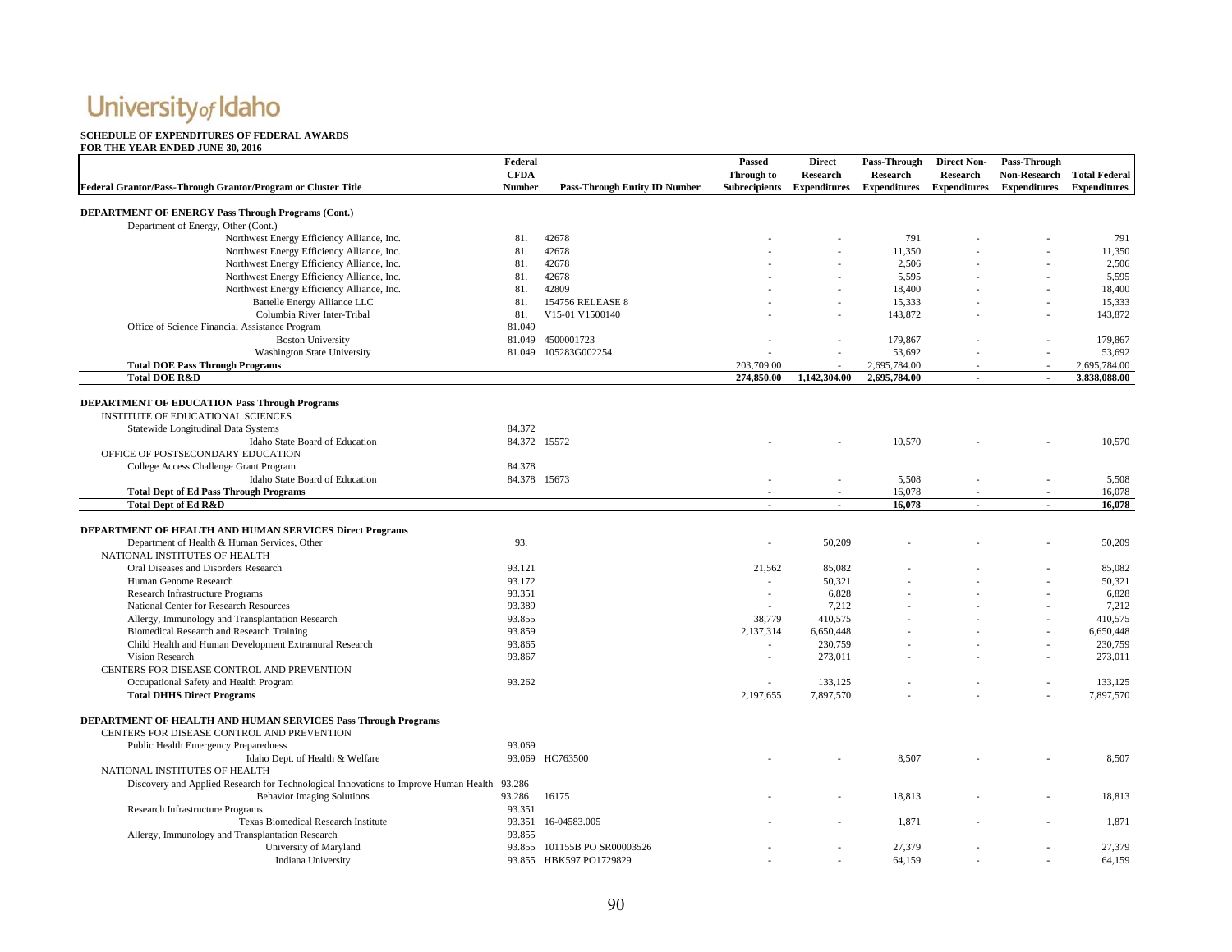#### **SCHEDULE OF EXPENDITURES OF FEDERAL AWARDS**

|                                                                                             | Federal       |                                      | <b>Passed</b>              | <b>Direct</b>   | Pass-Through | <b>Direct Non-</b>               | Pass-Through               |                     |
|---------------------------------------------------------------------------------------------|---------------|--------------------------------------|----------------------------|-----------------|--------------|----------------------------------|----------------------------|---------------------|
|                                                                                             | <b>CFDA</b>   |                                      | Through to                 | <b>Research</b> | Research     | <b>Research</b>                  | Non-Research Total Federal |                     |
| Federal Grantor/Pass-Through Grantor/Program or Cluster Title                               | <b>Number</b> | <b>Pass-Through Entity ID Number</b> | Subrecipients Expenditures |                 |              | <b>Expenditures</b> Expenditures | <b>Expenditures</b>        | <b>Expenditures</b> |
|                                                                                             |               |                                      |                            |                 |              |                                  |                            |                     |
| DEPARTMENT OF ENERGY Pass Through Programs (Cont.)                                          |               |                                      |                            |                 |              |                                  |                            |                     |
| Department of Energy, Other (Cont.)                                                         |               |                                      |                            |                 |              |                                  |                            |                     |
| Northwest Energy Efficiency Alliance, Inc.                                                  | 81.           | 42678                                |                            |                 | 791          |                                  |                            | 791                 |
| Northwest Energy Efficiency Alliance, Inc.                                                  | 81.           | 42678                                |                            |                 | 11,350       |                                  |                            | 11,350              |
| Northwest Energy Efficiency Alliance, Inc.                                                  | 81.           | 42678                                |                            |                 | 2,506        |                                  |                            | 2,506               |
| Northwest Energy Efficiency Alliance, Inc.                                                  | 81.           | 42678                                |                            |                 | 5,595        |                                  |                            | 5,595               |
| Northwest Energy Efficiency Alliance, Inc.                                                  | 81.           | 42809                                |                            |                 | 18.400       |                                  |                            | 18,400              |
| Battelle Energy Alliance LLC                                                                | 81.           | 154756 RELEASE 8                     |                            |                 | 15,333       |                                  |                            | 15,333              |
| Columbia River Inter-Tribal                                                                 | 81.           | V15-01 V1500140                      |                            |                 | 143,872      |                                  |                            | 143,872             |
| Office of Science Financial Assistance Program                                              | 81.049        |                                      |                            |                 |              |                                  |                            |                     |
| <b>Boston University</b>                                                                    |               | 81.049 4500001723                    |                            |                 | 179,867      |                                  |                            | 179,867             |
| <b>Washington State University</b>                                                          |               | 81.049 105283G002254                 |                            |                 | 53,692       |                                  |                            | 53,692              |
| <b>Total DOE Pass Through Programs</b>                                                      |               |                                      | 203,709.00                 |                 | 2,695,784.00 |                                  |                            | 2,695,784.00        |
| <b>Total DOE R&amp;D</b>                                                                    |               |                                      | 274,850.00                 | 1,142,304.00    | 2,695,784.00 | $\sim$                           | $\blacksquare$             | 3,838,088.00        |
|                                                                                             |               |                                      |                            |                 |              |                                  |                            |                     |
| <b>DEPARTMENT OF EDUCATION Pass Through Programs</b>                                        |               |                                      |                            |                 |              |                                  |                            |                     |
|                                                                                             |               |                                      |                            |                 |              |                                  |                            |                     |
| INSTITUTE OF EDUCATIONAL SCIENCES                                                           | 84.372        |                                      |                            |                 |              |                                  |                            |                     |
| Statewide Longitudinal Data Systems                                                         |               |                                      |                            |                 |              |                                  |                            |                     |
| Idaho State Board of Education                                                              | 84.372 15572  |                                      |                            |                 | 10,570       |                                  |                            | 10,570              |
| OFFICE OF POSTSECONDARY EDUCATION                                                           |               |                                      |                            |                 |              |                                  |                            |                     |
| College Access Challenge Grant Program                                                      | 84.378        |                                      |                            |                 |              |                                  |                            |                     |
| Idaho State Board of Education                                                              | 84.378 15673  |                                      |                            |                 | 5,508        |                                  |                            | 5,508               |
| <b>Total Dept of Ed Pass Through Programs</b>                                               |               |                                      |                            | $\sim$          | 16,078       |                                  | $\sim$                     | 16,078              |
| <b>Total Dept of Ed R&amp;D</b>                                                             |               |                                      | $\overline{a}$             | $\blacksquare$  | 16.078       |                                  |                            | 16.078              |
|                                                                                             |               |                                      |                            |                 |              |                                  |                            |                     |
| DEPARTMENT OF HEALTH AND HUMAN SERVICES Direct Programs                                     |               |                                      |                            |                 |              |                                  |                            |                     |
| Department of Health & Human Services, Other                                                | 93.           |                                      |                            | 50,209          |              |                                  |                            | 50,209              |
| NATIONAL INSTITUTES OF HEALTH                                                               |               |                                      |                            |                 |              |                                  |                            |                     |
| Oral Diseases and Disorders Research                                                        | 93.121        |                                      | 21,562                     | 85,082          |              |                                  |                            | 85,082              |
| Human Genome Research                                                                       | 93.172        |                                      |                            | 50,321          |              |                                  |                            | 50,321              |
| Research Infrastructure Programs                                                            | 93.351        |                                      | $\sim$                     | 6,828           |              |                                  |                            | 6,828               |
| National Center for Research Resources                                                      | 93.389        |                                      | $\sim$                     | 7.212           |              |                                  |                            | 7,212               |
| Allergy, Immunology and Transplantation Research                                            | 93.855        |                                      | 38,779                     | 410,575         |              |                                  |                            | 410,575             |
| Biomedical Research and Research Training                                                   | 93.859        |                                      | 2,137,314                  | 6,650,448       |              |                                  |                            | 6,650,448           |
| Child Health and Human Development Extramural Research                                      | 93.865        |                                      | $\sim$                     | 230,759         |              |                                  |                            | 230,759             |
| Vision Research                                                                             | 93.867        |                                      |                            | 273,011         |              |                                  |                            | 273,011             |
| CENTERS FOR DISEASE CONTROL AND PREVENTION                                                  |               |                                      |                            |                 |              |                                  |                            |                     |
| Occupational Safety and Health Program                                                      | 93.262        |                                      |                            | 133.125         |              |                                  |                            | 133.125             |
| <b>Total DHHS Direct Programs</b>                                                           |               |                                      | 2,197,655                  | 7,897,570       |              |                                  |                            | 7,897,570           |
|                                                                                             |               |                                      |                            |                 |              |                                  |                            |                     |
| <b>DEPARTMENT OF HEALTH AND HUMAN SERVICES Pass Through Programs</b>                        |               |                                      |                            |                 |              |                                  |                            |                     |
| CENTERS FOR DISEASE CONTROL AND PREVENTION                                                  |               |                                      |                            |                 |              |                                  |                            |                     |
|                                                                                             | 93.069        |                                      |                            |                 |              |                                  |                            |                     |
| Public Health Emergency Preparedness                                                        |               |                                      |                            |                 |              |                                  |                            |                     |
| Idaho Dept. of Health & Welfare                                                             |               | 93.069 HC763500                      |                            |                 | 8,507        |                                  |                            | 8,507               |
| NATIONAL INSTITUTES OF HEALTH                                                               |               |                                      |                            |                 |              |                                  |                            |                     |
| Discovery and Applied Research for Technological Innovations to Improve Human Health 93.286 |               |                                      |                            |                 |              |                                  |                            |                     |
| <b>Behavior Imaging Solutions</b>                                                           | 93.286        | 16175                                |                            |                 | 18,813       |                                  |                            | 18,813              |
| Research Infrastructure Programs                                                            | 93.351        |                                      |                            |                 |              |                                  |                            |                     |
| <b>Texas Biomedical Research Institute</b>                                                  |               | 93.351 16-04583.005                  |                            |                 | 1,871        |                                  |                            | 1,871               |
| Allergy, Immunology and Transplantation Research                                            | 93.855        |                                      |                            |                 |              |                                  |                            |                     |
| University of Maryland                                                                      |               | 93.855 101155B PO SR00003526         |                            |                 | 27,379       |                                  |                            | 27,379              |
| Indiana University                                                                          |               | 93.855 HBK597 PO1729829              |                            |                 | 64,159       |                                  |                            | 64,159              |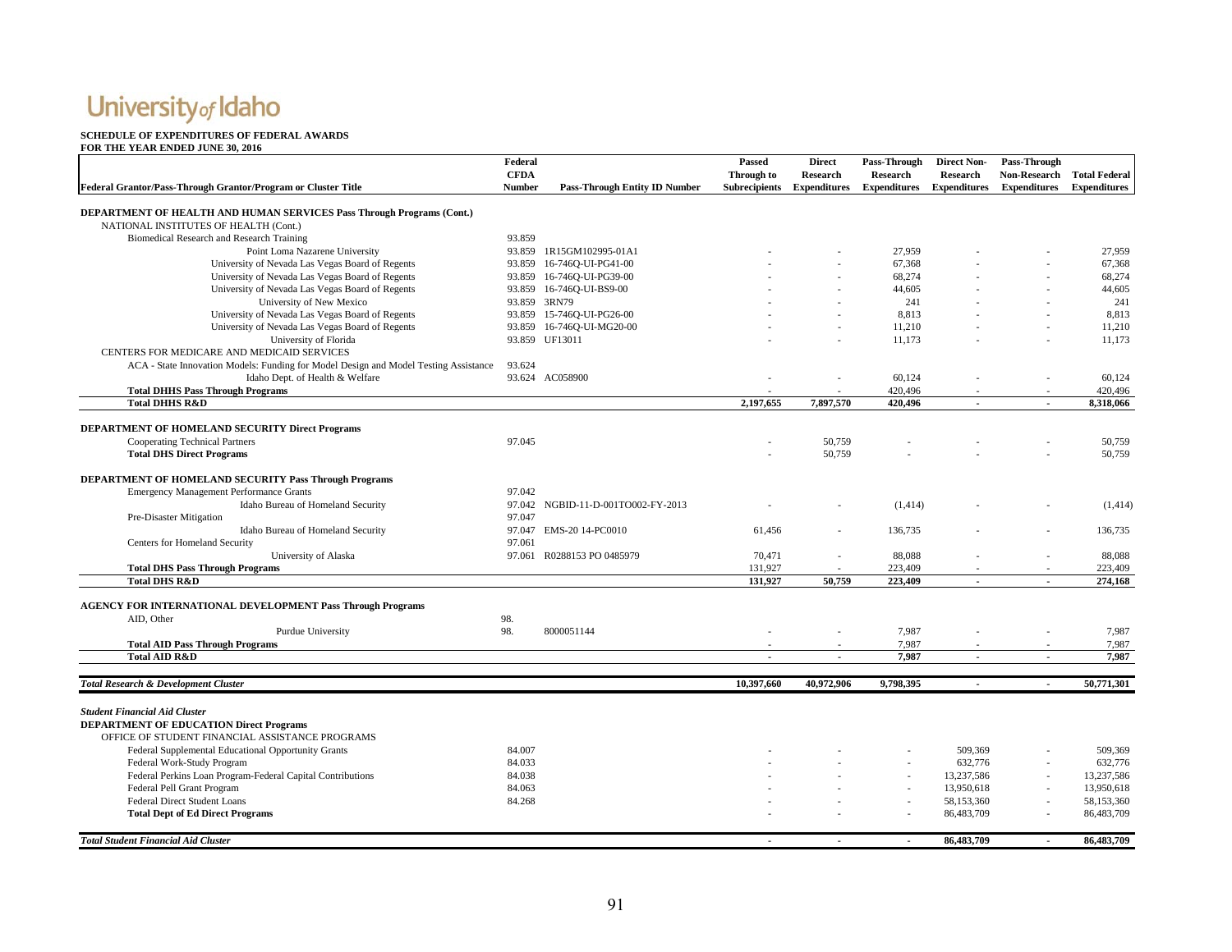#### **SCHEDULE OF EXPENDITURES OF FEDERAL AWARDS**

|                                                                                      | Federal       |                                                        | <b>Passed</b>  | <b>Direct</b>              | Pass-Through        | <b>Direct Non-</b>       | Pass-Through        |                      |
|--------------------------------------------------------------------------------------|---------------|--------------------------------------------------------|----------------|----------------------------|---------------------|--------------------------|---------------------|----------------------|
|                                                                                      | <b>CFDA</b>   |                                                        | Through to     | <b>Research</b>            | <b>Research</b>     | <b>Research</b>          | <b>Non-Research</b> | <b>Total Federal</b> |
| Federal Grantor/Pass-Through Grantor/Program or Cluster Title                        | <b>Number</b> | <b>Pass-Through Entity ID Number</b>                   |                | Subrecipients Expenditures | <b>Expenditures</b> | <b>Expenditures</b>      | <b>Expenditures</b> | <b>Expenditures</b>  |
|                                                                                      |               |                                                        |                |                            |                     |                          |                     |                      |
| <b>DEPARTMENT OF HEALTH AND HUMAN SERVICES Pass Through Programs (Cont.)</b>         |               |                                                        |                |                            |                     |                          |                     |                      |
| NATIONAL INSTITUTES OF HEALTH (Cont.)                                                |               |                                                        |                |                            |                     |                          |                     |                      |
| Biomedical Research and Research Training                                            | 93.859        |                                                        |                |                            |                     |                          |                     |                      |
| Point Loma Nazarene University                                                       |               | 93.859 1R15GM102995-01A1                               |                |                            | 27.959              |                          |                     | 27,959               |
| University of Nevada Las Vegas Board of Regents                                      |               | 93.859 16-746Q-UI-PG41-00<br>93.859 16-746Q-UI-PG39-00 |                |                            | 67,368<br>68,274    |                          |                     | 67,368               |
| University of Nevada Las Vegas Board of Regents                                      |               |                                                        |                |                            |                     |                          |                     | 68,274               |
| University of Nevada Las Vegas Board of Regents                                      |               | 93.859 16-746Q-UI-BS9-00                               |                |                            | 44,605              |                          |                     | 44,605               |
| University of New Mexico                                                             |               | 93.859 3RN79<br>93.859 15-746Q-UI-PG26-00              |                |                            | 241<br>8.813        |                          |                     | 241                  |
| University of Nevada Las Vegas Board of Regents                                      |               | 93.859 16-7460-UI-MG20-00                              |                |                            |                     |                          |                     | 8,813                |
| University of Nevada Las Vegas Board of Regents                                      |               |                                                        |                |                            | 11,210              |                          |                     | 11,210               |
| University of Florida                                                                |               | 93.859 UF13011                                         |                |                            | 11,173              |                          |                     | 11,173               |
| CENTERS FOR MEDICARE AND MEDICAID SERVICES                                           |               |                                                        |                |                            |                     |                          |                     |                      |
| ACA - State Innovation Models: Funding for Model Design and Model Testing Assistance | 93.624        |                                                        |                |                            |                     |                          |                     |                      |
| Idaho Dept. of Health & Welfare                                                      |               | 93.624 AC058900                                        |                |                            | 60,124              |                          |                     | 60,124               |
| <b>Total DHHS Pass Through Programs</b>                                              |               |                                                        |                |                            | 420,496             |                          |                     | 420,496              |
| <b>Total DHHS R&amp;D</b>                                                            |               |                                                        | 2,197,655      | 7,897,570                  | 420,496             |                          |                     | 8,318,066            |
| DEPARTMENT OF HOMELAND SECURITY Direct Programs                                      |               |                                                        |                |                            |                     |                          |                     |                      |
| Cooperating Technical Partners                                                       | 97.045        |                                                        |                | 50,759                     |                     |                          |                     | 50,759               |
| <b>Total DHS Direct Programs</b>                                                     |               |                                                        |                | 50,759                     |                     |                          |                     | 50.759               |
|                                                                                      |               |                                                        |                |                            |                     |                          |                     |                      |
| DEPARTMENT OF HOMELAND SECURITY Pass Through Programs                                |               |                                                        |                |                            |                     |                          |                     |                      |
| Emergency Management Performance Grants                                              | 97.042        |                                                        |                |                            |                     |                          |                     |                      |
| Idaho Bureau of Homeland Security                                                    |               | 97.042 NGBID-11-D-001TO002-FY-2013                     |                |                            | (1,414)             |                          |                     | (1,414)              |
| Pre-Disaster Mitigation                                                              | 97.047        |                                                        |                |                            |                     |                          |                     |                      |
| Idaho Bureau of Homeland Security                                                    |               | 97.047 EMS-20 14-PC0010                                | 61,456         |                            | 136,735             |                          |                     | 136,735              |
| Centers for Homeland Security                                                        | 97.061        |                                                        |                |                            |                     |                          |                     |                      |
| University of Alaska                                                                 |               | 97.061 R0288153 PO 0485979                             | 70,471         |                            | 88,088              |                          |                     | 88,088               |
| <b>Total DHS Pass Through Programs</b>                                               |               |                                                        | 131,927        |                            | 223,409             |                          |                     | 223,409              |
| <b>Total DHS R&amp;D</b>                                                             |               |                                                        | 131,927        | 50,759                     | 223,409             | $\sim$                   |                     | 274,168              |
|                                                                                      |               |                                                        |                |                            |                     |                          |                     |                      |
| <b>AGENCY FOR INTERNATIONAL DEVELOPMENT Pass Through Programs</b>                    |               |                                                        |                |                            |                     |                          |                     |                      |
| AID, Other                                                                           | 98.           |                                                        |                |                            |                     |                          |                     |                      |
| Purdue University                                                                    | 98.           | 8000051144                                             |                |                            | 7,987               |                          |                     | 7,987                |
| <b>Total AID Pass Through Programs</b>                                               |               |                                                        |                |                            | 7,987               |                          |                     | 7,987                |
| <b>Total AID R&amp;D</b>                                                             |               |                                                        | $\overline{a}$ | $\sim$                     | 7,987               | $\overline{\phantom{a}}$ | $\sim$              | 7.987                |
|                                                                                      |               |                                                        |                |                            |                     |                          |                     |                      |
| <b>Total Research &amp; Development Cluster</b>                                      |               |                                                        | 10.397.660     | 40.972.906                 | 9,798,395           | $\blacksquare$           |                     | 50,771,301           |
|                                                                                      |               |                                                        |                |                            |                     |                          |                     |                      |
| <b>Student Financial Aid Cluster</b>                                                 |               |                                                        |                |                            |                     |                          |                     |                      |
| <b>DEPARTMENT OF EDUCATION Direct Programs</b>                                       |               |                                                        |                |                            |                     |                          |                     |                      |
| OFFICE OF STUDENT FINANCIAL ASSISTANCE PROGRAMS                                      |               |                                                        |                |                            |                     |                          |                     |                      |
| Federal Supplemental Educational Opportunity Grants                                  | 84.007        |                                                        |                |                            |                     | 509,369                  |                     | 509,369              |
| Federal Work-Study Program                                                           | 84.033        |                                                        |                |                            |                     | 632,776                  |                     | 632,776              |
| Federal Perkins Loan Program-Federal Capital Contributions                           | 84.038        |                                                        |                |                            |                     | 13,237,586               |                     | 13,237,586           |
| Federal Pell Grant Program                                                           | 84.063        |                                                        |                |                            |                     | 13,950,618               |                     | 13,950,618           |
| Federal Direct Student Loans                                                         | 84.268        |                                                        |                |                            |                     | 58,153,360               |                     | 58,153,360           |
| <b>Total Dept of Ed Direct Programs</b>                                              |               |                                                        |                |                            |                     | 86,483,709               |                     | 86,483,709           |
|                                                                                      |               |                                                        |                |                            |                     |                          |                     |                      |
| <b>Total Student Financial Aid Cluster</b>                                           |               |                                                        |                |                            |                     | 86,483,709               |                     | 86,483,709           |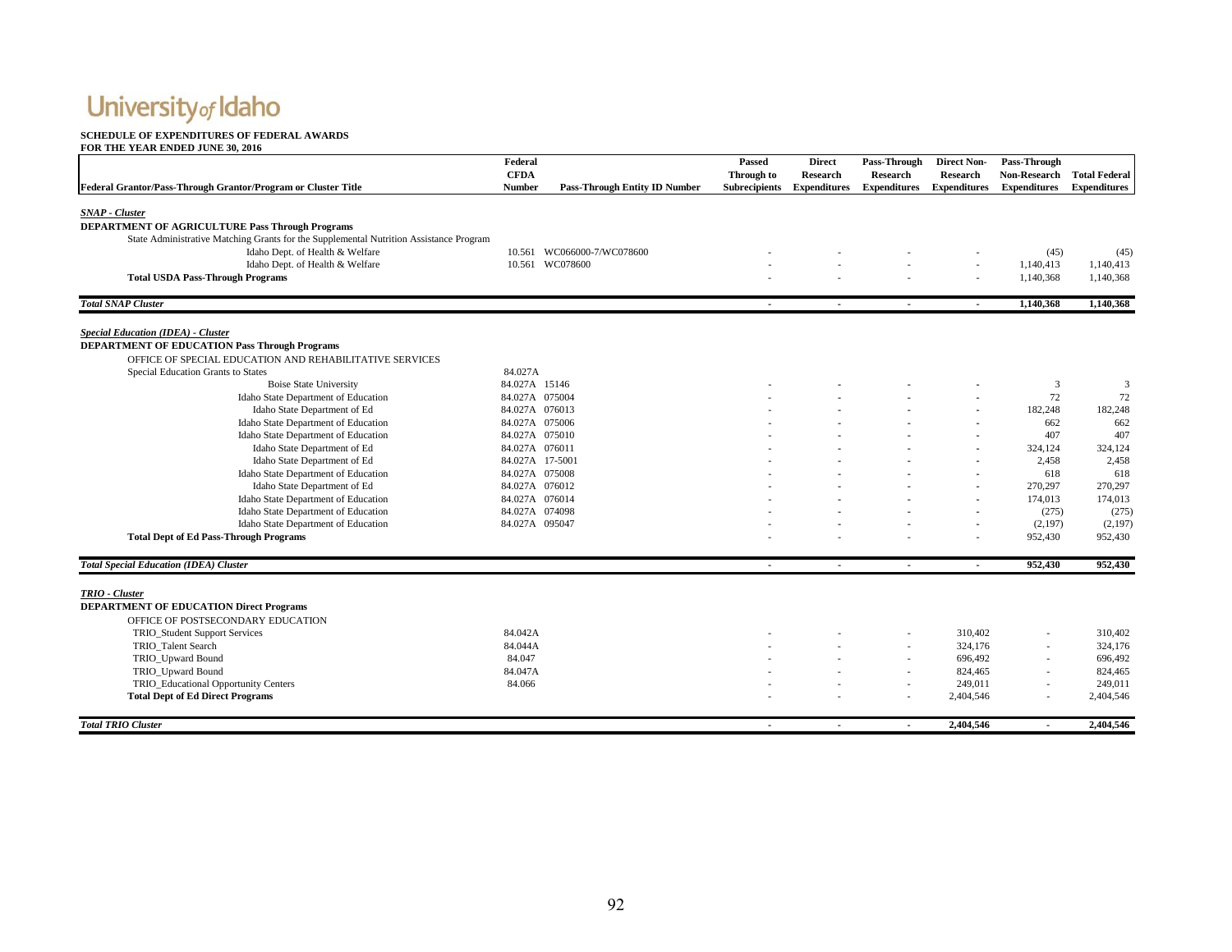#### **SCHEDULE OF EXPENDITURES OF FEDERAL AWARDS**

|                                                                                        | Federal<br><b>CFDA</b> |                                      | Passed<br>Through to | <b>Direct</b><br>Research | Pass-Through<br><b>Research</b> | <b>Direct Non-</b><br><b>Research</b> | Pass-Through<br><b>Non-Research</b> | <b>Total Federal</b> |
|----------------------------------------------------------------------------------------|------------------------|--------------------------------------|----------------------|---------------------------|---------------------------------|---------------------------------------|-------------------------------------|----------------------|
| Federal Grantor/Pass-Through Grantor/Program or Cluster Title                          | <b>Number</b>          | <b>Pass-Through Entity ID Number</b> | <b>Subrecipients</b> | <b>Expenditures</b>       | <b>Expenditures</b>             | <b>Expenditures</b>                   | <b>Expenditures</b>                 | <b>Expenditures</b>  |
| <b>SNAP</b> - Cluster                                                                  |                        |                                      |                      |                           |                                 |                                       |                                     |                      |
| DEPARTMENT OF AGRICULTURE Pass Through Programs                                        |                        |                                      |                      |                           |                                 |                                       |                                     |                      |
| State Administrative Matching Grants for the Supplemental Nutrition Assistance Program |                        |                                      |                      |                           |                                 |                                       |                                     |                      |
| Idaho Dept. of Health & Welfare                                                        | 10.561                 | WC066000-7/WC078600                  |                      |                           |                                 |                                       | (45)                                | (45)                 |
| Idaho Dept. of Health & Welfare                                                        | 10.561                 | WC078600                             |                      |                           |                                 |                                       | 1,140,413                           | 1,140,413            |
| <b>Total USDA Pass-Through Programs</b>                                                |                        |                                      |                      |                           |                                 |                                       | 1,140,368                           | 1,140,368            |
| <b>Total SNAP Cluster</b>                                                              |                        |                                      | $\mathbf{r}$         | $\sim$                    | $\sim$                          | $\sim$                                | 1,140,368                           | 1,140,368            |
|                                                                                        |                        |                                      |                      |                           |                                 |                                       |                                     |                      |
| <b>Special Education (IDEA) - Cluster</b>                                              |                        |                                      |                      |                           |                                 |                                       |                                     |                      |
| <b>DEPARTMENT OF EDUCATION Pass Through Programs</b>                                   |                        |                                      |                      |                           |                                 |                                       |                                     |                      |
| OFFICE OF SPECIAL EDUCATION AND REHABILITATIVE SERVICES                                |                        |                                      |                      |                           |                                 |                                       |                                     |                      |
| Special Education Grants to States                                                     | 84.027A                |                                      |                      |                           |                                 |                                       |                                     |                      |
| <b>Boise State University</b>                                                          | 84.027A 15146          |                                      |                      |                           |                                 |                                       | 3                                   | 3                    |
| Idaho State Department of Education                                                    | 84.027A 075004         |                                      |                      |                           |                                 |                                       | 72                                  | 72                   |
| Idaho State Department of Ed                                                           | 84.027A 076013         |                                      |                      |                           |                                 | $\sim$                                | 182,248                             | 182,248              |
| Idaho State Department of Education                                                    | 84.027A 075006         |                                      |                      |                           |                                 |                                       | 662                                 | 662                  |
| Idaho State Department of Education                                                    | 84.027A 075010         |                                      |                      |                           |                                 |                                       | 407                                 | 407                  |
| Idaho State Department of Ed                                                           | 84.027A 076011         |                                      |                      |                           |                                 |                                       | 324,124                             | 324,124              |
| Idaho State Department of Ed                                                           | 84.027A 17-5001        |                                      |                      |                           |                                 |                                       | 2,458                               | 2,458                |
| Idaho State Department of Education                                                    | 84.027A 075008         |                                      |                      |                           |                                 |                                       | 618                                 | 618                  |
| Idaho State Department of Ed                                                           | 84.027A 076012         |                                      |                      |                           |                                 | $\sim$                                | 270,297                             | 270,297              |
| Idaho State Department of Education                                                    | 84.027A 076014         |                                      |                      |                           |                                 |                                       | 174,013                             | 174,013              |
| Idaho State Department of Education                                                    | 84.027A 074098         |                                      |                      |                           |                                 |                                       | (275)                               | (275)                |
| Idaho State Department of Education                                                    | 84.027A 095047         |                                      |                      |                           |                                 | $\overline{\phantom{a}}$              | (2,197)                             | (2,197)              |
| <b>Total Dept of Ed Pass-Through Programs</b>                                          |                        |                                      |                      |                           |                                 |                                       | 952,430                             | 952,430              |
| <b>Total Special Education (IDEA) Cluster</b>                                          |                        |                                      | $\sim$               | $\sim$                    | $\sim$                          | $\sim$                                | 952,430                             | 952,430              |
|                                                                                        |                        |                                      |                      |                           |                                 |                                       |                                     |                      |
| TRIO - Cluster                                                                         |                        |                                      |                      |                           |                                 |                                       |                                     |                      |
| <b>DEPARTMENT OF EDUCATION Direct Programs</b>                                         |                        |                                      |                      |                           |                                 |                                       |                                     |                      |
| OFFICE OF POSTSECONDARY EDUCATION                                                      |                        |                                      |                      |                           |                                 |                                       |                                     |                      |
| TRIO_Student Support Services                                                          | 84.042A                |                                      |                      |                           |                                 | 310,402                               | $\overline{\phantom{a}}$            | 310,402              |
| TRIO Talent Search                                                                     | 84.044A                |                                      |                      |                           |                                 | 324,176                               | $\overline{\phantom{a}}$            | 324,176              |
| TRIO Upward Bound                                                                      | 84.047                 |                                      |                      |                           |                                 | 696,492                               | $\overline{a}$                      | 696,492              |
| TRIO_Upward Bound                                                                      | 84.047A                |                                      |                      |                           | $\overline{a}$                  | 824,465                               | $\sim$                              | 824,465              |
| TRIO_Educational Opportunity Centers                                                   | 84.066                 |                                      |                      |                           |                                 | 249,011                               | $\overline{\phantom{a}}$            | 249,011              |
| <b>Total Dept of Ed Direct Programs</b>                                                |                        |                                      |                      |                           | ٠                               | 2,404,546                             | $\sim$                              | 2,404,546            |
| <b>Total TRIO Cluster</b>                                                              |                        |                                      | $\blacksquare$       |                           |                                 | 2,404.546                             |                                     | 2,404,546            |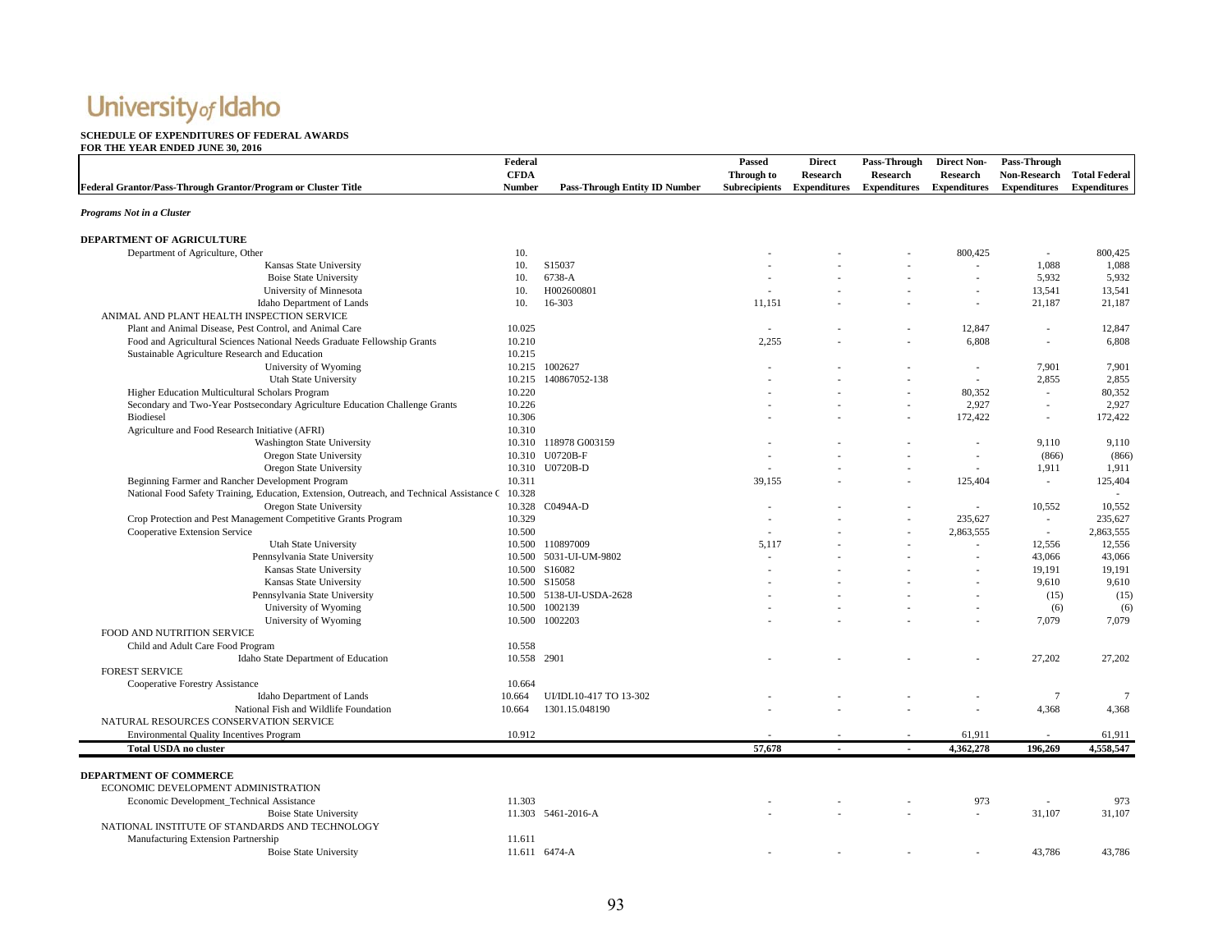#### **SCHEDULE OF EXPENDITURES OF FEDERAL AWARDS**

| Federal Grantor/Pass-Through Grantor/Program or Cluster Title                             | Federal<br><b>CFDA</b><br><b>Number</b> | <b>Pass-Through Entity ID Number</b> | Passed<br>Through to<br><b>Subrecipients</b> | <b>Direct</b><br><b>Research</b><br><b>Expenditures</b> | Pass-Through<br>Research<br><b>Expenditures</b> | <b>Direct Non-</b><br>Research<br><b>Expenditures</b> | Pass-Through<br>Non-Research Total Federal<br><b>Expenditures</b> | <b>Expenditures</b> |
|-------------------------------------------------------------------------------------------|-----------------------------------------|--------------------------------------|----------------------------------------------|---------------------------------------------------------|-------------------------------------------------|-------------------------------------------------------|-------------------------------------------------------------------|---------------------|
| Programs Not in a Cluster                                                                 |                                         |                                      |                                              |                                                         |                                                 |                                                       |                                                                   |                     |
| <b>DEPARTMENT OF AGRICULTURE</b>                                                          |                                         |                                      |                                              |                                                         |                                                 |                                                       |                                                                   |                     |
| Department of Agriculture, Other                                                          | 10.                                     |                                      |                                              |                                                         |                                                 | 800,425                                               | $\sim$                                                            | 800,425             |
| Kansas State University                                                                   | 10.                                     | S15037                               |                                              |                                                         |                                                 | ×.                                                    | 1,088                                                             | 1,088               |
| <b>Boise State University</b>                                                             | 10.                                     | 6738-A                               |                                              |                                                         |                                                 |                                                       | 5,932                                                             | 5,932               |
| University of Minnesota                                                                   | 10.                                     | H002600801                           |                                              |                                                         |                                                 | $\overline{\phantom{a}}$                              | 13,541                                                            | 13,541              |
| Idaho Department of Lands                                                                 | 10.                                     | 16-303                               | 11,151                                       |                                                         |                                                 |                                                       | 21,187                                                            | 21,187              |
| ANIMAL AND PLANT HEALTH INSPECTION SERVICE                                                |                                         |                                      |                                              |                                                         |                                                 |                                                       |                                                                   |                     |
| Plant and Animal Disease, Pest Control, and Animal Care                                   | 10.025                                  |                                      |                                              |                                                         |                                                 | 12,847                                                | $\overline{\phantom{a}}$                                          | 12,847              |
| Food and Agricultural Sciences National Needs Graduate Fellowship Grants                  | 10.210                                  |                                      | 2.255                                        |                                                         |                                                 | 6,808                                                 | $\sim$                                                            | 6.808               |
| Sustainable Agriculture Research and Education                                            | 10.215                                  |                                      |                                              |                                                         |                                                 |                                                       |                                                                   |                     |
| University of Wyoming                                                                     |                                         | 10.215 1002627                       |                                              |                                                         |                                                 | $\overline{\phantom{a}}$                              | 7,901                                                             | 7,901               |
| Utah State University                                                                     | 10.215                                  | 140867052-138                        |                                              |                                                         |                                                 | $\sim$                                                | 2,855                                                             | 2,855               |
| Higher Education Multicultural Scholars Program                                           | 10.220                                  |                                      |                                              |                                                         |                                                 | 80,352                                                | $\overline{\phantom{a}}$                                          | 80,352              |
| Secondary and Two-Year Postsecondary Agriculture Education Challenge Grants               | 10.226                                  |                                      |                                              |                                                         |                                                 | 2,927                                                 | $\overline{\phantom{a}}$                                          | 2,927               |
| Biodiesel                                                                                 | 10.306                                  |                                      |                                              |                                                         |                                                 | 172,422                                               | $\sim$                                                            | 172,422             |
| Agriculture and Food Research Initiative (AFRI)                                           | 10.310                                  |                                      |                                              |                                                         |                                                 |                                                       |                                                                   |                     |
| <b>Washington State University</b>                                                        |                                         | 10.310 118978 G003159                |                                              |                                                         |                                                 | $\overline{\phantom{a}}$                              | 9,110                                                             | 9,110               |
| Oregon State University                                                                   |                                         | 10.310 U0720B-F                      |                                              |                                                         |                                                 | $\sim$                                                | (866)                                                             | (866)               |
| Oregon State University                                                                   |                                         | 10.310 U0720B-D                      |                                              |                                                         |                                                 |                                                       | 1,911                                                             | 1,911               |
| Beginning Farmer and Rancher Development Program                                          | 10.311                                  |                                      | 39,155                                       |                                                         |                                                 | 125,404                                               | $\sim$                                                            | 125,404             |
| National Food Safety Training, Education, Extension, Outreach, and Technical Assistance C | 10.328                                  |                                      |                                              |                                                         |                                                 |                                                       |                                                                   |                     |
| Oregon State University                                                                   |                                         | 10.328 C0494A-D                      |                                              |                                                         |                                                 | $\sim$                                                |                                                                   | 10,552              |
| Crop Protection and Pest Management Competitive Grants Program                            | 10.329                                  |                                      |                                              |                                                         |                                                 | 235,627                                               | 10,552                                                            | 235,627             |
|                                                                                           | 10.500                                  |                                      |                                              |                                                         |                                                 | 2.863.555                                             | $\sim$                                                            | 2,863,555           |
| Cooperative Extension Service                                                             |                                         |                                      |                                              |                                                         |                                                 |                                                       | ÷.                                                                |                     |
| Utah State University                                                                     |                                         | 10.500 110897009                     | 5,117                                        |                                                         |                                                 | $\sim$                                                | 12,556                                                            | 12,556              |
| Pennsylvania State University                                                             | 10.500                                  | 5031-UI-UM-9802                      |                                              |                                                         |                                                 |                                                       | 43,066                                                            | 43,066              |
| Kansas State University                                                                   |                                         | 10.500 S16082                        |                                              |                                                         |                                                 |                                                       | 19,191                                                            | 19,191              |
| Kansas State University                                                                   |                                         | 10.500 S15058                        |                                              |                                                         |                                                 |                                                       | 9,610                                                             | 9,610               |
| Pennsylvania State University                                                             |                                         | 10.500 5138-UI-USDA-2628             |                                              |                                                         |                                                 |                                                       | (15)                                                              | (15)                |
| University of Wyoming                                                                     | 10.500                                  | 1002139                              |                                              |                                                         |                                                 |                                                       | (6)                                                               | (6)                 |
| University of Wyoming                                                                     |                                         | 10.500 1002203                       |                                              |                                                         |                                                 |                                                       | 7,079                                                             | 7,079               |
| FOOD AND NUTRITION SERVICE                                                                |                                         |                                      |                                              |                                                         |                                                 |                                                       |                                                                   |                     |
| Child and Adult Care Food Program                                                         | 10.558                                  |                                      |                                              |                                                         |                                                 |                                                       |                                                                   |                     |
| Idaho State Department of Education                                                       | 10.558 2901                             |                                      |                                              |                                                         |                                                 |                                                       | 27,202                                                            | 27,202              |
| <b>FOREST SERVICE</b>                                                                     |                                         |                                      |                                              |                                                         |                                                 |                                                       |                                                                   |                     |
| Cooperative Forestry Assistance                                                           | 10.664                                  |                                      |                                              |                                                         |                                                 |                                                       |                                                                   |                     |
| Idaho Department of Lands                                                                 | 10.664                                  | UI/IDL10-417 TO 13-302               |                                              |                                                         |                                                 |                                                       | $7\phantom{.0}$                                                   | $7\phantom{.0}$     |
| National Fish and Wildlife Foundation                                                     | 10.664                                  | 1301.15.048190                       |                                              |                                                         |                                                 |                                                       | 4,368                                                             | 4,368               |
| NATURAL RESOURCES CONSERVATION SERVICE                                                    |                                         |                                      |                                              |                                                         |                                                 |                                                       |                                                                   |                     |
| Environmental Quality Incentives Program                                                  | 10.912                                  |                                      |                                              |                                                         |                                                 | 61,911                                                |                                                                   | 61,911              |
| <b>Total USDA no cluster</b>                                                              |                                         |                                      | 57,678                                       | $\mathbf{r}$                                            |                                                 | 4,362,278                                             | 196,269                                                           | 4,558,547           |
|                                                                                           |                                         |                                      |                                              |                                                         |                                                 |                                                       |                                                                   |                     |
| DEPARTMENT OF COMMERCE                                                                    |                                         |                                      |                                              |                                                         |                                                 |                                                       |                                                                   |                     |
| ECONOMIC DEVELOPMENT ADMINISTRATION                                                       |                                         |                                      |                                              |                                                         |                                                 |                                                       |                                                                   |                     |
| Economic Development_Technical Assistance                                                 | 11.303                                  |                                      |                                              |                                                         |                                                 | 973                                                   | $\overline{\phantom{a}}$                                          | 973                 |
| <b>Boise State University</b>                                                             |                                         | 11.303 5461-2016-A                   |                                              |                                                         |                                                 |                                                       | 31,107                                                            | 31,107              |
| NATIONAL INSTITUTE OF STANDARDS AND TECHNOLOGY                                            |                                         |                                      |                                              |                                                         |                                                 |                                                       |                                                                   |                     |
| Manufacturing Extension Partnership                                                       | 11.611                                  |                                      |                                              |                                                         |                                                 |                                                       |                                                                   |                     |
| <b>Boise State University</b>                                                             |                                         | 11.611 6474-A                        |                                              |                                                         |                                                 |                                                       | 43.786                                                            | 43,786              |
|                                                                                           |                                         |                                      |                                              |                                                         |                                                 |                                                       |                                                                   |                     |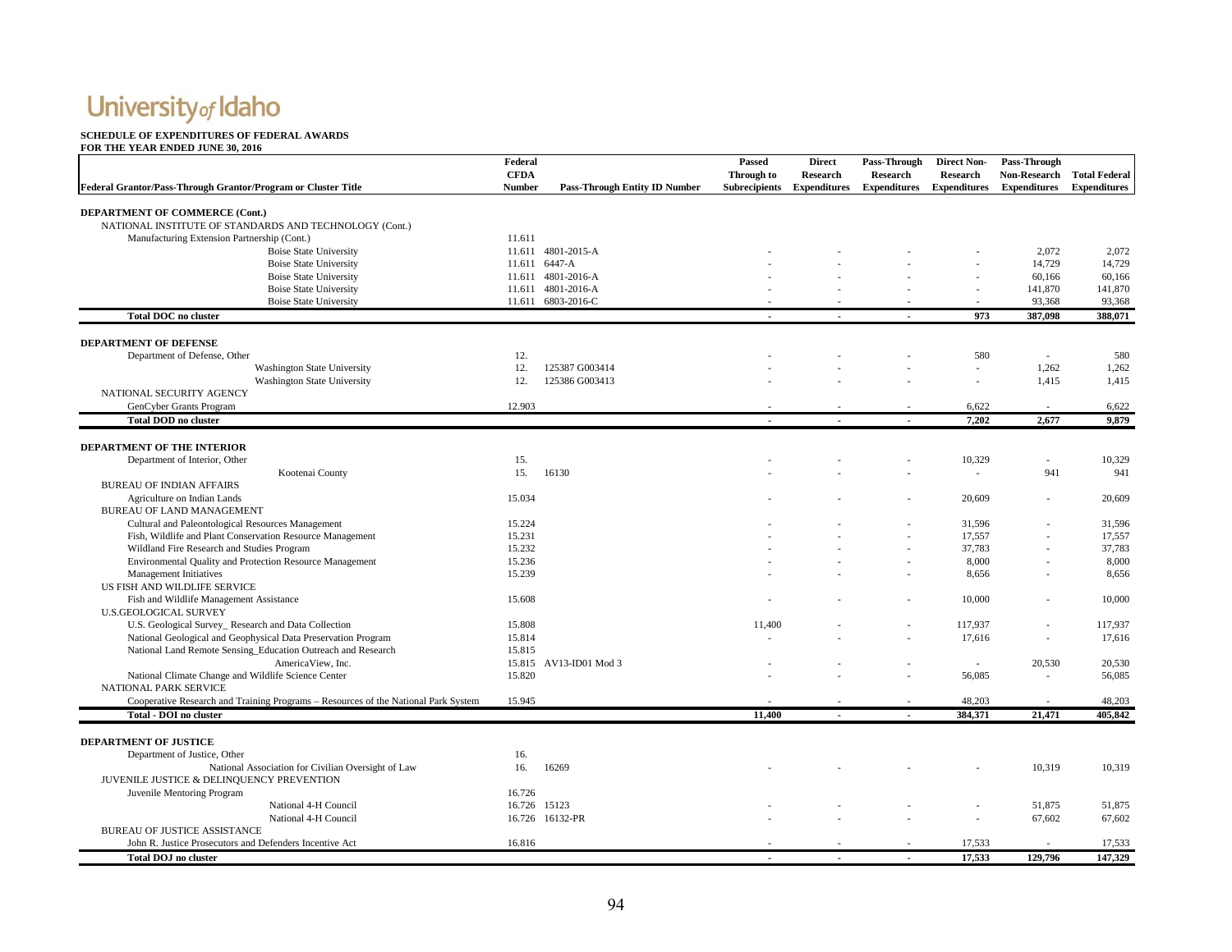#### **SCHEDULE OF EXPENDITURES OF FEDERAL AWARDS**

| Federal Grantor/Pass-Through Grantor/Program or Cluster Title                      | Federal<br><b>CFDA</b><br><b>Number</b> | <b>Pass-Through Entity ID Number</b> | Passed<br>Through to<br><b>Subrecipients</b> | <b>Direct</b><br><b>Research</b><br><b>Expenditures</b> | <b>Pass-Through</b><br><b>Research</b><br><b>Expenditures</b> | <b>Direct Non-</b><br><b>Research</b><br><b>Expenditures</b> | Pass-Through<br>Non-Research Total Federal<br><b>Expenditures</b> | <b>Expenditures</b> |
|------------------------------------------------------------------------------------|-----------------------------------------|--------------------------------------|----------------------------------------------|---------------------------------------------------------|---------------------------------------------------------------|--------------------------------------------------------------|-------------------------------------------------------------------|---------------------|
| DEPARTMENT OF COMMERCE (Cont.)                                                     |                                         |                                      |                                              |                                                         |                                                               |                                                              |                                                                   |                     |
| NATIONAL INSTITUTE OF STANDARDS AND TECHNOLOGY (Cont.)                             |                                         |                                      |                                              |                                                         |                                                               |                                                              |                                                                   |                     |
| Manufacturing Extension Partnership (Cont.)                                        | 11.611                                  |                                      |                                              |                                                         |                                                               |                                                              |                                                                   |                     |
| <b>Boise State University</b>                                                      |                                         | 11.611 4801-2015-A                   |                                              |                                                         |                                                               |                                                              | 2,072                                                             | 2,072               |
| <b>Boise State University</b>                                                      |                                         | 11.611 6447-A                        |                                              |                                                         |                                                               |                                                              | 14,729                                                            | 14,729              |
| <b>Boise State University</b>                                                      |                                         | 11.611 4801-2016-A                   |                                              |                                                         |                                                               |                                                              | 60,166                                                            | 60,166              |
| <b>Boise State University</b>                                                      |                                         | 11.611 4801-2016-A                   |                                              |                                                         |                                                               |                                                              | 141,870                                                           | 141,870             |
| <b>Boise State University</b>                                                      |                                         | 11.611 6803-2016-C                   |                                              |                                                         |                                                               |                                                              | 93,368                                                            | 93,368              |
| <b>Total DOC</b> no cluster                                                        |                                         |                                      |                                              |                                                         |                                                               | 973                                                          | 387,098                                                           | 388,071             |
| DEPARTMENT OF DEFENSE                                                              |                                         |                                      |                                              |                                                         |                                                               |                                                              |                                                                   |                     |
| Department of Defense, Other                                                       | 12.                                     |                                      |                                              |                                                         |                                                               | 580                                                          | $\overline{\phantom{a}}$                                          | 580                 |
| Washington State University                                                        | 12.                                     | 125387 G003414                       |                                              |                                                         |                                                               | $\sim$                                                       | 1,262                                                             | 1,262               |
| Washington State University                                                        | 12.                                     | 125386 G003413                       |                                              |                                                         |                                                               |                                                              | 1,415                                                             | 1,415               |
| NATIONAL SECURITY AGENCY                                                           |                                         |                                      |                                              |                                                         |                                                               |                                                              |                                                                   |                     |
| GenCyber Grants Program                                                            | 12.903                                  |                                      |                                              |                                                         |                                                               | 6,622                                                        | $\overline{\phantom{a}}$                                          | 6,622               |
| <b>Total DOD no cluster</b>                                                        |                                         |                                      |                                              |                                                         |                                                               | 7,202                                                        | 2,677                                                             | 9,879               |
|                                                                                    |                                         |                                      |                                              |                                                         |                                                               |                                                              |                                                                   |                     |
| <b>DEPARTMENT OF THE INTERIOR</b><br>Department of Interior, Other                 | 15.                                     |                                      |                                              |                                                         |                                                               | 10,329                                                       |                                                                   | 10,329              |
| Kootenai County                                                                    | 15.                                     | 16130                                |                                              |                                                         |                                                               | $\overline{\phantom{a}}$                                     | 941                                                               | 941                 |
| <b>BUREAU OF INDIAN AFFAIRS</b>                                                    |                                         |                                      |                                              |                                                         |                                                               |                                                              |                                                                   |                     |
| Agriculture on Indian Lands                                                        | 15.034                                  |                                      |                                              |                                                         |                                                               | 20,609                                                       |                                                                   | 20,609              |
| BUREAU OF LAND MANAGEMENT                                                          |                                         |                                      |                                              |                                                         |                                                               |                                                              |                                                                   |                     |
| Cultural and Paleontological Resources Management                                  | 15.224                                  |                                      |                                              |                                                         |                                                               | 31,596                                                       |                                                                   | 31,596              |
| Fish, Wildlife and Plant Conservation Resource Management                          | 15.231                                  |                                      |                                              |                                                         |                                                               | 17,557                                                       |                                                                   | 17,557              |
| Wildland Fire Research and Studies Program                                         | 15.232                                  |                                      |                                              |                                                         |                                                               | 37,783                                                       |                                                                   | 37,783              |
| Environmental Quality and Protection Resource Management                           | 15.236                                  |                                      |                                              |                                                         |                                                               | 8,000                                                        |                                                                   | 8,000               |
| Management Initiatives                                                             | 15.239                                  |                                      |                                              |                                                         |                                                               | 8,656                                                        |                                                                   | 8,656               |
| US FISH AND WILDLIFE SERVICE                                                       |                                         |                                      |                                              |                                                         |                                                               |                                                              |                                                                   |                     |
| Fish and Wildlife Management Assistance                                            | 15.608                                  |                                      |                                              |                                                         |                                                               | 10,000                                                       |                                                                   | 10,000              |
| <b>U.S.GEOLOGICAL SURVEY</b>                                                       |                                         |                                      |                                              |                                                         |                                                               |                                                              |                                                                   |                     |
| U.S. Geological Survey_ Research and Data Collection                               | 15.808                                  |                                      | 11,400                                       |                                                         |                                                               | 117,937                                                      |                                                                   | 117,937             |
| National Geological and Geophysical Data Preservation Program                      | 15.814                                  |                                      |                                              |                                                         |                                                               | 17,616                                                       |                                                                   | 17,616              |
| National Land Remote Sensing_Education Outreach and Research                       | 15.815                                  |                                      |                                              |                                                         |                                                               |                                                              |                                                                   |                     |
| AmericaView, Inc.                                                                  |                                         | 15.815 AV13-ID01 Mod 3               |                                              |                                                         |                                                               | $\sim$                                                       | 20,530                                                            | 20,530              |
| National Climate Change and Wildlife Science Center                                | 15.820                                  |                                      |                                              |                                                         |                                                               | 56,085                                                       | $\overline{\phantom{a}}$                                          | 56,085              |
| NATIONAL PARK SERVICE                                                              |                                         |                                      |                                              |                                                         |                                                               |                                                              |                                                                   |                     |
| Cooperative Research and Training Programs - Resources of the National Park System | 15.945                                  |                                      |                                              |                                                         |                                                               | 48,203                                                       | $\overline{\phantom{a}}$                                          | 48.203              |
| <b>Total - DOI no cluster</b>                                                      |                                         |                                      | 11,400                                       |                                                         |                                                               | 384,371                                                      | 21,471                                                            | 405,842             |
| <b>DEPARTMENT OF JUSTICE</b>                                                       |                                         |                                      |                                              |                                                         |                                                               |                                                              |                                                                   |                     |
| Department of Justice, Other                                                       | 16.                                     |                                      |                                              |                                                         |                                                               |                                                              |                                                                   |                     |
| National Association for Civilian Oversight of Law                                 | 16.                                     | 16269                                |                                              |                                                         |                                                               |                                                              | 10,319                                                            | 10,319              |
| JUVENILE JUSTICE & DELINQUENCY PREVENTION                                          |                                         |                                      |                                              |                                                         |                                                               |                                                              |                                                                   |                     |
| Juvenile Mentoring Program                                                         | 16.726                                  |                                      |                                              |                                                         |                                                               |                                                              |                                                                   |                     |
| National 4-H Council                                                               | 16.726 15123                            |                                      |                                              |                                                         |                                                               |                                                              | 51,875                                                            | 51,875              |
| National 4-H Council                                                               |                                         | 16.726 16132-PR                      |                                              |                                                         |                                                               |                                                              | 67,602                                                            | 67,602              |
| <b>BUREAU OF JUSTICE ASSISTANCE</b>                                                |                                         |                                      |                                              |                                                         |                                                               |                                                              |                                                                   |                     |
| John R. Justice Prosecutors and Defenders Incentive Act                            | 16.816                                  |                                      |                                              |                                                         |                                                               | 17,533                                                       |                                                                   | 17,533              |
| <b>Total DOJ</b> no cluster                                                        |                                         |                                      |                                              |                                                         |                                                               | 17,533                                                       | 129,796                                                           | 147.329             |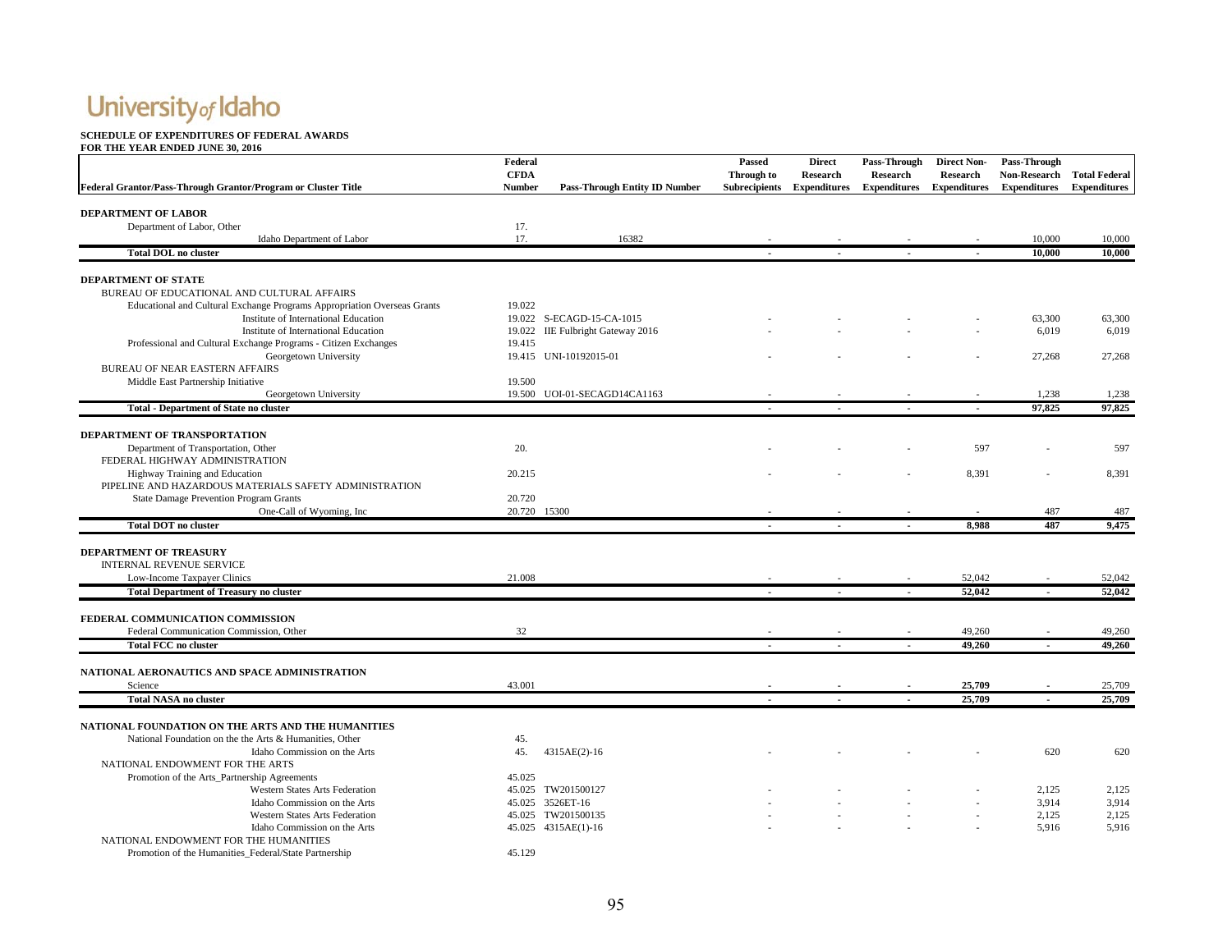#### **SCHEDULE OF EXPENDITURES OF FEDERAL AWARDS**

|                                                                          | Federal                      |                                      | Passed                             | <b>Direct</b>                   | Pass-Through                    | <b>Direct Non-</b>                     | Pass-Through                                      |                     |
|--------------------------------------------------------------------------|------------------------------|--------------------------------------|------------------------------------|---------------------------------|---------------------------------|----------------------------------------|---------------------------------------------------|---------------------|
| Federal Grantor/Pass-Through Grantor/Program or Cluster Title            | <b>CFDA</b><br><b>Number</b> | <b>Pass-Through Entity ID Number</b> | Through to<br><b>Subrecipients</b> | Research<br><b>Expenditures</b> | Research<br><b>Expenditures</b> | <b>Research</b><br><b>Expenditures</b> | Non-Research Total Federal<br><b>Expenditures</b> | <b>Expenditures</b> |
|                                                                          |                              |                                      |                                    |                                 |                                 |                                        |                                                   |                     |
| <b>DEPARTMENT OF LABOR</b>                                               |                              |                                      |                                    |                                 |                                 |                                        |                                                   |                     |
| Department of Labor, Other                                               | 17.                          |                                      |                                    |                                 |                                 |                                        |                                                   |                     |
| Idaho Department of Labor                                                | 17.                          | 16382                                |                                    |                                 |                                 |                                        | 10,000                                            | 10,000              |
| <b>Total DOL no cluster</b>                                              |                              |                                      |                                    |                                 |                                 |                                        | 10,000                                            | 10,000              |
| DEPARTMENT OF STATE                                                      |                              |                                      |                                    |                                 |                                 |                                        |                                                   |                     |
| BUREAU OF EDUCATIONAL AND CULTURAL AFFAIRS                               |                              |                                      |                                    |                                 |                                 |                                        |                                                   |                     |
| Educational and Cultural Exchange Programs Appropriation Overseas Grants | 19.022                       |                                      |                                    |                                 |                                 |                                        |                                                   |                     |
| Institute of International Education                                     |                              | 19.022 S-ECAGD-15-CA-1015            |                                    |                                 |                                 |                                        | 63,300                                            | 63,300              |
| Institute of International Education                                     |                              | 19.022 IIE Fulbright Gateway 2016    |                                    |                                 |                                 |                                        | 6,019                                             | 6,019               |
| Professional and Cultural Exchange Programs - Citizen Exchanges          | 19.415                       |                                      |                                    |                                 |                                 |                                        |                                                   |                     |
| Georgetown University                                                    |                              | 19.415 UNI-10192015-01               |                                    |                                 |                                 |                                        | 27,268                                            | 27,268              |
| BUREAU OF NEAR EASTERN AFFAIRS                                           |                              |                                      |                                    |                                 |                                 |                                        |                                                   |                     |
| Middle East Partnership Initiative                                       | 19.500                       |                                      |                                    |                                 |                                 |                                        |                                                   |                     |
| Georgetown University                                                    |                              | 19.500 UOI-01-SECAGD14CA1163         |                                    |                                 |                                 |                                        | 1,238                                             | 1,238               |
| <b>Total - Department of State no cluster</b>                            |                              |                                      |                                    |                                 |                                 |                                        | 97,825                                            | 97,825              |
|                                                                          |                              |                                      |                                    |                                 |                                 |                                        |                                                   |                     |
| DEPARTMENT OF TRANSPORTATION                                             |                              |                                      |                                    |                                 |                                 |                                        |                                                   |                     |
| Department of Transportation, Other                                      | 20.                          |                                      |                                    |                                 |                                 | 597                                    |                                                   | 597                 |
| FEDERAL HIGHWAY ADMINISTRATION                                           |                              |                                      |                                    |                                 |                                 |                                        |                                                   |                     |
| Highway Training and Education                                           | 20.215                       |                                      |                                    |                                 |                                 | 8,391                                  |                                                   | 8,391               |
| PIPELINE AND HAZARDOUS MATERIALS SAFETY ADMINISTRATION                   |                              |                                      |                                    |                                 |                                 |                                        |                                                   |                     |
| State Damage Prevention Program Grants                                   | 20.720                       |                                      |                                    |                                 |                                 |                                        |                                                   |                     |
| One-Call of Wyoming, Inc                                                 | 20.720 15300                 |                                      |                                    |                                 |                                 |                                        | 487                                               | 487                 |
| <b>Total DOT</b> no cluster                                              |                              |                                      | $\blacksquare$                     | $\sim$                          | $\sim$                          | 8,988                                  | 487                                               | 9,475               |
|                                                                          |                              |                                      |                                    |                                 |                                 |                                        |                                                   |                     |
| <b>DEPARTMENT OF TREASURY</b>                                            |                              |                                      |                                    |                                 |                                 |                                        |                                                   |                     |
| <b>INTERNAL REVENUE SERVICE</b>                                          |                              |                                      |                                    |                                 |                                 |                                        |                                                   |                     |
| Low-Income Taxpayer Clinics                                              | 21.008                       |                                      |                                    |                                 |                                 | 52,042                                 |                                                   | 52,042              |
| <b>Total Department of Treasury no cluster</b>                           |                              |                                      | $\mathbf{r}$                       | $\sim$                          | $\sim$                          | 52,042                                 | $\sim$                                            | 52,042              |
| FEDERAL COMMUNICATION COMMISSION                                         |                              |                                      |                                    |                                 |                                 |                                        |                                                   |                     |
| Federal Communication Commission, Other                                  | 32                           |                                      |                                    |                                 |                                 | 49,260                                 |                                                   | 49,260              |
| <b>Total FCC no cluster</b>                                              |                              |                                      | $\overline{\phantom{a}}$           |                                 |                                 | 49,260                                 |                                                   | 49,260              |
|                                                                          |                              |                                      |                                    |                                 |                                 |                                        |                                                   |                     |
| NATIONAL AERONAUTICS AND SPACE ADMINISTRATION                            |                              |                                      |                                    |                                 |                                 |                                        |                                                   |                     |
| Science                                                                  | 43.001                       |                                      |                                    |                                 |                                 | 25,709                                 |                                                   | 25,709              |
| <b>Total NASA no cluster</b>                                             |                              |                                      |                                    |                                 |                                 | 25,709                                 |                                                   | 25,709              |
| NATIONAL FOUNDATION ON THE ARTS AND THE HUMANITIES                       |                              |                                      |                                    |                                 |                                 |                                        |                                                   |                     |
| National Foundation on the the Arts & Humanities, Other                  | 45.                          |                                      |                                    |                                 |                                 |                                        |                                                   |                     |
| Idaho Commission on the Arts                                             | 45.                          | 4315AE(2)-16                         |                                    |                                 |                                 |                                        | 620                                               | 620                 |
| NATIONAL ENDOWMENT FOR THE ARTS                                          |                              |                                      |                                    |                                 |                                 |                                        |                                                   |                     |
| Promotion of the Arts_Partnership Agreements                             | 45.025                       |                                      |                                    |                                 |                                 |                                        |                                                   |                     |
| <b>Western States Arts Federation</b>                                    |                              | 45.025 TW201500127                   |                                    |                                 |                                 |                                        | 2,125                                             | 2,125               |
| Idaho Commission on the Arts                                             |                              | 45.025 3526ET-16                     |                                    |                                 |                                 |                                        | 3,914                                             | 3,914               |
| Western States Arts Federation                                           |                              | 45.025 TW201500135                   |                                    |                                 |                                 |                                        | 2,125                                             | 2,125               |
| Idaho Commission on the Arts                                             |                              | 45.025 4315AE(1)-16                  |                                    |                                 |                                 |                                        | 5,916                                             | 5,916               |
| NATIONAL ENDOWMENT FOR THE HUMANITIES                                    |                              |                                      |                                    |                                 |                                 |                                        |                                                   |                     |
| Promotion of the Humanities Federal/State Partnership                    | 45.129                       |                                      |                                    |                                 |                                 |                                        |                                                   |                     |
|                                                                          |                              |                                      |                                    |                                 |                                 |                                        |                                                   |                     |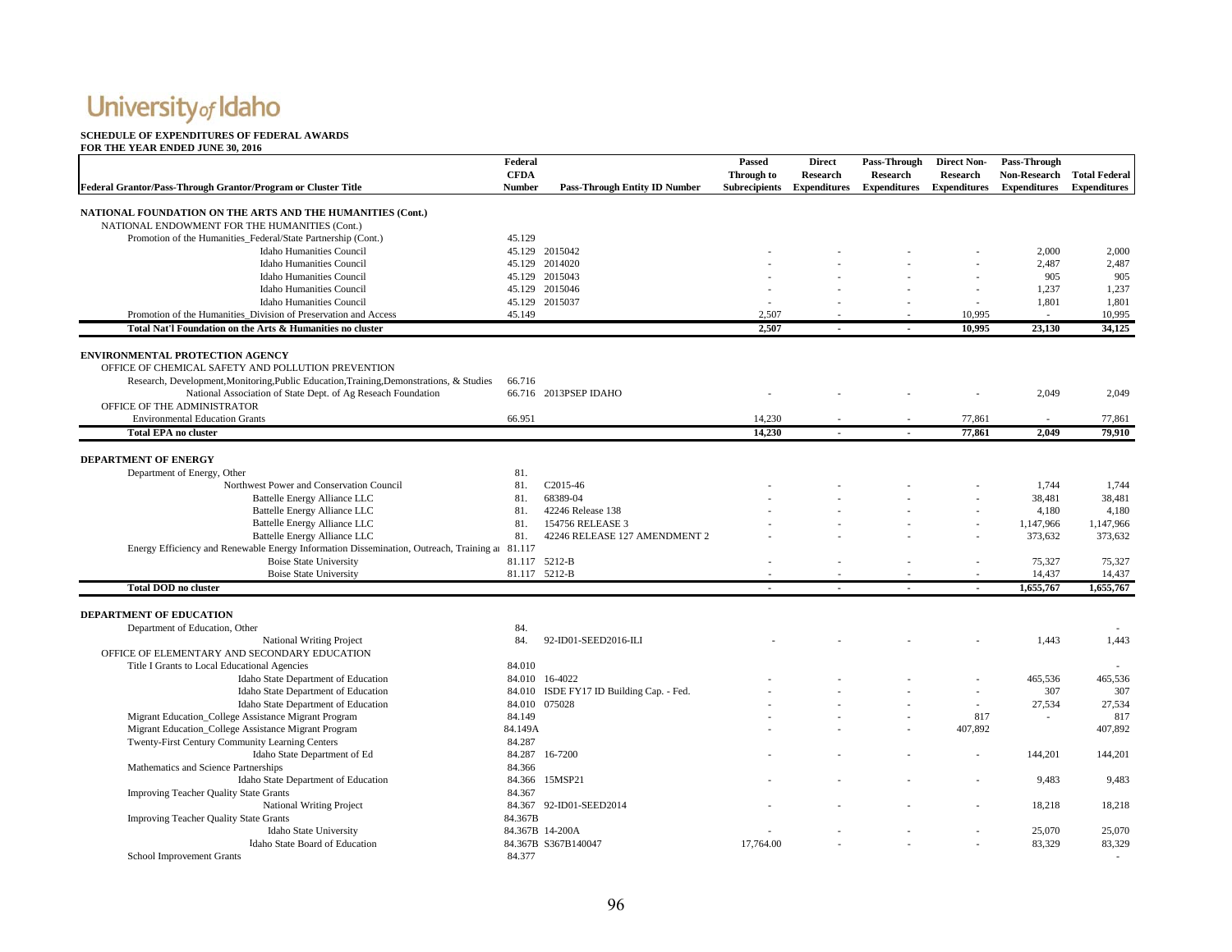#### **SCHEDULE OF EXPENDITURES OF FEDERAL AWARDS**

|                                                                                                | Federal       |                                      | Passed               | <b>Direct</b>       | Pass-Through        | <b>Direct Non-</b>  | Pass-Through        |                      |
|------------------------------------------------------------------------------------------------|---------------|--------------------------------------|----------------------|---------------------|---------------------|---------------------|---------------------|----------------------|
|                                                                                                | <b>CFDA</b>   |                                      | Through to           | Research            | <b>Research</b>     | <b>Research</b>     | <b>Non-Research</b> | <b>Total Federal</b> |
| Federal Grantor/Pass-Through Grantor/Program or Cluster Title                                  | <b>Number</b> | <b>Pass-Through Entity ID Number</b> | <b>Subrecipients</b> | <b>Expenditures</b> | <b>Expenditures</b> | <b>Expenditures</b> | <b>Expenditures</b> | <b>Expenditures</b>  |
|                                                                                                |               |                                      |                      |                     |                     |                     |                     |                      |
| NATIONAL FOUNDATION ON THE ARTS AND THE HUMANITIES (Cont.)                                     |               |                                      |                      |                     |                     |                     |                     |                      |
| NATIONAL ENDOWMENT FOR THE HUMANITIES (Cont.)                                                  |               |                                      |                      |                     |                     |                     |                     |                      |
| Promotion of the Humanities_Federal/State Partnership (Cont.)                                  | 45.129        |                                      |                      |                     |                     |                     |                     |                      |
| <b>Idaho Humanities Council</b>                                                                |               | 45.129 2015042                       |                      |                     |                     |                     | 2,000               | 2,000                |
| <b>Idaho Humanities Council</b>                                                                |               | 45.129 2014020                       |                      |                     |                     |                     | 2,487               | 2,487                |
| <b>Idaho Humanities Council</b>                                                                |               | 45.129 2015043                       |                      |                     |                     |                     | 905                 | 905                  |
| <b>Idaho Humanities Council</b>                                                                |               | 45.129 2015046                       |                      |                     |                     |                     | 1,237               | 1,237                |
| <b>Idaho Humanities Council</b>                                                                |               | 45.129 2015037                       |                      |                     |                     |                     | 1,801               | 1,801                |
| Promotion of the Humanities Division of Preservation and Access                                | 45.149        |                                      | 2.507                |                     |                     | 10.995              |                     | 10.995               |
| Total Nat'l Foundation on the Arts & Humanities no cluster                                     |               |                                      | 2,507                |                     |                     | 10.995              | 23,130              | 34,125               |
|                                                                                                |               |                                      |                      |                     |                     |                     |                     |                      |
| <b>ENVIRONMENTAL PROTECTION AGENCY</b>                                                         |               |                                      |                      |                     |                     |                     |                     |                      |
| OFFICE OF CHEMICAL SAFETY AND POLLUTION PREVENTION                                             |               |                                      |                      |                     |                     |                     |                     |                      |
| Research, Development, Monitoring, Public Education, Training, Demonstrations, & Studies       | 66.716        |                                      |                      |                     |                     |                     |                     |                      |
| National Association of State Dept. of Ag Reseach Foundation                                   |               | 66.716 2013PSEP IDAHO                |                      |                     |                     |                     | 2,049               | 2,049                |
| OFFICE OF THE ADMINISTRATOR                                                                    |               |                                      |                      |                     |                     |                     |                     |                      |
| <b>Environmental Education Grants</b>                                                          | 66.951        |                                      | 14.230               |                     |                     | 77.861              |                     | 77.861               |
| <b>Total EPA no cluster</b>                                                                    |               |                                      | 14,230               |                     |                     | 77,861              | 2.049               | 79.910               |
|                                                                                                |               |                                      |                      |                     |                     |                     |                     |                      |
| <b>DEPARTMENT OF ENERGY</b>                                                                    |               |                                      |                      |                     |                     |                     |                     |                      |
| Department of Energy, Other                                                                    | 81.           |                                      |                      |                     |                     |                     |                     |                      |
| Northwest Power and Conservation Council                                                       | 81.           | C2015-46                             |                      |                     |                     |                     | 1,744               | 1.744                |
| Battelle Energy Alliance LLC                                                                   | 81.           | 68389-04                             |                      |                     |                     |                     | 38,481              | 38,481               |
| Battelle Energy Alliance LLC                                                                   | 81.           | 42246 Release 138                    |                      |                     |                     |                     | 4,180               | 4,180                |
| Battelle Energy Alliance LLC                                                                   | 81.           | 154756 RELEASE 3                     |                      |                     |                     |                     | 1,147,966           | 1,147,966            |
| Battelle Energy Alliance LLC                                                                   | 81.           | 42246 RELEASE 127 AMENDMENT 2        |                      |                     |                     |                     | 373,632             | 373,632              |
| Energy Efficiency and Renewable Energy Information Dissemination, Outreach, Training at 81.117 |               |                                      |                      |                     |                     |                     |                     |                      |
| <b>Boise State University</b>                                                                  |               | 81.117 5212-B                        |                      |                     |                     |                     | 75,327              | 75,327               |
| <b>Boise State University</b>                                                                  |               | 81.117 5212-B                        |                      |                     |                     |                     | 14,437              | 14,437               |
| <b>Total DOD</b> no cluster                                                                    |               |                                      |                      |                     |                     |                     | 1,655,767           | 1,655,767            |
| <b>DEPARTMENT OF EDUCATION</b>                                                                 |               |                                      |                      |                     |                     |                     |                     |                      |
|                                                                                                | 84.           |                                      |                      |                     |                     |                     |                     |                      |
| Department of Education, Other                                                                 | 84.           |                                      |                      |                     |                     |                     | 1,443               | 1,443                |
| <b>National Writing Project</b><br>OFFICE OF ELEMENTARY AND SECONDARY EDUCATION                |               | 92-ID01-SEED2016-ILI                 |                      |                     |                     |                     |                     |                      |
| Title I Grants to Local Educational Agencies                                                   | 84.010        |                                      |                      |                     |                     |                     |                     |                      |
| Idaho State Department of Education                                                            |               | 84.010 16-4022                       |                      |                     |                     |                     | 465,536             | 465,536              |
| Idaho State Department of Education                                                            | 84.010        | ISDE FY17 ID Building Cap. - Fed.    |                      |                     |                     |                     | 307                 | 307                  |
|                                                                                                |               | 84.010 075028                        |                      |                     |                     |                     |                     |                      |
| Idaho State Department of Education<br>Migrant Education_College Assistance Migrant Program    | 84.149        |                                      |                      |                     |                     | 817                 | 27,534              | 27,534<br>817        |
|                                                                                                | 84.149A       |                                      |                      |                     |                     | 407,892             |                     | 407,892              |
| Migrant Education_College Assistance Migrant Program                                           |               |                                      |                      |                     |                     |                     |                     |                      |
| Twenty-First Century Community Learning Centers                                                | 84.287        |                                      |                      |                     |                     |                     |                     |                      |
| Idaho State Department of Ed                                                                   |               | 84.287 16-7200                       |                      |                     |                     |                     | 144,201             | 144,201              |
| Mathematics and Science Partnerships                                                           | 84.366        |                                      |                      |                     |                     |                     |                     |                      |
| Idaho State Department of Education                                                            |               | 84.366 15MSP21                       |                      |                     |                     |                     | 9,483               | 9,483                |
| <b>Improving Teacher Quality State Grants</b>                                                  | 84.367        |                                      |                      |                     |                     |                     |                     |                      |
| <b>National Writing Project</b>                                                                |               | 84.367 92-ID01-SEED2014              |                      |                     |                     |                     | 18,218              | 18,218               |
| <b>Improving Teacher Quality State Grants</b>                                                  | 84.367B       |                                      |                      |                     |                     |                     |                     |                      |
| Idaho State University                                                                         |               | 84.367B 14-200A                      |                      |                     |                     |                     | 25,070              | 25,070               |
| Idaho State Board of Education                                                                 |               | 84.367B S367B140047                  | 17,764.00            |                     |                     |                     | 83,329              | 83,329               |
| School Improvement Grants                                                                      | 84.377        |                                      |                      |                     |                     |                     |                     | $\sim$               |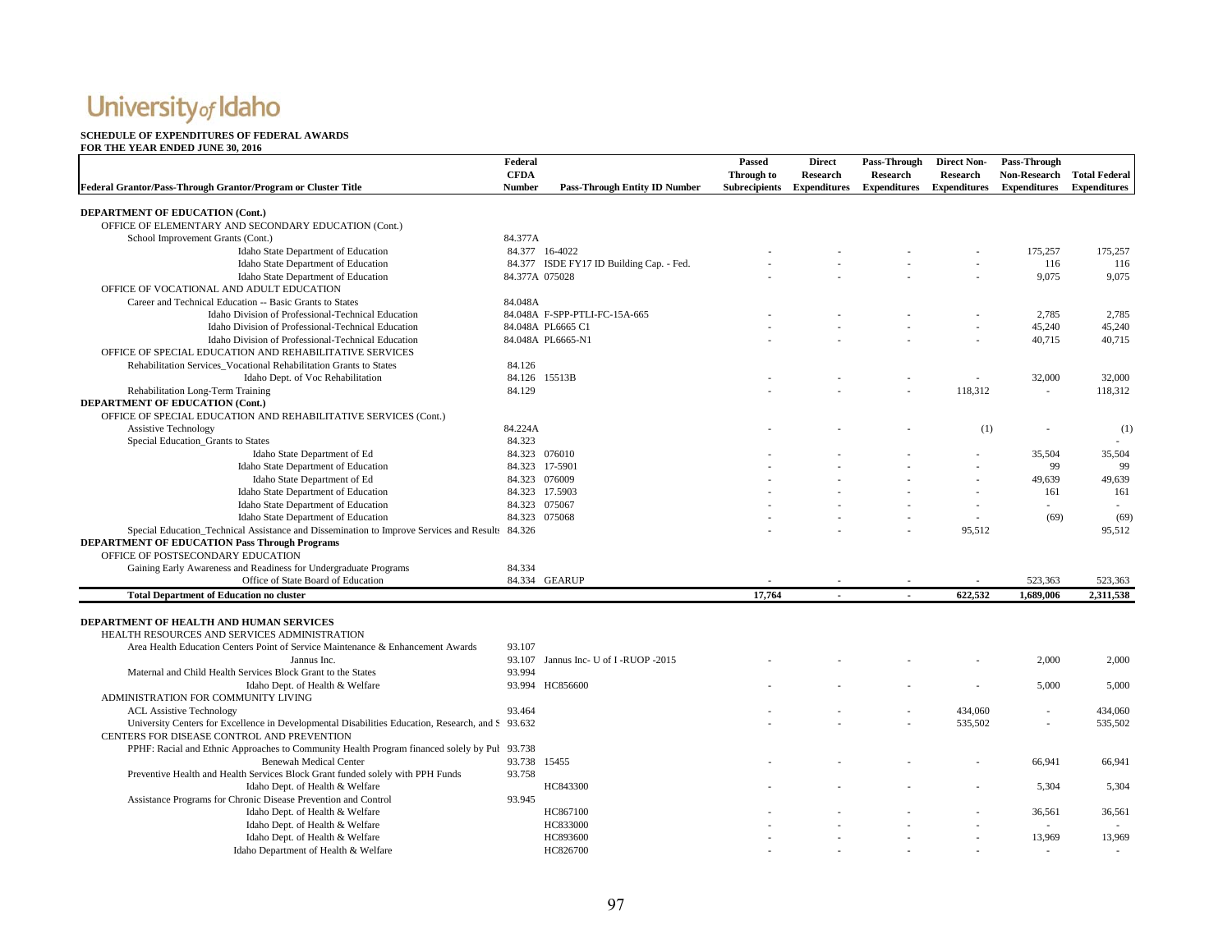### **SCHEDULE OF EXPENDITURES OF FEDERAL AWARDS FOR THE YEAR ENDED JUNE 30, 2016**

| I ON THE TEAN ENDED JONE 50, 2010<br>Federal Grantor/Pass-Through Grantor/Program or Cluster Title | Federal<br><b>CFDA</b><br><b>Number</b> | <b>Pass-Through Entity ID Number</b>     | Passed<br>Through to<br><b>Subrecipients</b> | <b>Direct</b><br>Research<br><b>Expenditures</b> | Pass-Through<br><b>Research</b><br><b>Expenditures</b> | <b>Direct Non-</b><br><b>Research</b><br><b>Expenditures</b> | Pass-Through<br><b>Non-Research</b><br><b>Expenditures</b> | <b>Total Federal</b><br><b>Expenditures</b> |
|----------------------------------------------------------------------------------------------------|-----------------------------------------|------------------------------------------|----------------------------------------------|--------------------------------------------------|--------------------------------------------------------|--------------------------------------------------------------|------------------------------------------------------------|---------------------------------------------|
|                                                                                                    |                                         |                                          |                                              |                                                  |                                                        |                                                              |                                                            |                                             |
| DEPARTMENT OF EDUCATION (Cont.)                                                                    |                                         |                                          |                                              |                                                  |                                                        |                                                              |                                                            |                                             |
| OFFICE OF ELEMENTARY AND SECONDARY EDUCATION (Cont.)                                               |                                         |                                          |                                              |                                                  |                                                        |                                                              |                                                            |                                             |
| School Improvement Grants (Cont.)                                                                  | 84.377A                                 |                                          |                                              |                                                  |                                                        |                                                              |                                                            |                                             |
| Idaho State Department of Education                                                                |                                         | 84.377 16-4022                           |                                              |                                                  |                                                        |                                                              | 175,257                                                    | 175,257                                     |
| Idaho State Department of Education                                                                |                                         | 84.377 ISDE FY17 ID Building Cap. - Fed. |                                              |                                                  |                                                        |                                                              | 116                                                        | 116                                         |
| Idaho State Department of Education                                                                |                                         | 84.377A 075028                           |                                              |                                                  |                                                        |                                                              | 9,075                                                      | 9,075                                       |
| OFFICE OF VOCATIONAL AND ADULT EDUCATION                                                           |                                         |                                          |                                              |                                                  |                                                        |                                                              |                                                            |                                             |
| Career and Technical Education -- Basic Grants to States                                           | 84.048A                                 |                                          |                                              |                                                  |                                                        |                                                              |                                                            |                                             |
| Idaho Division of Professional-Technical Education                                                 |                                         | 84.048A F-SPP-PTLI-FC-15A-665            |                                              |                                                  |                                                        |                                                              | 2,785                                                      | 2,785                                       |
| Idaho Division of Professional-Technical Education                                                 |                                         | 84.048A PL6665 C1                        |                                              |                                                  |                                                        |                                                              | 45,240                                                     | 45,240                                      |
| Idaho Division of Professional-Technical Education                                                 |                                         | 84.048A PL6665-N1                        |                                              |                                                  |                                                        |                                                              | 40,715                                                     | 40,715                                      |
| OFFICE OF SPECIAL EDUCATION AND REHABILITATIVE SERVICES                                            |                                         |                                          |                                              |                                                  |                                                        |                                                              |                                                            |                                             |
| Rehabilitation Services_Vocational Rehabilitation Grants to States                                 | 84.126                                  |                                          |                                              |                                                  |                                                        |                                                              |                                                            |                                             |
| Idaho Dept. of Voc Rehabilitation                                                                  |                                         | 84.126 15513B                            |                                              |                                                  |                                                        |                                                              | 32,000                                                     | 32,000                                      |
| Rehabilitation Long-Term Training                                                                  | 84.129                                  |                                          |                                              |                                                  |                                                        | 118,312                                                      | $\sim$                                                     | 118,312                                     |
| DEPARTMENT OF EDUCATION (Cont.)                                                                    |                                         |                                          |                                              |                                                  |                                                        |                                                              |                                                            |                                             |
| OFFICE OF SPECIAL EDUCATION AND REHABILITATIVE SERVICES (Cont.)                                    |                                         |                                          |                                              |                                                  |                                                        |                                                              |                                                            |                                             |
| <b>Assistive Technology</b>                                                                        | 84.224A                                 |                                          |                                              |                                                  |                                                        | (1)                                                          |                                                            | (1)                                         |
| Special Education_Grants to States                                                                 | 84.323                                  |                                          |                                              |                                                  |                                                        |                                                              |                                                            |                                             |
| Idaho State Department of Ed                                                                       |                                         | 84.323 076010                            |                                              |                                                  |                                                        |                                                              | 35,504                                                     | 35,504                                      |
| Idaho State Department of Education                                                                |                                         | 84.323 17-5901                           |                                              |                                                  |                                                        |                                                              | 99                                                         | 99                                          |
| Idaho State Department of Ed                                                                       |                                         | 84.323 076009                            |                                              |                                                  |                                                        |                                                              | 49,639                                                     | 49,639                                      |
| Idaho State Department of Education                                                                |                                         | 84.323 17.5903                           |                                              |                                                  |                                                        |                                                              | 161                                                        | 161                                         |
| Idaho State Department of Education                                                                |                                         | 84.323 075067                            |                                              |                                                  |                                                        |                                                              |                                                            |                                             |
| Idaho State Department of Education                                                                |                                         | 84.323 075068                            |                                              |                                                  |                                                        | $\overline{\phantom{a}}$                                     | (69)                                                       | (69)                                        |
| Special Education_Technical Assistance and Dissemination to Improve Services and Result: 84.326    |                                         |                                          |                                              |                                                  |                                                        | 95,512                                                       |                                                            | 95,512                                      |
| <b>DEPARTMENT OF EDUCATION Pass Through Programs</b>                                               |                                         |                                          |                                              |                                                  |                                                        |                                                              |                                                            |                                             |
| OFFICE OF POSTSECONDARY EDUCATION                                                                  |                                         |                                          |                                              |                                                  |                                                        |                                                              |                                                            |                                             |
| Gaining Early Awareness and Readiness for Undergraduate Programs                                   | 84.334                                  |                                          |                                              |                                                  |                                                        |                                                              |                                                            |                                             |
| Office of State Board of Education                                                                 |                                         | 84.334 GEARUP                            |                                              |                                                  |                                                        |                                                              | 523,363                                                    | 523,363                                     |
|                                                                                                    |                                         |                                          |                                              |                                                  |                                                        |                                                              |                                                            |                                             |
| <b>Total Department of Education no cluster</b>                                                    |                                         |                                          | 17,764                                       |                                                  |                                                        | 622,532                                                      | 1,689,006                                                  | 2,311,538                                   |
| <b>DEPARTMENT OF HEALTH AND HUMAN SERVICES</b>                                                     |                                         |                                          |                                              |                                                  |                                                        |                                                              |                                                            |                                             |
| HEALTH RESOURCES AND SERVICES ADMINISTRATION                                                       |                                         |                                          |                                              |                                                  |                                                        |                                                              |                                                            |                                             |
| Area Health Education Centers Point of Service Maintenance & Enhancement Awards                    | 93.107                                  |                                          |                                              |                                                  |                                                        |                                                              |                                                            |                                             |
|                                                                                                    |                                         |                                          |                                              |                                                  |                                                        |                                                              |                                                            |                                             |
| Jannus Inc.                                                                                        |                                         | 93.107 Jannus Inc- U of I-RUOP -2015     |                                              |                                                  |                                                        |                                                              | 2,000                                                      | 2,000                                       |
| Maternal and Child Health Services Block Grant to the States                                       | 93.994                                  |                                          |                                              |                                                  |                                                        |                                                              |                                                            |                                             |
| Idaho Dept. of Health & Welfare                                                                    |                                         | 93.994 HC856600                          |                                              |                                                  |                                                        |                                                              | 5,000                                                      | 5,000                                       |
| ADMINISTRATION FOR COMMUNITY LIVING                                                                |                                         |                                          |                                              |                                                  |                                                        |                                                              |                                                            |                                             |
| <b>ACL Assistive Technology</b>                                                                    | 93.464                                  |                                          |                                              |                                                  |                                                        | 434,060                                                      |                                                            | 434,060                                     |
| University Centers for Excellence in Developmental Disabilities Education, Research, and S 93.632  |                                         |                                          |                                              |                                                  |                                                        | 535,502                                                      |                                                            | 535,502                                     |
| CENTERS FOR DISEASE CONTROL AND PREVENTION                                                         |                                         |                                          |                                              |                                                  |                                                        |                                                              |                                                            |                                             |
| PPHF: Racial and Ethnic Approaches to Community Health Program financed solely by Puł 93.738       |                                         |                                          |                                              |                                                  |                                                        |                                                              |                                                            |                                             |
| <b>Benewah Medical Center</b>                                                                      | 93.738 15455                            |                                          |                                              |                                                  |                                                        |                                                              | 66,941                                                     | 66,941                                      |
| Preventive Health and Health Services Block Grant funded solely with PPH Funds                     | 93.758                                  |                                          |                                              |                                                  |                                                        |                                                              |                                                            |                                             |
| Idaho Dept. of Health & Welfare                                                                    |                                         | HC843300                                 |                                              |                                                  |                                                        |                                                              | 5,304                                                      | 5,304                                       |
| Assistance Programs for Chronic Disease Prevention and Control                                     | 93.945                                  |                                          |                                              |                                                  |                                                        |                                                              |                                                            |                                             |
| Idaho Dept. of Health & Welfare                                                                    |                                         | HC867100                                 |                                              |                                                  |                                                        |                                                              | 36,561                                                     | 36,561                                      |
| Idaho Dept. of Health & Welfare                                                                    |                                         | HC833000                                 |                                              |                                                  |                                                        |                                                              |                                                            |                                             |
| Idaho Dept. of Health & Welfare                                                                    |                                         | HC893600                                 |                                              |                                                  |                                                        |                                                              | 13,969                                                     | 13.969                                      |
| Idaho Department of Health & Welfare                                                               |                                         | HC826700                                 |                                              |                                                  |                                                        |                                                              |                                                            |                                             |